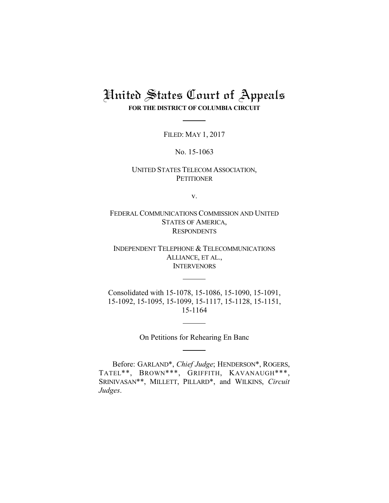# United States Court of Appeals **FOR THE DISTRICT OF COLUMBIA CIRCUIT**

FILED: MAY 1, 2017

No. 15-1063

## UNITED STATES TELECOM ASSOCIATION, **PETITIONER**

v.

FEDERAL COMMUNICATIONS COMMISSION AND UNITED STATES OF AMERICA, **RESPONDENTS** 

INDEPENDENT TELEPHONE & TELECOMMUNICATIONS ALLIANCE, ET AL., **INTERVENORS** 

Consolidated with 15-1078, 15-1086, 15-1090, 15-1091, 15-1092, 15-1095, 15-1099, 15-1117, 15-1128, 15-1151, 15-1164

On Petitions for Rehearing En Banc

Before: GARLAND\*, *Chief Judge*; HENDERSON\*, ROGERS, TATEL\*\*, BROWN\*\*\*, GRIFFITH, KAVANAUGH\*\*\*, SRINIVASAN\*\*, MILLETT, PILLARD\*, and WILKINS, *Circuit Judges*.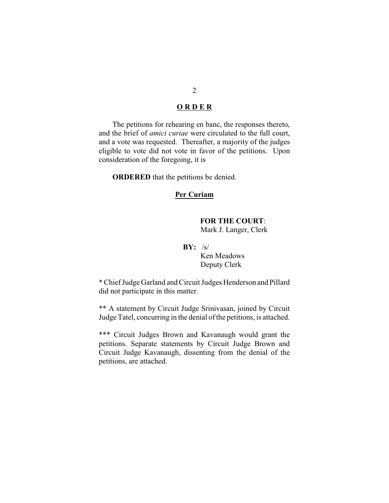## **O R D E R**

The petitions for rehearing en banc, the responses thereto, and the brief of *amici curiae* were circulated to the full court, and a vote was requested. Thereafter, a majority of the judges eligible to vote did not vote in favor of the petitions. Upon consideration of the foregoing, it is

**ORDERED** that the petitions be denied.

### **Per Curiam**

# **FOR THE COURT**:

Mark J. Langer, Clerk

## **BY:** /s/

 Ken Meadows Deputy Clerk

\* Chief Judge Garland and Circuit Judges Henderson and Pillard did not participate in this matter.

\*\* A statement by Circuit Judge Srinivasan, joined by Circuit Judge Tatel, concurring in the denial of the petitions, is attached.

\*\*\* Circuit Judges Brown and Kavanaugh would grant the petitions. Separate statements by Circuit Judge Brown and Circuit Judge Kavanaugh, dissenting from the denial of the petitions, are attached.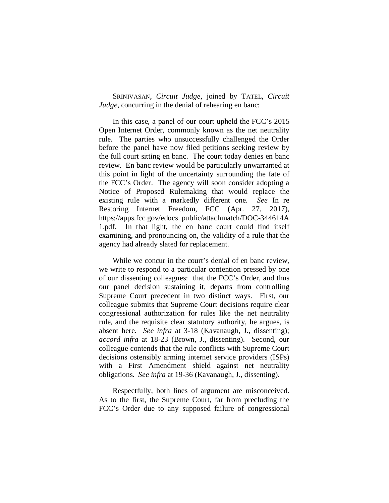SRINIVASAN, *Circuit Judge*, joined by TATEL, *Circuit Judge*, concurring in the denial of rehearing en banc:

In this case, a panel of our court upheld the FCC's 2015 Open Internet Order, commonly known as the net neutrality rule. The parties who unsuccessfully challenged the Order before the panel have now filed petitions seeking review by the full court sitting en banc. The court today denies en banc review. En banc review would be particularly unwarranted at this point in light of the uncertainty surrounding the fate of the FCC's Order. The agency will soon consider adopting a Notice of Proposed Rulemaking that would replace the existing rule with a markedly different one. *See* In re Restoring Internet Freedom, FCC (Apr. 27, 2017), https://apps.fcc.gov/edocs\_public/attachmatch/DOC-344614A 1.pdf. In that light, the en banc court could find itself examining, and pronouncing on, the validity of a rule that the agency had already slated for replacement.

While we concur in the court's denial of en banc review, we write to respond to a particular contention pressed by one of our dissenting colleagues: that the FCC's Order, and thus our panel decision sustaining it, departs from controlling Supreme Court precedent in two distinct ways. First, our colleague submits that Supreme Court decisions require clear congressional authorization for rules like the net neutrality rule, and the requisite clear statutory authority, he argues, is absent here. *See infra* at 3-18 (Kavanaugh, J., dissenting); *accord infra* at 18-23 (Brown, J., dissenting). Second, our colleague contends that the rule conflicts with Supreme Court decisions ostensibly arming internet service providers (ISPs) with a First Amendment shield against net neutrality obligations. *See infra* at 19-36 (Kavanaugh, J., dissenting).

Respectfully, both lines of argument are misconceived. As to the first, the Supreme Court, far from precluding the FCC's Order due to any supposed failure of congressional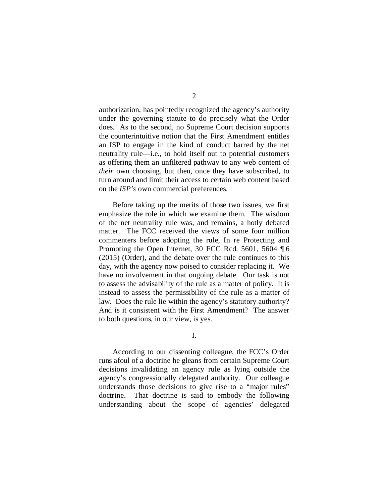authorization, has pointedly recognized the agency's authority under the governing statute to do precisely what the Order does. As to the second, no Supreme Court decision supports the counterintuitive notion that the First Amendment entitles an ISP to engage in the kind of conduct barred by the net neutrality rule—i.e., to hold itself out to potential customers as offering them an unfiltered pathway to any web content of *their* own choosing, but then, once they have subscribed, to turn around and limit their access to certain web content based on the *ISP's* own commercial preferences.

Before taking up the merits of those two issues, we first emphasize the role in which we examine them. The wisdom of the net neutrality rule was, and remains, a hotly debated matter. The FCC received the views of some four million commenters before adopting the rule, In re Protecting and Promoting the Open Internet, 30 FCC Rcd. 5601, 5604 ¶ 6 (2015) (Order), and the debate over the rule continues to this day, with the agency now poised to consider replacing it. We have no involvement in that ongoing debate. Our task is not to assess the advisability of the rule as a matter of policy. It is instead to assess the permissibility of the rule as a matter of law. Does the rule lie within the agency's statutory authority? And is it consistent with the First Amendment? The answer to both questions, in our view, is yes.

I.

According to our dissenting colleague, the FCC's Order runs afoul of a doctrine he gleans from certain Supreme Court decisions invalidating an agency rule as lying outside the agency's congressionally delegated authority. Our colleague understands those decisions to give rise to a "major rules" doctrine. That doctrine is said to embody the following understanding about the scope of agencies' delegated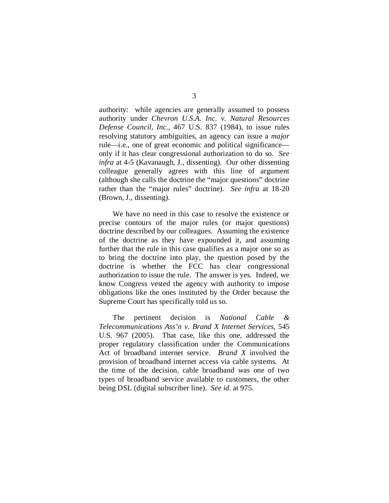authority: while agencies are generally assumed to possess authority under *Chevron U.S.A. Inc. v. Natural Resources Defense Council, Inc.*, 467 U.S. 837 (1984), to issue rules resolving statutory ambiguities, an agency can issue a *major* rule—i.e., one of great economic and political significance only if it has clear congressional authorization to do so. *See infra* at 4-5 (Kavanaugh, J., dissenting). Our other dissenting colleague generally agrees with this line of argument (although she calls the doctrine the "major questions" doctrine rather than the "major rules" doctrine). *See infra* at 18-20 (Brown, J., dissenting).

We have no need in this case to resolve the existence or precise contours of the major rules (or major questions) doctrine described by our colleagues. Assuming the existence of the doctrine as they have expounded it, and assuming further that the rule in this case qualifies as a major one so as to bring the doctrine into play, the question posed by the doctrine is whether the FCC has clear congressional authorization to issue the rule. The answer is yes. Indeed, we know Congress vested the agency with authority to impose obligations like the ones instituted by the Order because the Supreme Court has specifically told us so.

The pertinent decision is *National Cable & Telecommunications Ass'n v. Brand X Internet Services*, 545 U.S. 967 (2005). That case, like this one, addressed the proper regulatory classification under the Communications Act of broadband internet service. *Brand X* involved the provision of broadband internet access via cable systems. At the time of the decision, cable broadband was one of two types of broadband service available to customers, the other being DSL (digital subscriber line). *See id.* at 975.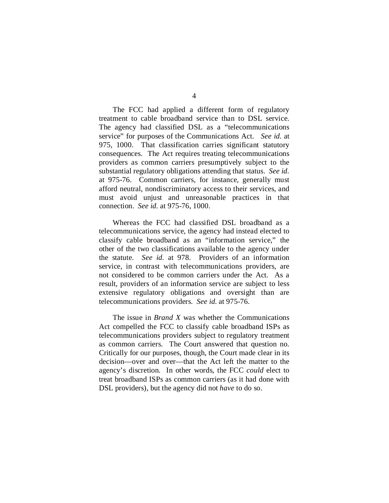4

The FCC had applied a different form of regulatory treatment to cable broadband service than to DSL service. The agency had classified DSL as a "telecommunications service" for purposes of the Communications Act. *See id.* at 975, 1000. That classification carries significant statutory consequences. The Act requires treating telecommunications providers as common carriers presumptively subject to the substantial regulatory obligations attending that status. *See id.*  at 975-76. Common carriers, for instance, generally must afford neutral, nondiscriminatory access to their services, and must avoid unjust and unreasonable practices in that connection. *See id.* at 975-76, 1000.

Whereas the FCC had classified DSL broadband as a telecommunications service, the agency had instead elected to classify cable broadband as an "information service," the other of the two classifications available to the agency under the statute. *See id.* at 978. Providers of an information service, in contrast with telecommunications providers, are not considered to be common carriers under the Act. As a result, providers of an information service are subject to less extensive regulatory obligations and oversight than are telecommunications providers. *See id.* at 975-76.

The issue in *Brand X* was whether the Communications Act compelled the FCC to classify cable broadband ISPs as telecommunications providers subject to regulatory treatment as common carriers. The Court answered that question no. Critically for our purposes, though, the Court made clear in its decision—over and over—that the Act left the matter to the agency's discretion. In other words, the FCC *could* elect to treat broadband ISPs as common carriers (as it had done with DSL providers), but the agency did not *have* to do so.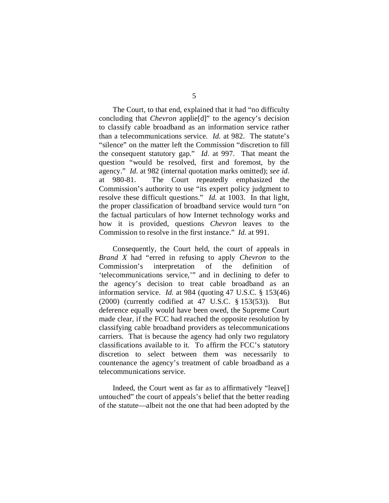The Court, to that end, explained that it had "no difficulty concluding that *Chevron* applie[d]" to the agency's decision to classify cable broadband as an information service rather than a telecommunications service. *Id.* at 982. The statute's "silence" on the matter left the Commission "discretion to fill the consequent statutory gap." *Id.* at 997. That meant the question "would be resolved, first and foremost, by the agency." *Id.* at 982 (internal quotation marks omitted); *see id.*  at 980-81. The Court repeatedly emphasized the Commission's authority to use "its expert policy judgment to resolve these difficult questions." *Id.* at 1003. In that light, the proper classification of broadband service would turn "on the factual particulars of how Internet technology works and how it is provided, questions *Chevron* leaves to the Commission to resolve in the first instance." *Id.* at 991.

Consequently, the Court held, the court of appeals in *Brand X* had "erred in refusing to apply *Chevron* to the Commission's interpretation of the definition of 'telecommunications service,'" and in declining to defer to the agency's decision to treat cable broadband as an information service. *Id.* at 984 (quoting 47 U.S.C. § 153(46) (2000) (currently codified at 47 U.S.C. § 153(53)). But deference equally would have been owed, the Supreme Court made clear, if the FCC had reached the opposite resolution by classifying cable broadband providers as telecommunications carriers. That is because the agency had only two regulatory classifications available to it. To affirm the FCC's statutory discretion to select between them was necessarily to countenance the agency's treatment of cable broadband as a telecommunications service.

Indeed, the Court went as far as to affirmatively "leave[] untouched" the court of appeals's belief that the better reading of the statute—albeit not the one that had been adopted by the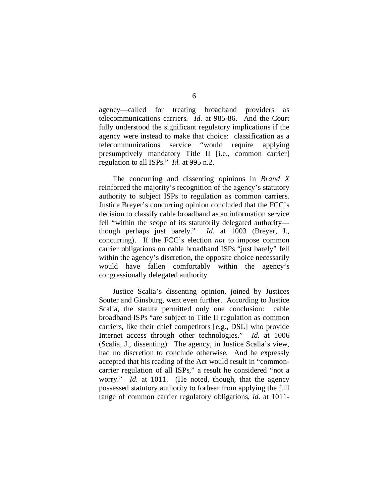agency—called for treating broadband providers as telecommunications carriers. *Id.* at 985-86. And the Court fully understood the significant regulatory implications if the agency were instead to make that choice: classification as a telecommunications service "would require applying presumptively mandatory Title II [i.e., common carrier] regulation to all ISPs." *Id.* at 995 n.2.

The concurring and dissenting opinions in *Brand X*  reinforced the majority's recognition of the agency's statutory authority to subject ISPs to regulation as common carriers. Justice Breyer's concurring opinion concluded that the FCC's decision to classify cable broadband as an information service fell "within the scope of its statutorily delegated authority though perhaps just barely." *Id.* at 1003 (Breyer, J., concurring). If the FCC's election *not* to impose common carrier obligations on cable broadband ISPs "just barely" fell within the agency's discretion, the opposite choice necessarily would have fallen comfortably within the agency's congressionally delegated authority.

Justice Scalia's dissenting opinion, joined by Justices Souter and Ginsburg, went even further. According to Justice Scalia, the statute permitted only one conclusion: cable broadband ISPs "are subject to Title II regulation as common carriers, like their chief competitors [e.g., DSL] who provide Internet access through other technologies." *Id.* at 1006 (Scalia, J., dissenting). The agency, in Justice Scalia's view, had no discretion to conclude otherwise. And he expressly accepted that his reading of the Act would result in "commoncarrier regulation of all ISPs," a result he considered "not a worry." *Id.* at 1011. (He noted, though, that the agency possessed statutory authority to forbear from applying the full range of common carrier regulatory obligations, *id.* at 1011-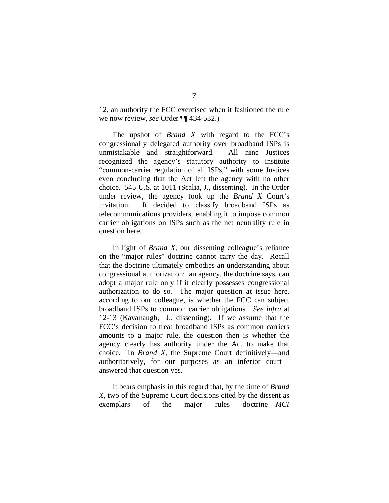12, an authority the FCC exercised when it fashioned the rule we now review, *see* Order ¶¶ 434-532.)

The upshot of *Brand X* with regard to the FCC's congressionally delegated authority over broadband ISPs is unmistakable and straightforward. All nine Justices recognized the agency's statutory authority to institute "common-carrier regulation of all ISPs," with some Justices even concluding that the Act left the agency with no other choice. 545 U.S. at 1011 (Scalia, J., dissenting). In the Order under review, the agency took up the *Brand X* Court's invitation. It decided to classify broadband ISPs as telecommunications providers, enabling it to impose common carrier obligations on ISPs such as the net neutrality rule in question here.

In light of *Brand X*, our dissenting colleague's reliance on the "major rules" doctrine cannot carry the day. Recall that the doctrine ultimately embodies an understanding about congressional authorization: an agency, the doctrine says, can adopt a major rule only if it clearly possesses congressional authorization to do so. The major question at issue here, according to our colleague, is whether the FCC can subject broadband ISPs to common carrier obligations. *See infra* at 12-13 (Kavanaugh, J., dissenting). If we assume that the FCC's decision to treat broadband ISPs as common carriers amounts to a major rule, the question then is whether the agency clearly has authority under the Act to make that choice. In *Brand X*, the Supreme Court definitively—and authoritatively, for our purposes as an inferior court answered that question yes.

It bears emphasis in this regard that, by the time of *Brand X*, two of the Supreme Court decisions cited by the dissent as exemplars of the major rules doctrine—*MCI*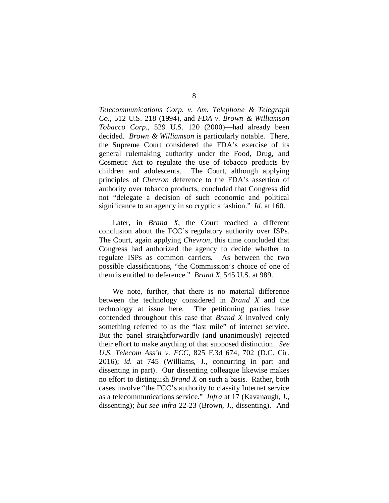*Telecommunications Corp. v. Am. Telephone & Telegraph Co.*, 512 U.S. 218 (1994), and *FDA v. Brown & Williamson Tobacco Corp.*, 529 U.S. 120 (2000)—had already been decided. *Brown & Williamson* is particularly notable. There, the Supreme Court considered the FDA's exercise of its general rulemaking authority under the Food, Drug, and Cosmetic Act to regulate the use of tobacco products by children and adolescents. The Court, although applying principles of *Chevron* deference to the FDA's assertion of authority over tobacco products, concluded that Congress did not "delegate a decision of such economic and political significance to an agency in so cryptic a fashion." *Id.* at 160.

Later, in *Brand X*, the Court reached a different conclusion about the FCC's regulatory authority over ISPs. The Court, again applying *Chevron*, this time concluded that Congress had authorized the agency to decide whether to regulate ISPs as common carriers. As between the two possible classifications, "the Commission's choice of one of them is entitled to deference." *Brand X*, 545 U.S. at 989.

We note, further, that there is no material difference between the technology considered in *Brand X* and the technology at issue here. The petitioning parties have contended throughout this case that *Brand X* involved only something referred to as the "last mile" of internet service. But the panel straightforwardly (and unanimously) rejected their effort to make anything of that supposed distinction. *See U.S. Telecom Ass'n v. FCC*, 825 F.3d 674, 702 (D.C. Cir. 2016); *id.* at 745 (Williams, J., concurring in part and dissenting in part). Our dissenting colleague likewise makes no effort to distinguish *Brand X* on such a basis. Rather, both cases involve "the FCC's authority to classify Internet service as a telecommunications service." *Infra* at 17 (Kavanaugh, J., dissenting); *but see infra* 22-23 (Brown, J., dissenting). And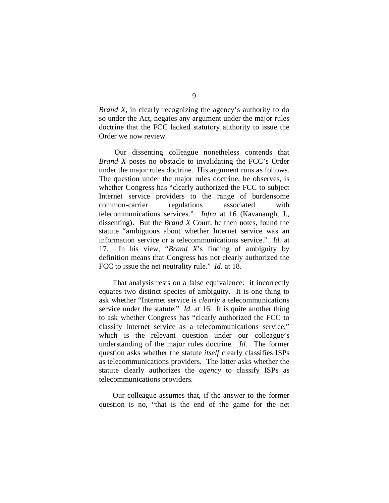*Brand X*, in clearly recognizing the agency's authority to do so under the Act, negates any argument under the major rules doctrine that the FCC lacked statutory authority to issue the Order we now review.

Our dissenting colleague nonetheless contends that *Brand X* poses no obstacle to invalidating the FCC's Order under the major rules doctrine. His argument runs as follows. The question under the major rules doctrine, he observes, is whether Congress has "clearly authorized the FCC to subject Internet service providers to the range of burdensome common-carrier regulations associated with telecommunications services." *Infra* at 16 (Kavanaugh, J., dissenting). But the *Brand X* Court, he then notes, found the statute "ambiguous about whether Internet service was an information service or a telecommunications service." *Id.* at 17. In his view, "*Brand X*'s finding of ambiguity by definition means that Congress has not clearly authorized the FCC to issue the net neutrality rule." *Id.* at 18.

That analysis rests on a false equivalence: it incorrectly equates two distinct species of ambiguity. It is one thing to ask whether "Internet service is *clearly* a telecommunications service under the statute." *Id.* at 16. It is quite another thing to ask whether Congress has "clearly authorized the FCC to classify Internet service as a telecommunications service," which is the relevant question under our colleague's understanding of the major rules doctrine. *Id.* The former question asks whether the statute *itself* clearly classifies ISPs as telecommunications providers. The latter asks whether the statute clearly authorizes the *agency* to classify ISPs as telecommunications providers.

Our colleague assumes that, if the answer to the former question is no, "that is the end of the game for the net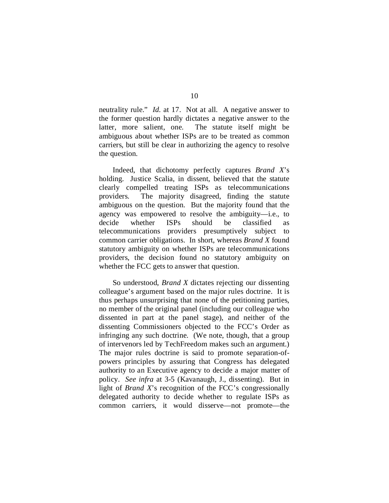neutrality rule." *Id.* at 17.Not at all. A negative answer to the former question hardly dictates a negative answer to the latter, more salient, one. The statute itself might be ambiguous about whether ISPs are to be treated as common carriers, but still be clear in authorizing the agency to resolve the question.

Indeed, that dichotomy perfectly captures *Brand X*'s holding. Justice Scalia, in dissent, believed that the statute clearly compelled treating ISPs as telecommunications providers. The majority disagreed, finding the statute ambiguous on the question. But the majority found that the agency was empowered to resolve the ambiguity—i.e., to decide whether ISPs should be classified as telecommunications providers presumptively subject to common carrier obligations. In short, whereas *Brand X* found statutory ambiguity on whether ISPs are telecommunications providers, the decision found no statutory ambiguity on whether the FCC gets to answer that question.

So understood, *Brand X* dictates rejecting our dissenting colleague's argument based on the major rules doctrine. It is thus perhaps unsurprising that none of the petitioning parties, no member of the original panel (including our colleague who dissented in part at the panel stage), and neither of the dissenting Commissioners objected to the FCC's Order as infringing any such doctrine. (We note, though, that a group of intervenors led by TechFreedom makes such an argument.) The major rules doctrine is said to promote separation-ofpowers principles by assuring that Congress has delegated authority to an Executive agency to decide a major matter of policy. *See infra* at 3-5 (Kavanaugh, J., dissenting). But in light of *Brand X*'s recognition of the FCC's congressionally delegated authority to decide whether to regulate ISPs as common carriers, it would disserve—not promote—the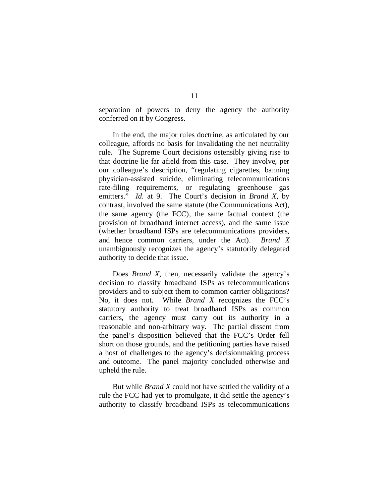separation of powers to deny the agency the authority conferred on it by Congress.

In the end, the major rules doctrine, as articulated by our colleague, affords no basis for invalidating the net neutrality rule. The Supreme Court decisions ostensibly giving rise to that doctrine lie far afield from this case. They involve, per our colleague's description, "regulating cigarettes, banning physician-assisted suicide, eliminating telecommunications rate-filing requirements, or regulating greenhouse gas emitters." *Id.* at 9. The Court's decision in *Brand X*, by contrast, involved the same statute (the Communications Act), the same agency (the FCC), the same factual context (the provision of broadband internet access), and the same issue (whether broadband ISPs are telecommunications providers, and hence common carriers, under the Act). *Brand X*  unambiguously recognizes the agency's statutorily delegated authority to decide that issue.

Does *Brand X*, then, necessarily validate the agency's decision to classify broadband ISPs as telecommunications providers and to subject them to common carrier obligations? No, it does not. While *Brand X* recognizes the FCC's statutory authority to treat broadband ISPs as common carriers, the agency must carry out its authority in a reasonable and non-arbitrary way. The partial dissent from the panel's disposition believed that the FCC's Order fell short on those grounds, and the petitioning parties have raised a host of challenges to the agency's decisionmaking process and outcome. The panel majority concluded otherwise and upheld the rule.

But while *Brand X* could not have settled the validity of a rule the FCC had yet to promulgate, it did settle the agency's authority to classify broadband ISPs as telecommunications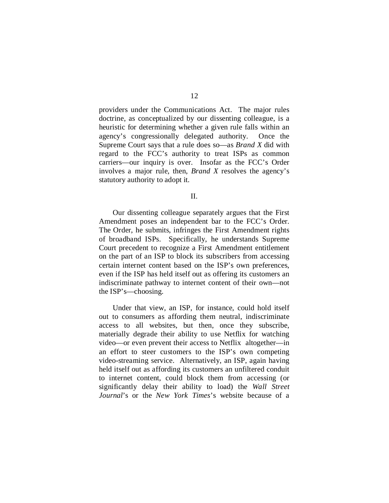providers under the Communications Act. The major rules doctrine, as conceptualized by our dissenting colleague, is a heuristic for determining whether a given rule falls within an agency's congressionally delegated authority. Once the Supreme Court says that a rule does so—as *Brand X* did with regard to the FCC's authority to treat ISPs as common carriers—our inquiry is over. Insofar as the FCC's Order involves a major rule, then, *Brand X* resolves the agency's statutory authority to adopt it.

II.

Our dissenting colleague separately argues that the First Amendment poses an independent bar to the FCC's Order. The Order, he submits, infringes the First Amendment rights of broadband ISPs. Specifically, he understands Supreme Court precedent to recognize a First Amendment entitlement on the part of an ISP to block its subscribers from accessing certain internet content based on the ISP's own preferences, even if the ISP has held itself out as offering its customers an indiscriminate pathway to internet content of their own—not the ISP's—choosing.

Under that view, an ISP, for instance, could hold itself out to consumers as affording them neutral, indiscriminate access to all websites, but then, once they subscribe, materially degrade their ability to use Netflix for watching video—or even prevent their access to Netflix altogether—in an effort to steer customers to the ISP's own competing video-streaming service. Alternatively, an ISP, again having held itself out as affording its customers an unfiltered conduit to internet content, could block them from accessing (or significantly delay their ability to load) the *Wall Street Journal*'s or the *New York Times*'s website because of a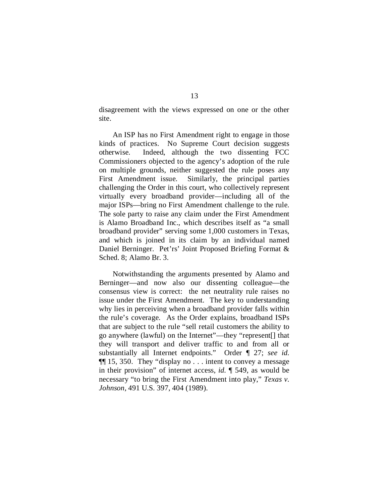disagreement with the views expressed on one or the other site.

An ISP has no First Amendment right to engage in those kinds of practices. No Supreme Court decision suggests otherwise. Indeed, although the two dissenting FCC Commissioners objected to the agency's adoption of the rule on multiple grounds, neither suggested the rule poses any First Amendment issue. Similarly, the principal parties challenging the Order in this court, who collectively represent virtually every broadband provider—including all of the major ISPs—bring no First Amendment challenge to the rule. The sole party to raise any claim under the First Amendment is Alamo Broadband Inc., which describes itself as "a small broadband provider" serving some 1,000 customers in Texas, and which is joined in its claim by an individual named Daniel Berninger. Pet'rs' Joint Proposed Briefing Format & Sched. 8; Alamo Br. 3.

Notwithstanding the arguments presented by Alamo and Berninger—and now also our dissenting colleague—the consensus view is correct: the net neutrality rule raises no issue under the First Amendment. The key to understanding why lies in perceiving when a broadband provider falls within the rule's coverage. As the Order explains, broadband ISPs that are subject to the rule "sell retail customers the ability to go anywhere (lawful) on the Internet"—they "represent[] that they will transport and deliver traffic to and from all or substantially all Internet endpoints." Order ¶ 27; *see id.*  ¶¶ 15, 350. They "display no . . . intent to convey a message in their provision" of internet access, *id.* ¶ 549, as would be necessary "to bring the First Amendment into play," *Texas v. Johnson*, 491 U.S. 397, 404 (1989).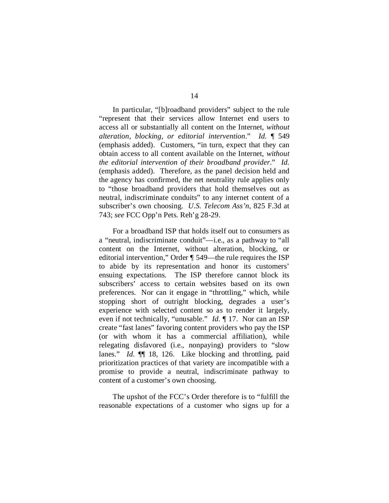In particular, "[b]roadband providers" subject to the rule "represent that their services allow Internet end users to access all or substantially all content on the Internet, *without alteration, blocking, or editorial intervention*." *Id.* ¶ 549 (emphasis added). Customers, "in turn, expect that they can obtain access to all content available on the Internet, *without the editorial intervention of their broadband provider*." *Id.*  (emphasis added).Therefore, as the panel decision held and the agency has confirmed, the net neutrality rule applies only to "those broadband providers that hold themselves out as neutral, indiscriminate conduits" to any internet content of a subscriber's own choosing. *U.S. Telecom Ass'n*, 825 F.3d at 743; *see* FCC Opp'n Pets. Reh'g 28-29.

For a broadband ISP that holds itself out to consumers as a "neutral, indiscriminate conduit"—i.e., as a pathway to "all content on the Internet, without alteration, blocking, or editorial intervention," Order ¶ 549—the rule requires the ISP to abide by its representation and honor its customers' ensuing expectations. The ISP therefore cannot block its subscribers' access to certain websites based on its own preferences. Nor can it engage in "throttling," which, while stopping short of outright blocking, degrades a user's experience with selected content so as to render it largely, even if not technically, "unusable." *Id.* ¶ 17. Nor can an ISP create "fast lanes" favoring content providers who pay the ISP (or with whom it has a commercial affiliation), while relegating disfavored (i.e., nonpaying) providers to "slow lanes." *Id.* ¶¶ 18, 126. Like blocking and throttling, paid prioritization practices of that variety are incompatible with a promise to provide a neutral, indiscriminate pathway to content of a customer's own choosing.

The upshot of the FCC's Order therefore is to "fulfill the reasonable expectations of a customer who signs up for a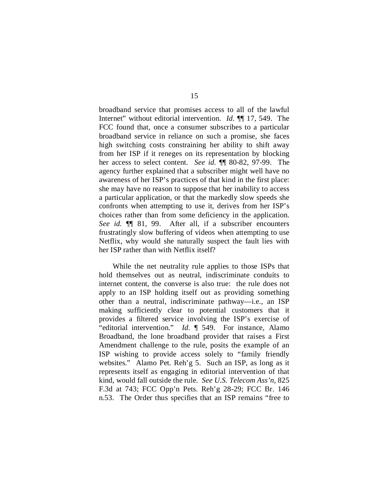broadband service that promises access to all of the lawful Internet" without editorial intervention. *Id.* ¶¶ 17, 549. The FCC found that, once a consumer subscribes to a particular broadband service in reliance on such a promise, she faces high switching costs constraining her ability to shift away from her ISP if it reneges on its representation by blocking her access to select content. *See id.* ¶¶ 80-82, 97-99. The agency further explained that a subscriber might well have no awareness of her ISP's practices of that kind in the first place: she may have no reason to suppose that her inability to access a particular application, or that the markedly slow speeds she confronts when attempting to use it, derives from her ISP's choices rather than from some deficiency in the application. *See id.* ¶¶ 81, 99. After all, if a subscriber encounters frustratingly slow buffering of videos when attempting to use Netflix, why would she naturally suspect the fault lies with her ISP rather than with Netflix itself?

While the net neutrality rule applies to those ISPs that hold themselves out as neutral, indiscriminate conduits to internet content, the converse is also true: the rule does not apply to an ISP holding itself out as providing something other than a neutral, indiscriminate pathway—i.e., an ISP making sufficiently clear to potential customers that it provides a filtered service involving the ISP's exercise of "editorial intervention." *Id.* ¶ 549. For instance, Alamo Broadband, the lone broadband provider that raises a First Amendment challenge to the rule, posits the example of an ISP wishing to provide access solely to "family friendly websites." Alamo Pet. Reh'g 5. Such an ISP, as long as it represents itself as engaging in editorial intervention of that kind, would fall outside the rule. *See U.S. Telecom Ass'n*, 825 F.3d at 743; FCC Opp'n Pets. Reh'g 28-29; FCC Br. 146 n.53. The Order thus specifies that an ISP remains "free to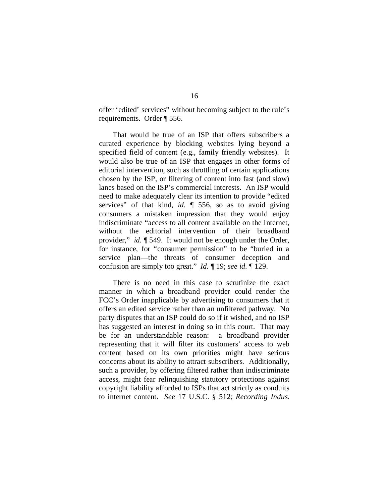offer 'edited' services" without becoming subject to the rule's requirements. Order ¶ 556.

That would be true of an ISP that offers subscribers a curated experience by blocking websites lying beyond a specified field of content (e.g., family friendly websites). It would also be true of an ISP that engages in other forms of editorial intervention, such as throttling of certain applications chosen by the ISP, or filtering of content into fast (and slow) lanes based on the ISP's commercial interests. An ISP would need to make adequately clear its intention to provide "edited services" of that kind, *id.* ¶ 556, so as to avoid giving consumers a mistaken impression that they would enjoy indiscriminate "access to all content available on the Internet, without the editorial intervention of their broadband provider," *id.* ¶ 549. It would not be enough under the Order, for instance, for "consumer permission" to be "buried in a service plan—the threats of consumer deception and confusion are simply too great." *Id.* ¶ 19; *see id.* ¶ 129.

There is no need in this case to scrutinize the exact manner in which a broadband provider could render the FCC's Order inapplicable by advertising to consumers that it offers an edited service rather than an unfiltered pathway. No party disputes that an ISP could do so if it wished, and no ISP has suggested an interest in doing so in this court. That may be for an understandable reason: a broadband provider representing that it will filter its customers' access to web content based on its own priorities might have serious concerns about its ability to attract subscribers. Additionally, such a provider, by offering filtered rather than indiscriminate access, might fear relinquishing statutory protections against copyright liability afforded to ISPs that act strictly as conduits to internet content. *See* 17 U.S.C. § 512; *Recording Indus.*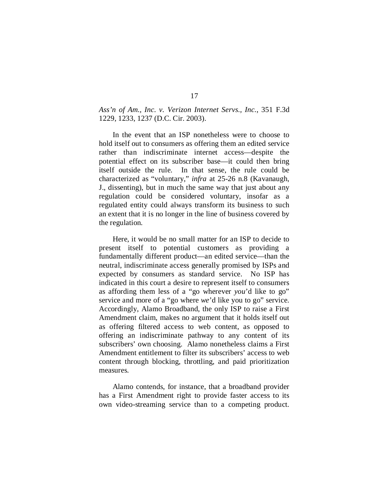## *Ass'n of Am., Inc. v. Verizon Internet Servs., Inc.*, 351 F.3d 1229, 1233, 1237 (D.C. Cir. 2003).

In the event that an ISP nonetheless were to choose to hold itself out to consumers as offering them an edited service rather than indiscriminate internet access—despite the potential effect on its subscriber base—it could then bring itself outside the rule. In that sense, the rule could be characterized as "voluntary," *infra* at 25-26 n.8 (Kavanaugh, J., dissenting), but in much the same way that just about any regulation could be considered voluntary, insofar as a regulated entity could always transform its business to such an extent that it is no longer in the line of business covered by the regulation.

Here, it would be no small matter for an ISP to decide to present itself to potential customers as providing a fundamentally different product—an edited service—than the neutral, indiscriminate access generally promised by ISPs and expected by consumers as standard service. No ISP has indicated in this court a desire to represent itself to consumers as affording them less of a "go wherever *you*'d like to go" service and more of a "go where *we*'d like you to go" service. Accordingly, Alamo Broadband, the only ISP to raise a First Amendment claim, makes no argument that it holds itself out as offering filtered access to web content, as opposed to offering an indiscriminate pathway to any content of its subscribers' own choosing. Alamo nonetheless claims a First Amendment entitlement to filter its subscribers' access to web content through blocking, throttling, and paid prioritization measures.

Alamo contends, for instance, that a broadband provider has a First Amendment right to provide faster access to its own video-streaming service than to a competing product.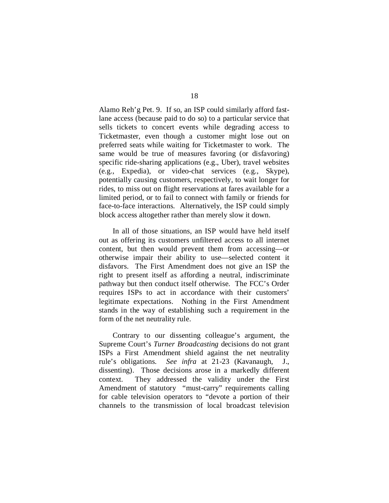Alamo Reh'g Pet. 9. If so, an ISP could similarly afford fastlane access (because paid to do so) to a particular service that sells tickets to concert events while degrading access to Ticketmaster, even though a customer might lose out on preferred seats while waiting for Ticketmaster to work. The same would be true of measures favoring (or disfavoring) specific ride-sharing applications (e.g., Uber), travel websites (e.g., Expedia), or video-chat services (e.g., Skype), potentially causing customers, respectively, to wait longer for rides, to miss out on flight reservations at fares available for a limited period, or to fail to connect with family or friends for face-to-face interactions. Alternatively, the ISP could simply block access altogether rather than merely slow it down.

In all of those situations, an ISP would have held itself out as offering its customers unfiltered access to all internet content, but then would prevent them from accessing—or otherwise impair their ability to use—selected content it disfavors. The First Amendment does not give an ISP the right to present itself as affording a neutral, indiscriminate pathway but then conduct itself otherwise. The FCC's Order requires ISPs to act in accordance with their customers' legitimate expectations. Nothing in the First Amendment stands in the way of establishing such a requirement in the form of the net neutrality rule.

Contrary to our dissenting colleague's argument, the Supreme Court's *Turner Broadcasting* decisions do not grant ISPs a First Amendment shield against the net neutrality rule's obligations. *See infra* at 21-23 (Kavanaugh, J., dissenting). Those decisions arose in a markedly different context. They addressed the validity under the First Amendment of statutory "must-carry" requirements calling for cable television operators to "devote a portion of their channels to the transmission of local broadcast television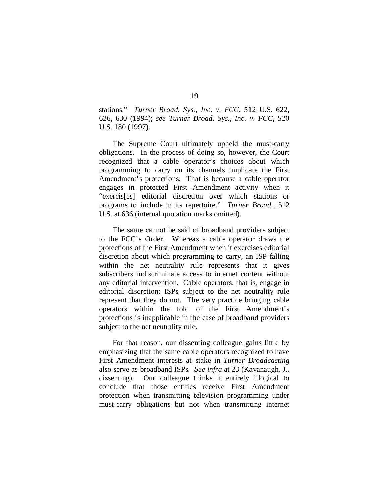stations." *Turner Broad. Sys., Inc. v. FCC*, 512 U.S. 622, 626, 630 (1994); *see Turner Broad. Sys., Inc. v. FCC*, 520 U.S. 180 (1997).

The Supreme Court ultimately upheld the must-carry obligations. In the process of doing so, however, the Court recognized that a cable operator's choices about which programming to carry on its channels implicate the First Amendment's protections. That is because a cable operator engages in protected First Amendment activity when it "exercis[es] editorial discretion over which stations or programs to include in its repertoire." *Turner Broad.*, 512 U.S. at 636 (internal quotation marks omitted).

The same cannot be said of broadband providers subject to the FCC's Order. Whereas a cable operator draws the protections of the First Amendment when it exercises editorial discretion about which programming to carry, an ISP falling within the net neutrality rule represents that it gives subscribers indiscriminate access to internet content without any editorial intervention. Cable operators, that is, engage in editorial discretion; ISPs subject to the net neutrality rule represent that they do not. The very practice bringing cable operators within the fold of the First Amendment's protections is inapplicable in the case of broadband providers subject to the net neutrality rule.

For that reason, our dissenting colleague gains little by emphasizing that the same cable operators recognized to have First Amendment interests at stake in *Turner Broadcasting*  also serve as broadband ISPs. *See infra* at 23 (Kavanaugh, J., dissenting). Our colleague thinks it entirely illogical to conclude that those entities receive First Amendment protection when transmitting television programming under must-carry obligations but not when transmitting internet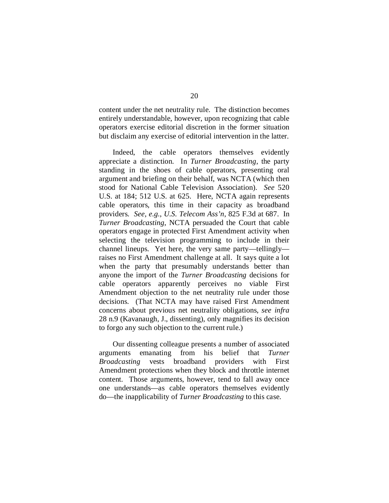content under the net neutrality rule. The distinction becomes entirely understandable, however, upon recognizing that cable operators exercise editorial discretion in the former situation but disclaim any exercise of editorial intervention in the latter.

Indeed, the cable operators themselves evidently appreciate a distinction. In *Turner Broadcasting*, the party standing in the shoes of cable operators, presenting oral argument and briefing on their behalf, was NCTA (which then stood for National Cable Television Association). *See* 520 U.S. at 184; 512 U.S. at 625. Here, NCTA again represents cable operators, this time in their capacity as broadband providers. *See, e.g.*, *U.S. Telecom Ass'n*, 825 F.3d at 687. In *Turner Broadcasting*, NCTA persuaded the Court that cable operators engage in protected First Amendment activity when selecting the television programming to include in their channel lineups. Yet here, the very same party—tellingly raises no First Amendment challenge at all. It says quite a lot when the party that presumably understands better than anyone the import of the *Turner Broadcasting* decisions for cable operators apparently perceives no viable First Amendment objection to the net neutrality rule under those decisions. (That NCTA may have raised First Amendment concerns about previous net neutrality obligations, *see infra*  28 n.9 (Kavanaugh, J., dissenting), only magnifies its decision to forgo any such objection to the current rule.)

Our dissenting colleague presents a number of associated arguments emanating from his belief that *Turner Broadcasting* vests broadband providers with First Amendment protections when they block and throttle internet content. Those arguments, however, tend to fall away once one understands—as cable operators themselves evidently do—the inapplicability of *Turner Broadcasting* to this case.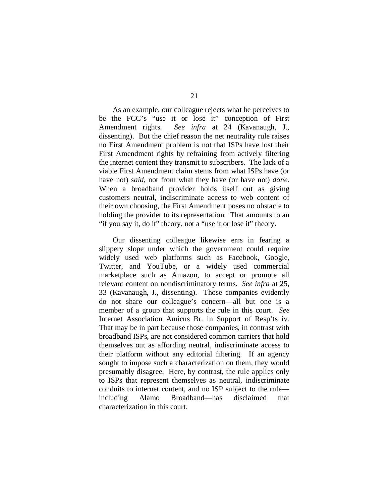As an example, our colleague rejects what he perceives to be the FCC's "use it or lose it" conception of First Amendment rights. *See infra* at 24 (Kavanaugh, J., dissenting). But the chief reason the net neutrality rule raises no First Amendment problem is not that ISPs have lost their First Amendment rights by refraining from actively filtering the internet content they transmit to subscribers. The lack of a viable First Amendment claim stems from what ISPs have (or have not) *said*, not from what they have (or have not) *done*. When a broadband provider holds itself out as giving customers neutral, indiscriminate access to web content of their own choosing, the First Amendment poses no obstacle to holding the provider to its representation. That amounts to an "if you say it, do it" theory, not a "use it or lose it" theory.

Our dissenting colleague likewise errs in fearing a slippery slope under which the government could require widely used web platforms such as Facebook, Google, Twitter, and YouTube, or a widely used commercial marketplace such as Amazon, to accept or promote all relevant content on nondiscriminatory terms. *See infra* at 25, 33 (Kavanaugh, J., dissenting). Those companies evidently do not share our colleague's concern—all but one is a member of a group that supports the rule in this court. *See* Internet Association Amicus Br. in Support of Resp'ts iv. That may be in part because those companies, in contrast with broadband ISPs, are not considered common carriers that hold themselves out as affording neutral, indiscriminate access to their platform without any editorial filtering. If an agency sought to impose such a characterization on them, they would presumably disagree. Here, by contrast, the rule applies only to ISPs that represent themselves as neutral, indiscriminate conduits to internet content, and no ISP subject to the rule including Alamo Broadband—has disclaimed that characterization in this court.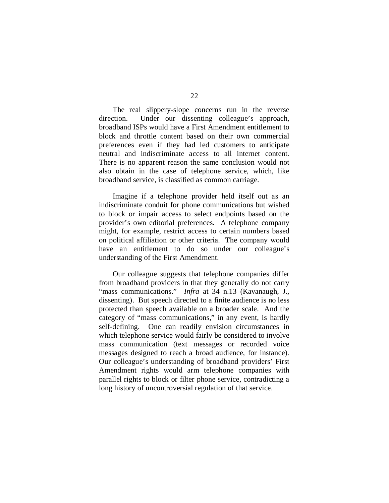The real slippery-slope concerns run in the reverse direction. Under our dissenting colleague's approach, broadband ISPs would have a First Amendment entitlement to block and throttle content based on their own commercial preferences even if they had led customers to anticipate neutral and indiscriminate access to all internet content. There is no apparent reason the same conclusion would not also obtain in the case of telephone service, which, like broadband service, is classified as common carriage.

Imagine if a telephone provider held itself out as an indiscriminate conduit for phone communications but wished to block or impair access to select endpoints based on the provider's own editorial preferences. A telephone company might, for example, restrict access to certain numbers based on political affiliation or other criteria. The company would have an entitlement to do so under our colleague's understanding of the First Amendment.

Our colleague suggests that telephone companies differ from broadband providers in that they generally do not carry "mass communications." *Infra* at 34 n.13 (Kavanaugh, J., dissenting). But speech directed to a finite audience is no less protected than speech available on a broader scale. And the category of "mass communications," in any event, is hardly self-defining. One can readily envision circumstances in which telephone service would fairly be considered to involve mass communication (text messages or recorded voice messages designed to reach a broad audience, for instance). Our colleague's understanding of broadband providers' First Amendment rights would arm telephone companies with parallel rights to block or filter phone service, contradicting a long history of uncontroversial regulation of that service.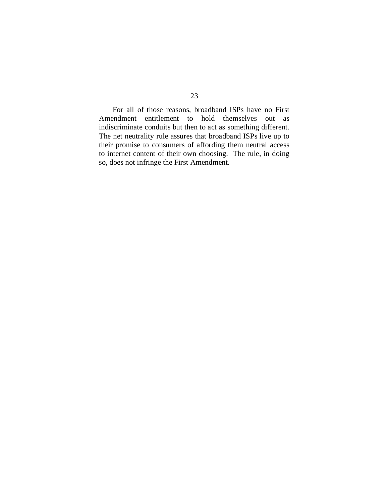For all of those reasons, broadband ISPs have no First Amendment entitlement to hold themselves out as indiscriminate conduits but then to act as something different. The net neutrality rule assures that broadband ISPs live up to their promise to consumers of affording them neutral access to internet content of their own choosing. The rule, in doing so, does not infringe the First Amendment.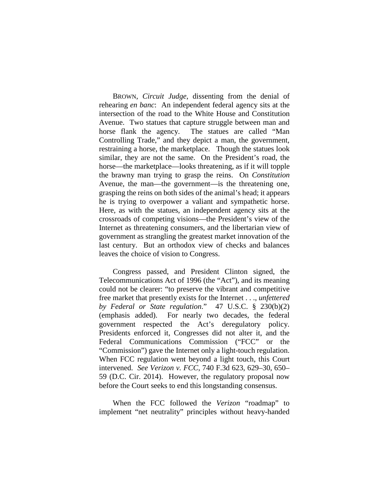BROWN, *Circuit Judge*, dissenting from the denial of rehearing *en banc*: An independent federal agency sits at the intersection of the road to the White House and Constitution Avenue. Two statues that capture struggle between man and horse flank the agency. The statues are called "Man Controlling Trade," and they depict a man, the government, restraining a horse, the marketplace. Though the statues look similar, they are not the same. On the President's road, the horse—the marketplace—looks threatening, as if it will topple the brawny man trying to grasp the reins. On *Constitution* Avenue, the man—the government—is the threatening one, grasping the reins on both sides of the animal's head; it appears he is trying to overpower a valiant and sympathetic horse. Here, as with the statues, an independent agency sits at the crossroads of competing visions—the President's view of the Internet as threatening consumers, and the libertarian view of government as strangling the greatest market innovation of the last century. But an orthodox view of checks and balances leaves the choice of vision to Congress.

Congress passed, and President Clinton signed, the Telecommunications Act of 1996 (the "Act"), and its meaning could not be clearer: "to preserve the vibrant and competitive free market that presently exists for the Internet . . ., *unfettered by Federal or State regulation*." 47 U.S.C. § 230(b)(2) (emphasis added). For nearly two decades, the federal government respected the Act's deregulatory policy. Presidents enforced it, Congresses did not alter it, and the Federal Communications Commission ("FCC" or the "Commission") gave the Internet only a light-touch regulation. When FCC regulation went beyond a light touch, this Court intervened. *See Verizon v. FCC*, 740 F.3d 623, 629–30, 650– 59 (D.C. Cir. 2014). However, the regulatory proposal now before the Court seeks to end this longstanding consensus.

When the FCC followed the *Verizon* "roadmap" to implement "net neutrality" principles without heavy-handed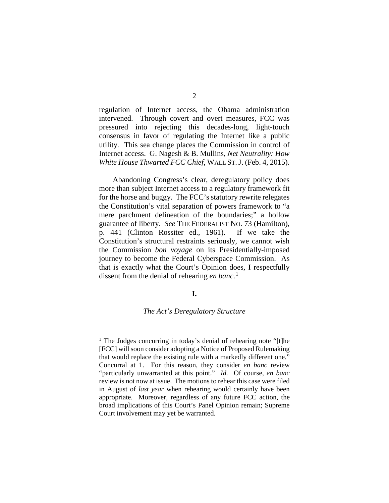regulation of Internet access, the Obama administration intervened. Through covert and overt measures, FCC was pressured into rejecting this decades-long, light-touch consensus in favor of regulating the Internet like a public utility. This sea change places the Commission in control of Internet access. G. Nagesh & B. Mullins, *Net Neutrality: How White House Thwarted FCC Chief*, WALL ST.J. (Feb. 4, 2015).

Abandoning Congress's clear, deregulatory policy does more than subject Internet access to a regulatory framework fit for the horse and buggy. The FCC's statutory rewrite relegates the Constitution's vital separation of powers framework to "a mere parchment delineation of the boundaries;" a hollow guarantee of liberty. *See* THE FEDERALIST NO. 73 (Hamilton), p. 441 (Clinton Rossiter ed., 1961). If we take the Constitution's structural restraints seriously, we cannot wish the Commission *bon voyage* on its Presidentially-imposed journey to become the Federal Cyberspace Commission. As that is exactly what the Court's Opinion does, I respectfully dissent from the denial of rehearing *en banc*. [1](#page-26-0)

## **I.**

## *The Act's Deregulatory Structure*

<span id="page-26-0"></span><sup>&</sup>lt;sup>1</sup> The Judges concurring in today's denial of rehearing note "[t]he [FCC] will soon consider adopting a Notice of Proposed Rulemaking that would replace the existing rule with a markedly different one." Concurral at 1. For this reason, they consider *en banc* review "particularly unwarranted at this point." *Id.* Of course, *en banc* review is not now at issue. The motions to rehear this case were filed in August of *last year* when rehearing would certainly have been appropriate. Moreover, regardless of any future FCC action, the broad implications of this Court's Panel Opinion remain; Supreme Court involvement may yet be warranted.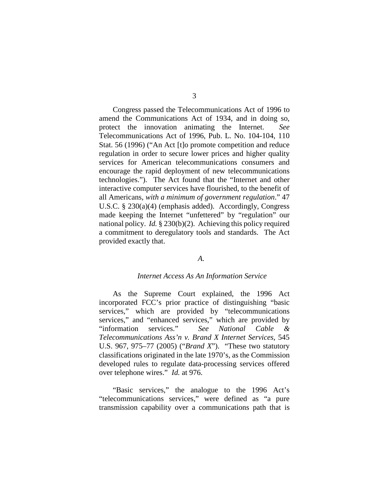Congress passed the Telecommunications Act of 1996 to amend the Communications Act of 1934, and in doing so, protect the innovation animating the Internet. *See* Telecommunications Act of 1996, Pub. L. No. 104-104, 110 Stat. 56 (1996) ("An Act [t]o promote competition and reduce regulation in order to secure lower prices and higher quality services for American telecommunications consumers and encourage the rapid deployment of new telecommunications technologies."). The Act found that the "Internet and other interactive computer services have flourished, to the benefit of all Americans, *with a minimum of government regulation*." 47 U.S.C. § 230(a)(4) (emphasis added). Accordingly, Congress made keeping the Internet "unfettered" by "regulation" our national policy. *Id.* § 230(b)(2). Achieving this policy required a commitment to deregulatory tools and standards. The Act provided exactly that.

# *A.*

#### *Internet Access As An Information Service*

As the Supreme Court explained, the 1996 Act incorporated FCC's prior practice of distinguishing "basic services," which are provided by "telecommunications services," and "enhanced services," which are provided by "information services." *See National Cable & Telecommunications Ass'n v. Brand X Internet Services*, 545 U.S. 967, 975–77 (2005) ("*Brand X*"). "These two statutory classifications originated in the late 1970's, as the Commission developed rules to regulate data-processing services offered over telephone wires." *Id.* at 976.

"Basic services," the analogue to the 1996 Act's "telecommunications services," were defined as "a pure transmission capability over a communications path that is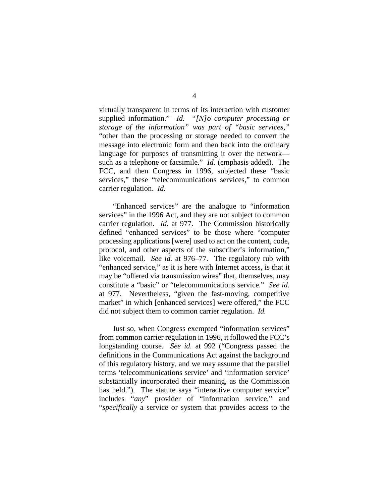virtually transparent in terms of its interaction with customer supplied information." *Id. "[N]o computer processing or storage of the information" was part of "basic services,"* "other than the processing or storage needed to convert the message into electronic form and then back into the ordinary language for purposes of transmitting it over the network such as a telephone or facsimile." *Id.* (emphasis added). The FCC, and then Congress in 1996, subjected these "basic services," these "telecommunications services," to common carrier regulation. *Id.*

"Enhanced services" are the analogue to "information services" in the 1996 Act, and they are not subject to common carrier regulation. *Id.* at 977. The Commission historically defined "enhanced services" to be those where "computer processing applications [were] used to act on the content, code, protocol, and other aspects of the subscriber's information," like voicemail. *See id.* at 976–77. The regulatory rub with "enhanced service," as it is here with Internet access, is that it may be "offered via transmission wires" that, themselves, may constitute a "basic" or "telecommunications service." *See id.* at 977. Nevertheless, "given the fast-moving, competitive market" in which [enhanced services] were offered," the FCC did not subject them to common carrier regulation. *Id.* 

Just so, when Congress exempted "information services" from common carrier regulation in 1996, it followed the FCC's longstanding course. *See id.* at 992 ("Congress passed the definitions in the Communications Act against the background of this regulatory history, and we may assume that the parallel terms 'telecommunications service' and 'information service' substantially incorporated their meaning, as the Commission has held."). The statute says "interactive computer service" includes "*any*" provider of "information service," and "*specifically* a service or system that provides access to the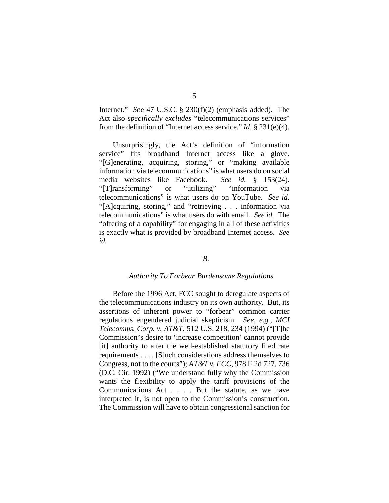Internet." *See* 47 U.S.C. § 230(f)(2) (emphasis added). The Act also *specifically excludes* "telecommunications services" from the definition of "Internet access service." *Id.* § 231(e)(4).

Unsurprisingly, the Act's definition of "information service" fits broadband Internet access like a glove. "[G]enerating, acquiring, storing," or "making available information via telecommunications" is what users do on social media websites like Facebook. *See id.* § 153(24). "[T]ransforming" or "utilizing" "information via telecommunications" is what users do on YouTube. *See id.*  "[A]cquiring, storing," and "retrieving . . . information via telecommunications" is what users do with email. *See id.* The "offering of a capability" for engaging in all of these activities is exactly what is provided by broadband Internet access. *See id.*

## *B.*

### *Authority To Forbear Burdensome Regulations*

Before the 1996 Act, FCC sought to deregulate aspects of the telecommunications industry on its own authority. But, its assertions of inherent power to "forbear" common carrier regulations engendered judicial skepticism. *See, e.g.*, *MCI Telecomms. Corp. v. AT&T*, 512 U.S. 218, 234 (1994) ("[T]he Commission's desire to 'increase competition' cannot provide [it] authority to alter the well-established statutory filed rate requirements . . . . [S]uch considerations address themselves to Congress, not to the courts"); *AT&T v. FCC*, 978 F.2d 727, 736 (D.C. Cir. 1992) ("We understand fully why the Commission wants the flexibility to apply the tariff provisions of the Communications Act . . . . But the statute, as we have interpreted it, is not open to the Commission's construction. The Commission will have to obtain congressional sanction for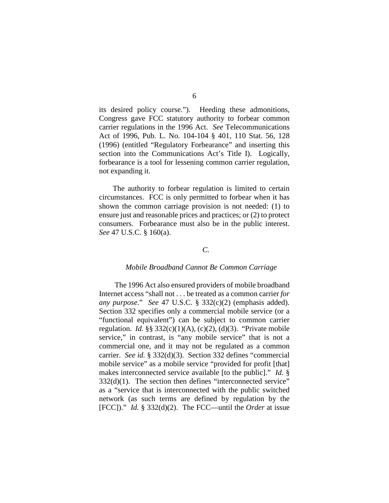its desired policy course."). Heeding these admonitions, Congress gave FCC statutory authority to forbear common carrier regulations in the 1996 Act. *See* Telecommunications Act of 1996, Pub. L. No. 104-104 § 401, 110 Stat. 56, 128 (1996) (entitled "Regulatory Forbearance" and inserting this section into the Communications Act's Title I). Logically, forbearance is a tool for lessening common carrier regulation, not expanding it.

The authority to forbear regulation is limited to certain circumstances. FCC is only permitted to forbear when it has shown the common carriage provision is not needed: (1) to ensure just and reasonable prices and practices; or (2) to protect consumers. Forbearance must also be in the public interest. *See* 47 U.S.C. § 160(a).

## *C.*

#### *Mobile Broadband Cannot Be Common Carriage*

The 1996 Act also ensured providers of mobile broadband Internet access "shall not . . . be treated as a common carrier *for any purpose*." *See* 47 U.S.C. § 332(c)(2) (emphasis added). Section 332 specifies only a commercial mobile service (or a "functional equivalent") can be subject to common carrier regulation. *Id.*  $\S$ § 332(c)(1)(A), (c)(2), (d)(3). "Private mobile service," in contrast, is "any mobile service" that is not a commercial one, and it may not be regulated as a common carrier. *See id.* § 332(d)(3). Section 332 defines "commercial mobile service" as a mobile service "provided for profit [that] makes interconnected service available [to the public]." *Id.* §  $332(d)(1)$ . The section then defines "interconnected service" as a "service that is interconnected with the public switched network (as such terms are defined by regulation by the [FCC])." *Id.* § 332(d)(2). The FCC—until the *Order* at issue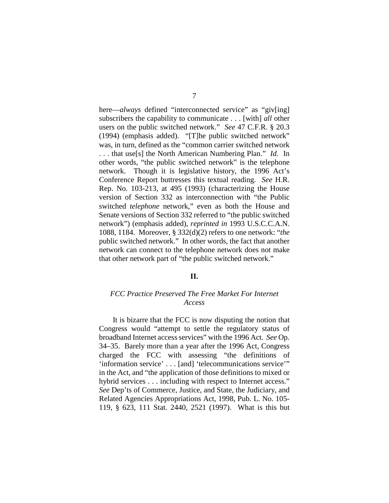here—*always* defined "interconnected service" as "giv[ing] subscribers the capability to communicate . . . [with] *all* other users on the public switched network." *See* 47 C.F.R. § 20.3 (1994) (emphasis added). "[T]he public switched network" was, in turn, defined as the "common carrier switched network . . . that use[s] the North American Numbering Plan." *Id.* In other words, "the public switched network" is the telephone network. Though it is legislative history, the 1996 Act's Conference Report buttresses this textual reading. *See* H.R. Rep. No. 103-213, at 495 (1993) (characterizing the House version of Section 332 as interconnection with "the Public switched *telephone* network," even as both the House and Senate versions of Section 332 referred to "the public switched network") (emphasis added), *reprinted in* 1993 U.S.C.C.A.N. 1088, 1184. Moreover, § 332(d)(2) refers to one network: "*the* public switched network." In other words, the fact that another network can connect to the telephone network does not make that other network part of "the public switched network."

## **II.**

# *FCC Practice Preserved The Free Market For Internet Access*

It is bizarre that the FCC is now disputing the notion that Congress would "attempt to settle the regulatory status of broadband Internet access services" with the 1996 Act. *See* Op. 34–35. Barely more than a year after the 1996 Act, Congress charged the FCC with assessing "the definitions of 'information service' . . . [and] 'telecommunications service'" in the Act, and "the application of those definitions to mixed or hybrid services . . . including with respect to Internet access." *See* Dep'ts of Commerce, Justice, and State, the Judiciary, and Related Agencies Appropriations Act, 1998, Pub. L. No. 105- 119, § 623, 111 Stat. 2440, 2521 (1997). What is this but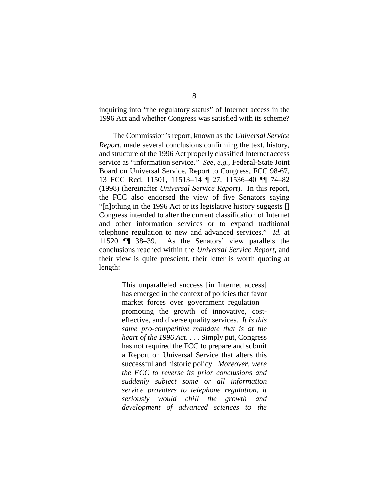inquiring into "the regulatory status" of Internet access in the 1996 Act and whether Congress was satisfied with its scheme?

The Commission's report, known as the *Universal Service Report*, made several conclusions confirming the text, history, and structure of the 1996 Act properly classified Internet access service as "information service." *See, e.g.*, Federal-State Joint Board on Universal Service, Report to Congress, FCC 98-67, 13 FCC Rcd. 11501, 11513–14 ¶ 27, 11536–40 ¶¶ 74–82 (1998) (hereinafter *Universal Service Report*). In this report, the FCC also endorsed the view of five Senators saying "[n]othing in the 1996 Act or its legislative history suggests [] Congress intended to alter the current classification of Internet and other information services or to expand traditional telephone regulation to new and advanced services." *Id.* at 11520 ¶¶ 38–39. As the Senators' view parallels the conclusions reached within the *Universal Service Report*, and their view is quite prescient, their letter is worth quoting at length:

> This unparalleled success [in Internet access] has emerged in the context of policies that favor market forces over government regulation promoting the growth of innovative, costeffective, and diverse quality services. *It is this same pro-competitive mandate that is at the heart of the 1996 Act*. . . . Simply put, Congress has not required the FCC to prepare and submit a Report on Universal Service that alters this successful and historic policy. *Moreover, were the FCC to reverse its prior conclusions and suddenly subject some or all information service providers to telephone regulation, it seriously would chill the growth and development of advanced sciences to the*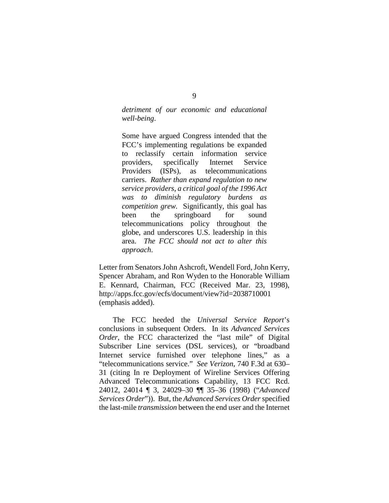*detriment of our economic and educational well-being*.

Some have argued Congress intended that the FCC's implementing regulations be expanded to reclassify certain information service providers, specifically Internet Service Providers (ISPs), as telecommunications carriers. *Rather than expand regulation to new service providers, a critical goal of the 1996 Act was to diminish regulatory burdens as competition grew.* Significantly, this goal has been the springboard for sound telecommunications policy throughout the globe, and underscores U.S. leadership in this area. *The FCC should not act to alter this approach*.

Letter from Senators John Ashcroft, Wendell Ford, John Kerry, Spencer Abraham, and Ron Wyden to the Honorable William E. Kennard, Chairman, FCC (Received Mar. 23, 1998), http://apps.fcc.gov/ecfs/document/view?id=2038710001 (emphasis added).

The FCC heeded the *Universal Service Report*'s conclusions in subsequent Orders. In its *Advanced Services Order*, the FCC characterized the "last mile" of Digital Subscriber Line services (DSL services), or "broadband Internet service furnished over telephone lines," as a "telecommunications service." *See Verizon*, 740 F.3d at 630– 31 (citing In re Deployment of Wireline Services Offering Advanced Telecommunications Capability, 13 FCC Rcd. 24012, 24014 ¶ 3, 24029–30 ¶¶ 35–36 (1998) ("*Advanced Services Order*")). But, the *Advanced Services Order* specified the last-mile *transmission* between the end user and the Internet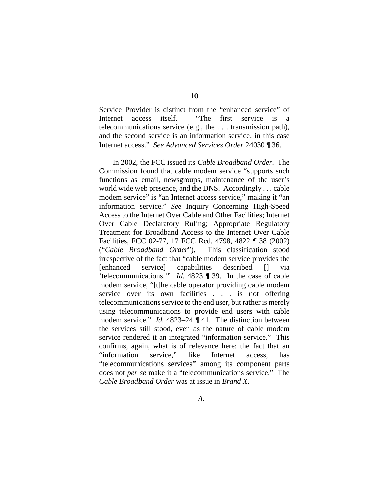Service Provider is distinct from the "enhanced service" of Internet access itself. "The first service is a telecommunications service (e.g., the . . . transmission path), and the second service is an information service, in this case Internet access." *See Advanced Services Order* 24030 ¶ 36.

In 2002, the FCC issued its *Cable Broadband Order*. The Commission found that cable modem service "supports such functions as email, newsgroups, maintenance of the user's world wide web presence, and the DNS. Accordingly . . . cable modem service" is "an Internet access service," making it "an information service." *See* Inquiry Concerning High-Speed Access to the Internet Over Cable and Other Facilities; Internet Over Cable Declaratory Ruling; Appropriate Regulatory Treatment for Broadband Access to the Internet Over Cable Facilities, FCC 02-77, 17 FCC Rcd. 4798, 4822 ¶ 38 (2002) ("*Cable Broadband Order*"). This classification stood irrespective of the fact that "cable modem service provides the [enhanced service] capabilities described [] via 'telecommunications.'" *Id.* 4823 ¶ 39. In the case of cable modem service, "[t]he cable operator providing cable modem service over its own facilities . . . is not offering telecommunications service to the end user, but rather is merely using telecommunications to provide end users with cable modem service." *Id.* 4823–24 ¶ 41. The distinction between the services still stood, even as the nature of cable modem service rendered it an integrated "information service." This confirms, again, what is of relevance here: the fact that an "information service," like Internet access, has "telecommunications services" among its component parts does not *per se* make it a "telecommunications service." The *Cable Broadband Order* was at issue in *Brand X*.

*A.*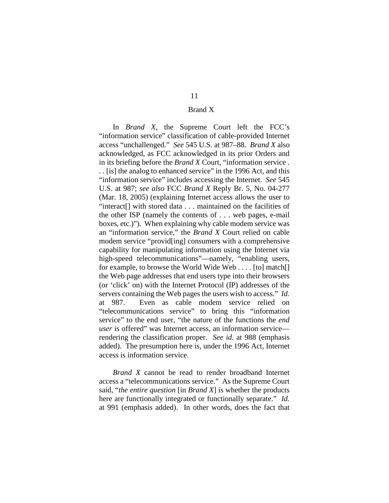# Brand X

# In *Brand X*, the Supreme Court left the FCC's "information service" classification of cable-provided Internet access "unchallenged." *See* 545 U.S. at 987–88. *Brand X* also acknowledged, as FCC acknowledged in its prior Orders and in its briefing before the *Brand X* Court, "information service . . . [is] the analog to enhanced service" in the 1996 Act, and this "information service" includes accessing the Internet. *See* 545 U.S. at 987; *see also* FCC *Brand X* Reply Br. 5, No. 04-277 (Mar. 18, 2005) (explaining Internet access allows the user to "interact[] with stored data . . . maintained on the facilities of the other ISP (namely the contents of . . . web pages, e-mail boxes, etc.)"). When explaining why cable modem service was an "information service," the *Brand X* Court relied on cable modem service "provid[ing] consumers with a comprehensive capability for manipulating information using the Internet via high-speed telecommunications"—namely, "enabling users, for example, to browse the World Wide Web . . . . [to] match[] the Web page addresses that end users type into their browsers (or 'click' on) with the Internet Protocol (IP) addresses of the servers containing the Web pages the users wish to access." *Id.* at 987. Even as cable modem service relied on "telecommunications service" to bring this "information service" to the end user, "the nature of the functions the *end user* is offered" was Internet access, an information service rendering the classification proper. *See id.* at 988 (emphasis added). The presumption here is, under the 1996 Act, Internet access is information service.

*Brand X* cannot be read to render broadband Internet access a "telecommunications service." As the Supreme Court said, "*the entire question* [in *Brand X*] is whether the products here are functionally integrated or functionally separate." *Id.* at 991 (emphasis added). In other words, does the fact that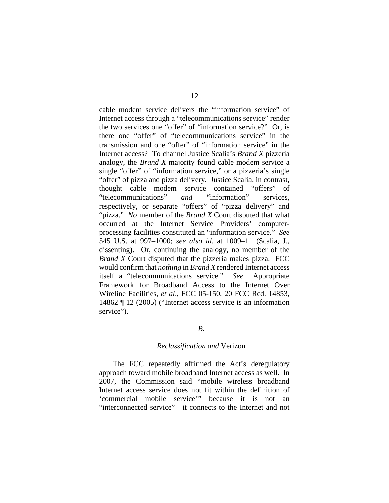cable modem service delivers the "information service" of Internet access through a "telecommunications service" render the two services one "offer" of "information service?" Or, is there one "offer" of "telecommunications service" in the transmission and one "offer" of "information service" in the Internet access? To channel Justice Scalia's *Brand X* pizzeria analogy, the *Brand X* majority found cable modem service a single "offer" of "information service," or a pizzeria's single "offer" of pizza and pizza delivery. Justice Scalia, in contrast, thought cable modem service contained "offers" of "telecommunications" *and* "information" services, respectively, or separate "offers" of "pizza delivery" and "pizza." *No* member of the *Brand X* Court disputed that what occurred at the Internet Service Providers' computerprocessing facilities constituted an "information service." *See* 545 U.S. at 997–1000; *see also id.* at 1009–11 (Scalia, J., dissenting). Or, continuing the analogy, no member of the *Brand X* Court disputed that the pizzeria makes pizza. FCC would confirm that *nothing* in *Brand X* rendered Internet access itself a "telecommunications service." *See* Appropriate Framework for Broadband Access to the Internet Over Wireline Facilities, *et al*., FCC 05-150, 20 FCC Rcd. 14853, 14862 ¶ 12 (2005) ("Internet access service is an information service").

# *B.*

### *Reclassification and* Verizon

The FCC repeatedly affirmed the Act's deregulatory approach toward mobile broadband Internet access as well. In 2007, the Commission said "mobile wireless broadband Internet access service does not fit within the definition of 'commercial mobile service'" because it is not an "interconnected service"—it connects to the Internet and not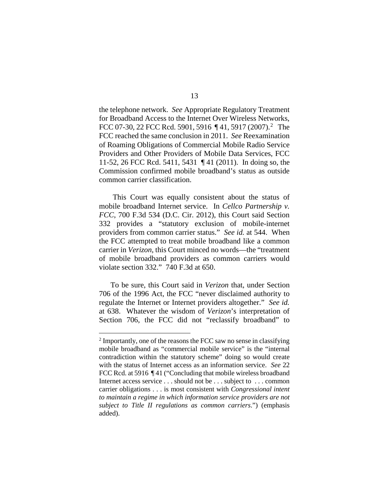the telephone network. *See* Appropriate Regulatory Treatment for Broadband Access to the Internet Over Wireless Networks, FCC 07-30, [2](#page-37-0)2 FCC Rcd. 5901, 5916  $\P$ 41, 5917 (2007).<sup>2</sup> The FCC reached the same conclusion in 2011. *See* Reexamination of Roaming Obligations of Commercial Mobile Radio Service Providers and Other Providers of Mobile Data Services, FCC 11-52, 26 FCC Rcd. 5411, 5431 ¶ 41 (2011). In doing so, the Commission confirmed mobile broadband's status as outside common carrier classification.

This Court was equally consistent about the status of mobile broadband Internet service. In *Cellco Partnership v. FCC*, 700 F.3d 534 (D.C. Cir. 2012), this Court said Section 332 provides a "statutory exclusion of mobile-internet providers from common carrier status." *See id.* at 544. When the FCC attempted to treat mobile broadband like a common carrier in *Verizon*, this Court minced no words—the "treatment of mobile broadband providers as common carriers would violate section 332." 740 F.3d at 650.

To be sure, this Court said in *Verizon* that, under Section 706 of the 1996 Act, the FCC "never disclaimed authority to regulate the Internet or Internet providers altogether." *See id.* at 638. Whatever the wisdom of *Verizon*'s interpretation of Section 706, the FCC did not "reclassify broadband" to

<span id="page-37-0"></span> <sup>2</sup> Importantly, one of the reasons the FCC saw no sense in classifying mobile broadband as "commercial mobile service" is the "internal contradiction within the statutory scheme" doing so would create with the status of Internet access as an information service. *See* 22 FCC Rcd. at 5916 ¶41 ("Concluding that mobile wireless broadband Internet access service . . . should not be . . . subject to . . . common carrier obligations . . . is most consistent with *Congressional intent to maintain a regime in which information service providers are not subject to Title II regulations as common carriers*.") (emphasis added).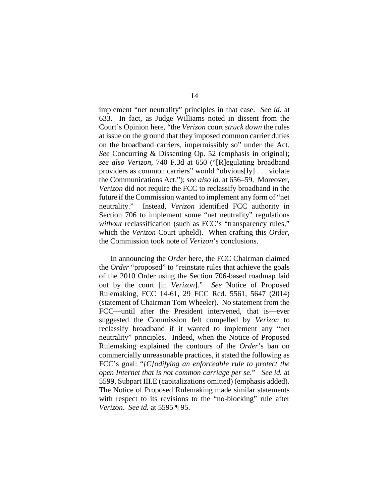implement "net neutrality" principles in that case. *See id.* at 633. In fact, as Judge Williams noted in dissent from the Court's Opinion here, "the *Verizon* court *struck down* the rules at issue on the ground that they imposed common carrier duties on the broadband carriers, impermissibly so" under the Act. *See* Concurring & Dissenting Op. 52 (emphasis in original); *see also Verizon*, 740 F.3d at 650 ("[R]egulating broadband providers as common carriers" would "obvious[ly] . . . violate the Communications Act."); *see also id.* at 656–59. Moreover, *Verizon* did not require the FCC to reclassify broadband in the future if the Commission wanted to implement any form of "net neutrality." Instead, *Verizon* identified FCC authority in Section 706 to implement some "net neutrality" regulations *without* reclassification (such as FCC's "transparency rules," which the *Verizon* Court upheld). When crafting this *Order*, the Commission took note of *Verizon*'s conclusions.

In announcing the *Order* here, the FCC Chairman claimed the *Order* "proposed" to "reinstate rules that achieve the goals of the 2010 Order using the Section 706-based roadmap laid out by the court [in *Verizon*]." *See* Notice of Proposed Rulemaking, FCC 14-61, 29 FCC Rcd. 5561, 5647 (2014) (statement of Chairman Tom Wheeler). No statement from the FCC—until after the President intervened, that is—ever suggested the Commission felt compelled by *Verizon* to reclassify broadband if it wanted to implement any "net neutrality" principles. Indeed, when the Notice of Proposed Rulemaking explained the contours of the *Order*'s ban on commercially unreasonable practices, it stated the following as FCC's goal: "*[C]odifying an enforceable rule to protect the open Internet that is not common carriage per se*." *See id.* at 5599, Subpart III.E (capitalizations omitted) (emphasis added). The Notice of Proposed Rulemaking made similar statements with respect to its revisions to the "no-blocking" rule after *Verizon*. *See id.* at 5595 ¶ 95.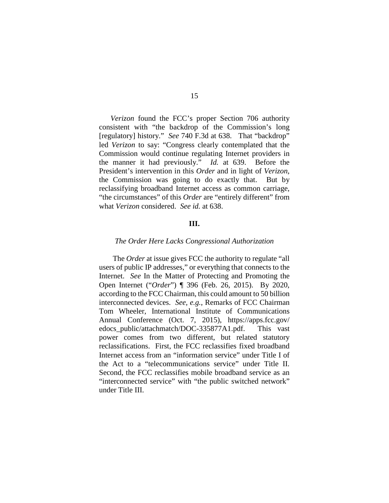*Verizon* found the FCC's proper Section 706 authority consistent with "the backdrop of the Commission's long [regulatory] history." *See* 740 F.3d at 638. That "backdrop" led *Verizon* to say: "Congress clearly contemplated that the Commission would continue regulating Internet providers in the manner it had previously." *Id.* at 639. Before the President's intervention in this *Order* and in light of *Verizon*, the Commission was going to do exactly that. But by reclassifying broadband Internet access as common carriage, "the circumstances" of this *Order* are "entirely different" from what *Verizon* considered. *See id.* at 638.

# **III.**

#### *The Order Here Lacks Congressional Authorization*

The *Order* at issue gives FCC the authority to regulate "all users of public IP addresses," or everything that connects to the Internet. *See* In the Matter of Protecting and Promoting the Open Internet ("*Order*") ¶ 396 (Feb. 26, 2015). By 2020, according to the FCC Chairman, this could amount to 50 billion interconnected devices. *See, e.g.*, Remarks of FCC Chairman Tom Wheeler, International Institute of Communications Annual Conference (Oct. 7, 2015), https://apps.fcc.gov/ edocs\_public/attachmatch/DOC-335877A1.pdf. This vast power comes from two different, but related statutory reclassifications. First, the FCC reclassifies fixed broadband Internet access from an "information service" under Title I of the Act to a "telecommunications service" under Title II. Second, the FCC reclassifies mobile broadband service as an "interconnected service" with "the public switched network" under Title III.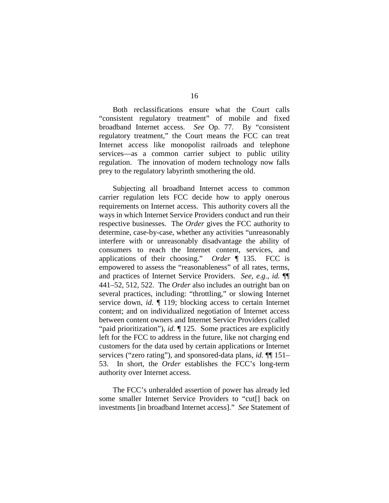Both reclassifications ensure what the Court calls "consistent regulatory treatment" of mobile and fixed broadband Internet access. *See* Op. 77. By "consistent regulatory treatment," the Court means the FCC can treat Internet access like monopolist railroads and telephone services—as a common carrier subject to public utility regulation. The innovation of modern technology now falls prey to the regulatory labyrinth smothering the old.

Subjecting all broadband Internet access to common carrier regulation lets FCC decide how to apply onerous requirements on Internet access. This authority covers all the ways in which Internet Service Providers conduct and run their respective businesses. The *Order* gives the FCC authority to determine, case-by-case, whether any activities "unreasonably interfere with or unreasonably disadvantage the ability of consumers to reach the Internet content, services, and applications of their choosing." *Order* ¶ 135. FCC is empowered to assess the "reasonableness" of all rates, terms, and practices of Internet Service Providers. *See, e.g.*, *id.* ¶¶ 441–52, 512, 522. The *Order* also includes an outright ban on several practices, including: "throttling," or slowing Internet service down, *id.* ¶ 119; blocking access to certain Internet content; and on individualized negotiation of Internet access between content owners and Internet Service Providers (called "paid prioritization"), *id.*  $\P$  125. Some practices are explicitly left for the FCC to address in the future, like not charging end customers for the data used by certain applications or Internet services ("zero rating"), and sponsored-data plans, *id.* ¶¶ 151– 53. In short, the *Order* establishes the FCC's long-term authority over Internet access.

The FCC's unheralded assertion of power has already led some smaller Internet Service Providers to "cut[] back on investments [in broadband Internet access]." *See* Statement of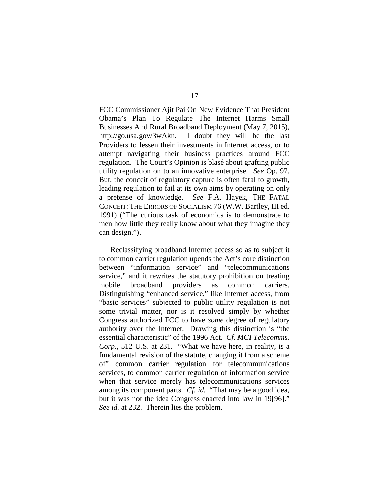FCC Commissioner Ajit Pai On New Evidence That President Obama's Plan To Regulate The Internet Harms Small Businesses And Rural Broadband Deployment (May 7, 2015), http://go.usa.gov/3wAkn. I doubt they will be the last Providers to lessen their investments in Internet access, or to attempt navigating their business practices around FCC regulation. The Court's Opinion is blasé about grafting public utility regulation on to an innovative enterprise. *See* Op. 97. But, the conceit of regulatory capture is often fatal to growth, leading regulation to fail at its own aims by operating on only a pretense of knowledge. *See* F.A. Hayek, THE FATAL CONCEIT: THE ERRORS OF SOCIALISM 76 (W.W. Bartley, III ed. 1991) ("The curious task of economics is to demonstrate to men how little they really know about what they imagine they can design.").

Reclassifying broadband Internet access so as to subject it to common carrier regulation upends the Act's core distinction between "information service" and "telecommunications service," and it rewrites the statutory prohibition on treating mobile broadband providers as common carriers. Distinguishing "enhanced service," like Internet access, from "basic services" subjected to public utility regulation is not some trivial matter, nor is it resolved simply by whether Congress authorized FCC to have *some* degree of regulatory authority over the Internet. Drawing this distinction is "the essential characteristic" of the 1996 Act. *Cf. MCI Telecomms. Corp.*, 512 U.S. at 231. "What we have here, in reality, is a fundamental revision of the statute, changing it from a scheme of" common carrier regulation for telecommunications services, to common carrier regulation of information service when that service merely has telecommunications services among its component parts. *Cf. id.* "That may be a good idea, but it was not the idea Congress enacted into law in 19[96]." *See id.* at 232. Therein lies the problem.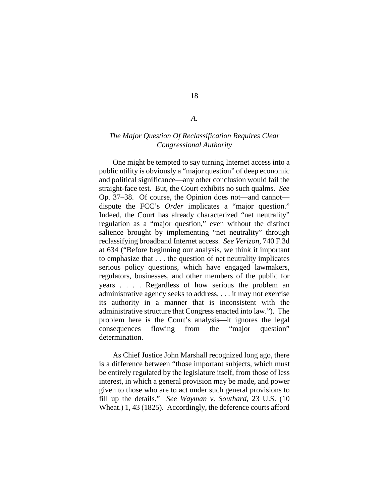#### *A.*

18

# *The Major Question Of Reclassification Requires Clear Congressional Authority*

One might be tempted to say turning Internet access into a public utility is obviously a "major question" of deep economic and political significance—any other conclusion would fail the straight-face test. But, the Court exhibits no such qualms. *See* Op. 37–38. Of course, the Opinion does not—and cannot dispute the FCC's *Order* implicates a "major question." Indeed, the Court has already characterized "net neutrality" regulation as a "major question," even without the distinct salience brought by implementing "net neutrality" through reclassifying broadband Internet access. *See Verizon*, 740 F.3d at 634 ("Before beginning our analysis, we think it important to emphasize that . . . the question of net neutrality implicates serious policy questions, which have engaged lawmakers, regulators, businesses, and other members of the public for years . . . . Regardless of how serious the problem an administrative agency seeks to address, . . . it may not exercise its authority in a manner that is inconsistent with the administrative structure that Congress enacted into law."). The problem here is the Court's analysis—it ignores the legal consequences flowing from the "major question" determination.

As Chief Justice John Marshall recognized long ago, there is a difference between "those important subjects, which must be entirely regulated by the legislature itself, from those of less interest, in which a general provision may be made, and power given to those who are to act under such general provisions to fill up the details." *See Wayman v. Southard*, 23 U.S. (10 Wheat.) 1, 43 (1825). Accordingly, the deference courts afford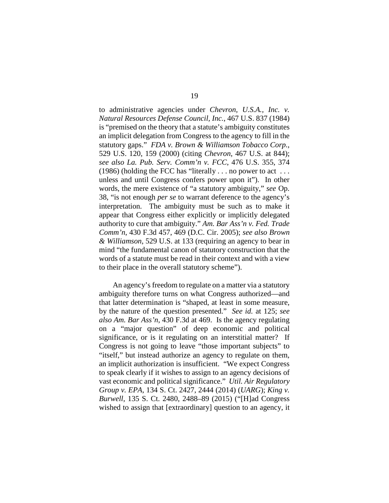to administrative agencies under *Chevron, U.S.A., Inc. v. Natural Resources Defense Council, Inc.*, 467 U.S. 837 (1984) is "premised on the theory that a statute's ambiguity constitutes an implicit delegation from Congress to the agency to fill in the statutory gaps." *FDA v. Brown & Williamson Tobacco Corp.*, 529 U.S. 120, 159 (2000) (citing *Chevron*, 467 U.S. at 844); *see also La. Pub. Serv. Comm'n v. FCC*, 476 U.S. 355, 374 (1986) (holding the FCC has "literally  $\dots$  no power to act  $\dots$ unless and until Congress confers power upon it"). In other words, the mere existence of "a statutory ambiguity," *see* Op. 38, "is not enough *per se* to warrant deference to the agency's interpretation. The ambiguity must be such as to make it appear that Congress either explicitly or implicitly delegated authority to cure that ambiguity." *Am. Bar Ass'n v. Fed. Trade Comm'n*, 430 F.3d 457, 469 (D.C. Cir. 2005); *see also Brown & Williamson*, 529 U.S. at 133 (requiring an agency to bear in mind "the fundamental canon of statutory construction that the words of a statute must be read in their context and with a view to their place in the overall statutory scheme").

An agency's freedom to regulate on a matter via a statutory ambiguity therefore turns on what Congress authorized—and that latter determination is "shaped, at least in some measure, by the nature of the question presented." *See id.* at 125; *see also Am. Bar Ass'n*, 430 F.3d at 469. Is the agency regulating on a "major question" of deep economic and political significance, or is it regulating on an interstitial matter? If Congress is not going to leave "those important subjects" to "itself," but instead authorize an agency to regulate on them, an implicit authorization is insufficient. "We expect Congress to speak clearly if it wishes to assign to an agency decisions of vast economic and political significance." *Util. Air Regulatory Group v. EPA*, 134 S. Ct. 2427, 2444 (2014) (*UARG*); *King v. Burwell*, 135 S. Ct. 2480, 2488–89 (2015) ("[H]ad Congress wished to assign that [extraordinary] question to an agency, it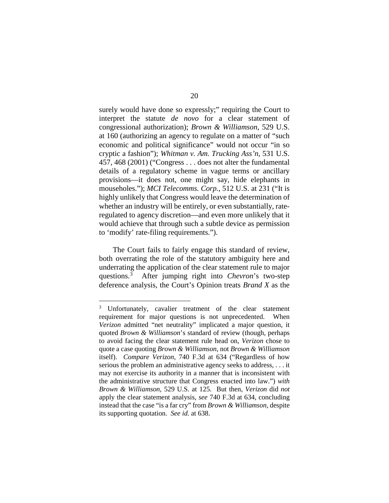surely would have done so expressly;" requiring the Court to interpret the statute *de novo* for a clear statement of congressional authorization); *Brown & Williamson*, 529 U.S. at 160 (authorizing an agency to regulate on a matter of "such economic and political significance" would not occur "in so cryptic a fashion"); *Whitman v. Am. Trucking Ass'n*, 531 U.S. 457, 468 (2001) ("Congress . . . does not alter the fundamental details of a regulatory scheme in vague terms or ancillary provisions—it does not, one might say, hide elephants in mouseholes."); *MCI Telecomms. Corp.*, 512 U.S. at 231 ("It is highly unlikely that Congress would leave the determination of whether an industry will be entirely, or even substantially, rateregulated to agency discretion—and even more unlikely that it would achieve that through such a subtle device as permission to 'modify' rate-filing requirements.").

The Court fails to fairly engage this standard of review, both overrating the role of the statutory ambiguity here and underrating the application of the clear statement rule to major questions.[3](#page-44-0) After jumping right into *Chevron*'s two-step deference analysis, the Court's Opinion treats *Brand X* as the

<span id="page-44-0"></span> <sup>3</sup> Unfortunately, cavalier treatment of the clear statement requirement for major questions is not unprecedented. When *Verizon* admitted "net neutrality" implicated a major question, it quoted *Brown & Williamson*'s standard of review (though, perhaps to avoid facing the clear statement rule head on, *Verizon* chose to quote a case quoting *Brown & Williamson*, not *Brown & Williamson* itself). *Compare Verizon*, 740 F.3d at 634 ("Regardless of how serious the problem an administrative agency seeks to address, . . . it may not exercise its authority in a manner that is inconsistent with the administrative structure that Congress enacted into law.") *with Brown & Williamson*, 529 U.S. at 125. But then, *Verizon* did *not* apply the clear statement analysis, *see* 740 F.3d at 634, concluding instead that the case "is a far cry" from *Brown & Williamson*, despite its supporting quotation. *See id.* at 638.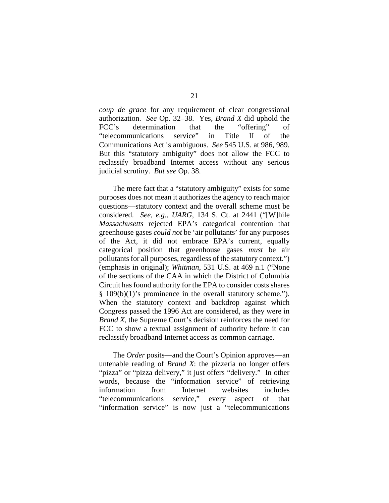*coup de grace* for any requirement of clear congressional authorization. *See* Op. 32–38. Yes, *Brand X* did uphold the FCC's determination that the "offering" of "telecommunications service" in Title II of the Communications Act is ambiguous. *See* 545 U.S. at 986, 989. But this "statutory ambiguity" does not allow the FCC to reclassify broadband Internet access without any serious judicial scrutiny. *But see* Op. 38.

The mere fact that a "statutory ambiguity" exists for some purposes does not mean it authorizes the agency to reach major questions—statutory context and the overall scheme must be considered. *See, e.g.*, *UARG*, 134 S. Ct. at 2441 ("[W]hile *Massachusetts* rejected EPA's categorical contention that greenhouse gases *could not* be 'air pollutants' for any purposes of the Act, it did not embrace EPA's current, equally categorical position that greenhouse gases *must* be air pollutants for all purposes, regardless of the statutory context.") (emphasis in original); *Whitman*, 531 U.S. at 469 n.1 ("None of the sections of the CAA in which the District of Columbia Circuit has found authority for the EPA to consider costs shares § 109(b)(1)'s prominence in the overall statutory scheme."). When the statutory context and backdrop against which Congress passed the 1996 Act are considered, as they were in *Brand X*, the Supreme Court's decision reinforces the need for FCC to show a textual assignment of authority before it can reclassify broadband Internet access as common carriage.

The *Order* posits—and the Court's Opinion approves—an untenable reading of *Brand X*: the pizzeria no longer offers "pizza" or "pizza delivery," it just offers "delivery." In other words, because the "information service" of retrieving information from Internet websites includes "telecommunications service," every aspect of that "information service" is now just a "telecommunications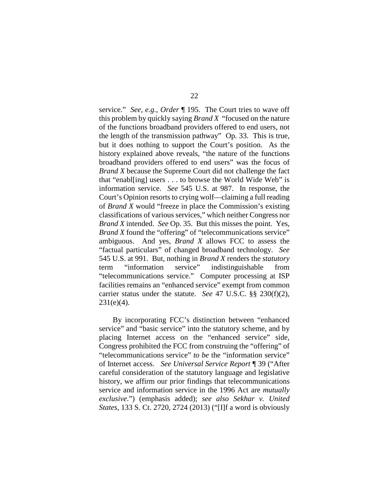service." *See, e.g.*, *Order* ¶ 195. The Court tries to wave off this problem by quickly saying *Brand X* "focused on the nature of the functions broadband providers offered to end users, not the length of the transmission pathway" Op. 33. This is true, but it does nothing to support the Court's position. As the history explained above reveals, "the nature of the functions broadband providers offered to end users" was the focus of *Brand X* because the Supreme Court did not challenge the fact that "enabl[ing] users . . . to browse the World Wide Web" is information service. *See* 545 U.S. at 987. In response, the Court's Opinion resorts to crying wolf—claiming a full reading of *Brand X* would "freeze in place the Commission's existing classifications of various services," which neither Congress nor *Brand X* intended. *See* Op. 35. But this misses the point. Yes, *Brand X* found the "offering" of "telecommunications service" ambiguous. And yes, *Brand X* allows FCC to assess the "factual particulars" of changed broadband technology. *See* 545 U.S. at 991. But, nothing in *Brand X* renders the *statutory* term "information service" indistinguishable from "telecommunications service." Computer processing at ISP facilities remains an "enhanced service" exempt from common carrier status under the statute. *See* 47 U.S.C. §§ 230(f)(2),  $231(e)(4)$ .

By incorporating FCC's distinction between "enhanced service" and "basic service" into the statutory scheme, and by placing Internet access on the "enhanced service" side, Congress prohibited the FCC from construing the "offering" of "telecommunications service" *to be* the "information service" of Internet access. *See Universal Service Report* ¶ 39 ("After careful consideration of the statutory language and legislative history, we affirm our prior findings that telecommunications service and information service in the 1996 Act are *mutually exclusive*.") (emphasis added); *see also Sekhar v. United States*, 133 S. Ct. 2720, 2724 (2013) ("[I]f a word is obviously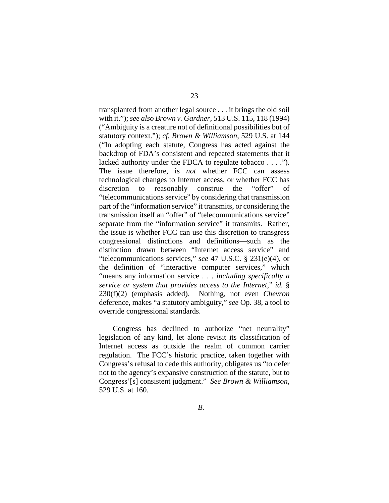transplanted from another legal source . . . it brings the old soil with it."); *see also Brown v. Gardner*, 513 U.S. 115, 118 (1994) ("Ambiguity is a creature not of definitional possibilities but of statutory context."); *cf. Brown & Williamson*, 529 U.S. at 144 ("In adopting each statute, Congress has acted against the backdrop of FDA's consistent and repeated statements that it lacked authority under the FDCA to regulate tobacco . . . ."). The issue therefore, is *not* whether FCC can assess technological changes to Internet access, or whether FCC has discretion to reasonably construe the "offer" of "telecommunications service" by considering that transmission part of the "information service" it transmits, or considering the transmission itself an "offer" of "telecommunications service" separate from the "information service" it transmits. Rather, the issue is whether FCC can use this discretion to transgress congressional distinctions and definitions—such as the distinction drawn between "Internet access service" and "telecommunications services," *see* 47 U.S.C. § 231(e)(4), or the definition of "interactive computer services," which "means any information service . . . *including specifically a service or system that provides access to the Internet*," *id.* § 230(f)(2) (emphasis added). Nothing, not even *Chevron* deference, makes "a statutory ambiguity," *see* Op. 38, a tool to override congressional standards.

Congress has declined to authorize "net neutrality" legislation of any kind, let alone revisit its classification of Internet access as outside the realm of common carrier regulation. The FCC's historic practice, taken together with Congress's refusal to cede this authority, obligates us "to defer not to the agency's expansive construction of the statute, but to Congress'[s] consistent judgment." *See Brown & Williamson*, 529 U.S. at 160.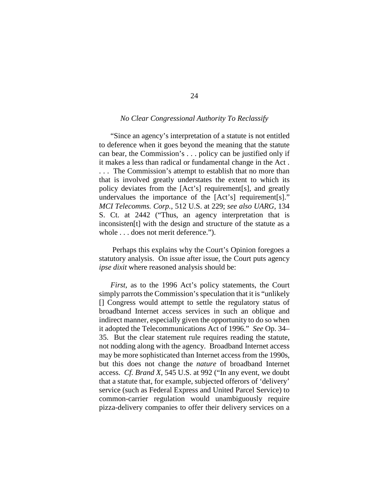# *No Clear Congressional Authority To Reclassify*

"Since an agency's interpretation of a statute is not entitled to deference when it goes beyond the meaning that the statute can bear, the Commission's . . . policy can be justified only if it makes a less than radical or fundamental change in the Act . . . . The Commission's attempt to establish that no more than that is involved greatly understates the extent to which its policy deviates from the [Act's] requirement[s], and greatly undervalues the importance of the [Act's] requirement[s]." *MCI Telecomms. Corp.*, 512 U.S. at 229; *see also UARG*, 134 S. Ct. at 2442 ("Thus, an agency interpretation that is inconsisten[t] with the design and structure of the statute as a whole . . . does not merit deference.").

Perhaps this explains why the Court's Opinion foregoes a statutory analysis. On issue after issue, the Court puts agency *ipse dixit* where reasoned analysis should be:

*First*, as to the 1996 Act's policy statements, the Court simply parrots the Commission's speculation that it is "unlikely [] Congress would attempt to settle the regulatory status of broadband Internet access services in such an oblique and indirect manner, especially given the opportunity to do so when it adopted the Telecommunications Act of 1996." *See* Op. 34– 35. But the clear statement rule requires reading the statute, not nodding along with the agency. Broadband Internet access may be more sophisticated than Internet access from the 1990s, but this does not change the *nature* of broadband Internet access. *Cf. Brand X*, 545 U.S. at 992 ("In any event, we doubt that a statute that, for example, subjected offerors of 'delivery' service (such as Federal Express and United Parcel Service) to common-carrier regulation would unambiguously require pizza-delivery companies to offer their delivery services on a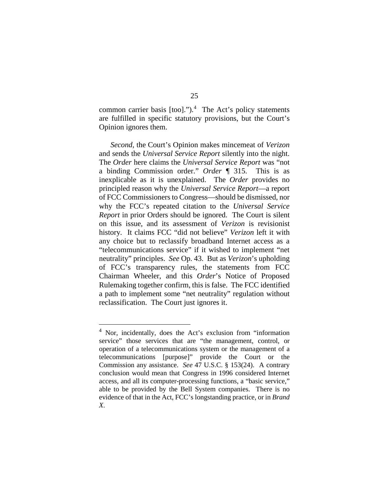common carrier basis  $[$ too]." $)$ .<sup>[4](#page-49-0)</sup> The Act's policy statements are fulfilled in specific statutory provisions, but the Court's Opinion ignores them.

*Second*, the Court's Opinion makes mincemeat of *Verizon* and sends the *Universal Service Report* silently into the night. The *Order* here claims the *Universal Service Report* was "not a binding Commission order." *Order* ¶ 315. This is as inexplicable as it is unexplained. The *Order* provides no principled reason why the *Universal Service Report*—a report of FCC Commissioners to Congress—should be dismissed, nor why the FCC's repeated citation to the *Universal Service Report* in prior Orders should be ignored. The Court is silent on this issue, and its assessment of *Verizon* is revisionist history. It claims FCC "did not believe" *Verizon* left it with any choice but to reclassify broadband Internet access as a "telecommunications service" if it wished to implement "net neutrality" principles. *See* Op. 43. But as *Verizon*'s upholding of FCC's transparency rules, the statements from FCC Chairman Wheeler, and this *Order*'s Notice of Proposed Rulemaking together confirm, this is false. The FCC identified a path to implement some "net neutrality" regulation without reclassification. The Court just ignores it.

<span id="page-49-0"></span> <sup>4</sup> Nor, incidentally, does the Act's exclusion from "information service" those services that are "the management, control, or operation of a telecommunications system or the management of a telecommunications [purpose]" provide the Court or the Commission any assistance. *See* 47 U.S.C. § 153(24). A contrary conclusion would mean that Congress in 1996 considered Internet access, and all its computer-processing functions, a "basic service," able to be provided by the Bell System companies. There is no evidence of that in the Act, FCC's longstanding practice, or in *Brand X*.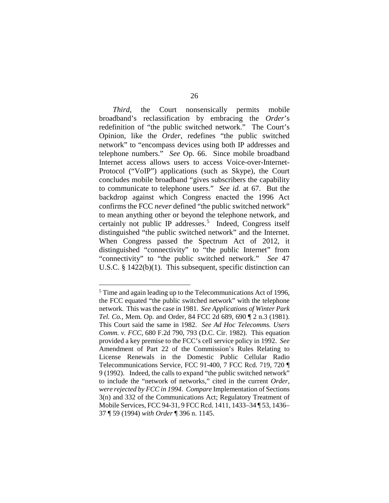*Third*, the Court nonsensically permits mobile broadband's reclassification by embracing the *Order*'s redefinition of "the public switched network." The Court's Opinion, like the *Order*, redefines "the public switched network" to "encompass devices using both IP addresses and telephone numbers." *See* Op. 66. Since mobile broadband Internet access allows users to access Voice-over-Internet-Protocol ("VoIP") applications (such as Skype), the Court concludes mobile broadband "gives subscribers the capability to communicate to telephone users." *See id.* at 67. But the backdrop against which Congress enacted the 1996 Act confirms the FCC *never* defined "the public switched network" to mean anything other or beyond the telephone network, and certainly not public IP addresses.<sup>[5](#page-50-0)</sup> Indeed, Congress itself distinguished "the public switched network" and the Internet. When Congress passed the Spectrum Act of 2012, it distinguished "connectivity" to "the public Internet" from "connectivity" to "the public switched network." *See* 47 U.S.C. § 1422(b)(1). This subsequent, specific distinction can

<span id="page-50-0"></span> <sup>5</sup> Time and again leading up to the Telecommunications Act of 1996, the FCC equated "the public switched network" with the telephone network. This was the case in 1981. *See Applications of Winter Park Tel. Co.*, Mem. Op. and Order, 84 FCC 2d 689, 690 ¶ 2 n.3 (1981). This Court said the same in 1982. *See Ad Hoc Telecomms. Users Comm. v. FCC*, 680 F.2d 790, 793 (D.C. Cir. 1982). This equation provided a key premise to the FCC's cell service policy in 1992. *See* Amendment of Part 22 of the Commission's Rules Relating to License Renewals in the Domestic Public Cellular Radio Telecommunications Service, FCC 91-400, 7 FCC Rcd. 719, 720 ¶ 9 (1992). Indeed, the calls to expand "the public switched network" to include the "network of networks," cited in the current *Order*, *were rejected by FCC in 1994*. *Compare* Implementation of Sections 3(n) and 332 of the Communications Act; Regulatory Treatment of Mobile Services, FCC 94-31, 9 FCC Rcd. 1411, 1433–34 ¶ 53, 1436– 37 ¶ 59 (1994) *with Order* ¶ 396 n. 1145.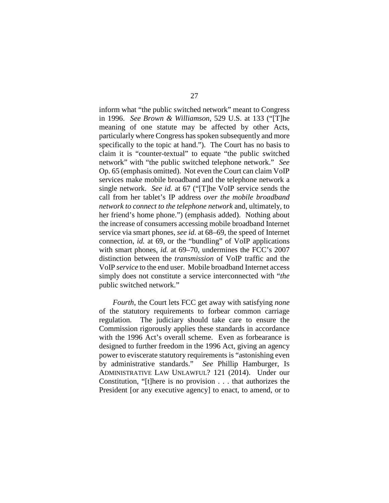inform what "the public switched network" meant to Congress in 1996. *See Brown & Williamson*, 529 U.S. at 133 ("[T]he meaning of one statute may be affected by other Acts, particularly where Congress has spoken subsequently and more specifically to the topic at hand."). The Court has no basis to claim it is "counter-textual" to equate "the public switched network" with "the public switched telephone network." *See* Op. 65 (emphasis omitted). Not even the Court can claim VoIP services make mobile broadband and the telephone network a single network. *See id.* at 67 ("[T]he VoIP service sends the call from her tablet's IP address *over the mobile broadband network to connect to the telephone network* and, ultimately, to her friend's home phone.") (emphasis added). Nothing about the increase of consumers accessing mobile broadband Internet service via smart phones, *see id.* at 68–69, the speed of Internet connection, *id.* at 69, or the "bundling" of VoIP applications with smart phones, *id.* at 69–70, undermines the FCC's 2007 distinction between the *transmission* of VoIP traffic and the VoIP *service* to the end user. Mobile broadband Internet access simply does not constitute a service interconnected with "*the* public switched network."

*Fourth*, the Court lets FCC get away with satisfying *none* of the statutory requirements to forbear common carriage regulation. The judiciary should take care to ensure the Commission rigorously applies these standards in accordance with the 1996 Act's overall scheme. Even as forbearance is designed to further freedom in the 1996 Act, giving an agency power to eviscerate statutory requirements is "astonishing even by administrative standards." *See* Phillip Hamburger, IS ADMINISTRATIVE LAW UNLAWFUL? 121 (2014). Under our Constitution, "[t]here is no provision . . . that authorizes the President [or any executive agency] to enact, to amend, or to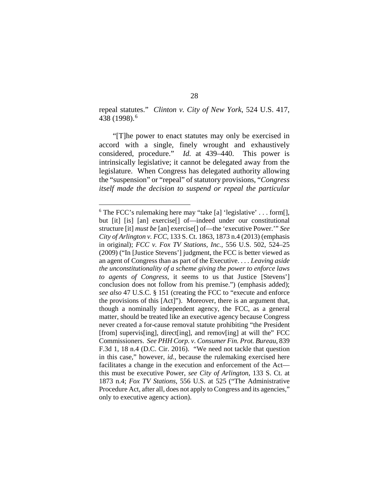repeal statutes." *Clinton v. City of New York*, 524 U.S. 417, 438 (1998).[6](#page-52-0)

"[T]he power to enact statutes may only be exercised in accord with a single, finely wrought and exhaustively considered, procedure." *Id.* at 439–440. This power is intrinsically legislative; it cannot be delegated away from the legislature. When Congress has delegated authority allowing the "suspension" or "repeal" of statutory provisions, "*Congress itself made the decision to suspend or repeal the particular* 

<span id="page-52-0"></span> $6$  The FCC's rulemaking here may "take [a] 'legislative' . . . form [], but [it] [is] [an] exercise[] of—indeed under our constitutional structure [it] *must be* [an] exercise[] of—the 'executive Power.'" *See City of Arlington v. FCC*, 133 S. Ct. 1863, 1873 n.4 (2013) (emphasis in original); *FCC v. Fox TV Stations, Inc.*, 556 U.S. 502, 524–25 (2009) ("In [Justice Stevens'] judgment, the FCC is better viewed as an agent of Congress than as part of the Executive. . . . *Leaving aside the unconstitutionality of a scheme giving the power to enforce laws to agents of Congress*, it seems to us that Justice [Stevens'] conclusion does not follow from his premise.") (emphasis added); *see also* 47 U.S.C. § 151 (creating the FCC to "execute and enforce the provisions of this [Act]"). Moreover, there is an argument that, though a nominally independent agency, the FCC, as a general matter, should be treated like an executive agency because Congress never created a for-cause removal statute prohibiting "the President [from] supervis[ing], direct[ing], and remov[ing] at will the" FCC Commissioners. *See PHH Corp. v. Consumer Fin. Prot. Bureau*, 839 F.3d 1, 18 n.4 (D.C. Cir. 2016). "We need not tackle that question in this case," however, *id.*, because the rulemaking exercised here facilitates a change in the execution and enforcement of the Act this must be executive Power, *see City of Arlington*, 133 S. Ct. at 1873 n.4; *Fox TV Stations*, 556 U.S. at 525 ("The Administrative Procedure Act, after all, does not apply to Congress and its agencies," only to executive agency action).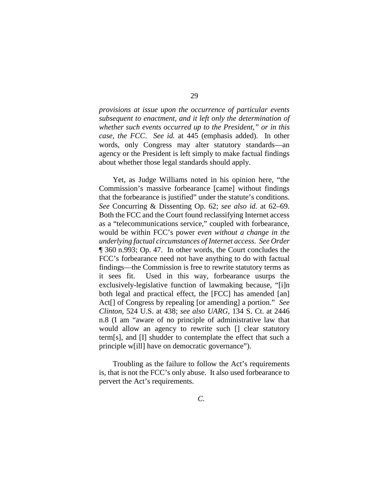*provisions at issue upon the occurrence of particular events subsequent to enactment, and it left only the determination of whether such events occurred up to the President," or in this case, the FCC*. *See id.* at 445 (emphasis added). In other words, only Congress may alter statutory standards—an agency or the President is left simply to make factual findings about whether those legal standards should apply.

Yet, as Judge Williams noted in his opinion here, "the Commission's massive forbearance [came] without findings that the forbearance is justified" under the statute's conditions. *See* Concurring & Dissenting Op. 62; *see also id.* at 62–69. Both the FCC and the Court found reclassifying Internet access as a "telecommunications service," coupled with forbearance, would be within FCC's power *even without a change in the underlying factual circumstances of Internet access*. *See Order* ¶ 360 n.993; Op. 47. In other words, the Court concludes the FCC's forbearance need not have anything to do with factual findings—the Commission is free to rewrite statutory terms as it sees fit. Used in this way, forbearance usurps the exclusively-legislative function of lawmaking because, "[i]n both legal and practical effect, the [FCC] has amended [an] Act[] of Congress by repealing [or amending] a portion." *See Clinton*, 524 U.S. at 438; *see also UARG*, 134 S. Ct. at 2446 n.8 (I am "aware of no principle of administrative law that would allow an agency to rewrite such [] clear statutory term[s], and [I] shudder to contemplate the effect that such a principle w[ill] have on democratic governance").

Troubling as the failure to follow the Act's requirements is, that is not the FCC's only abuse. It also used forbearance to pervert the Act's requirements.

*C.*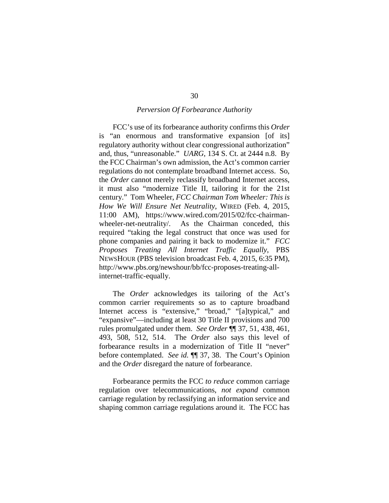#### *Perversion Of Forbearance Authority*

FCC's use of its forbearance authority confirms this *Order* is "an enormous and transformative expansion [of its] regulatory authority without clear congressional authorization" and, thus, "unreasonable." *UARG*, 134 S. Ct. at 2444 n.8. By the FCC Chairman's own admission, the Act's common carrier regulations do not contemplate broadband Internet access. So, the *Order* cannot merely reclassify broadband Internet access, it must also "modernize Title II, tailoring it for the 21st century." Tom Wheeler, *FCC Chairman Tom Wheeler: This is How We Will Ensure Net Neutrality*, WIRED (Feb. 4, 2015, 11:00 AM), https://www.wired.com/2015/02/fcc-chairmanwheeler-net-neutrality/. As the Chairman conceded, this required "taking the legal construct that once was used for phone companies and pairing it back to modernize it." *FCC Proposes Treating All Internet Traffic Equally*, PBS NEWSHOUR (PBS television broadcast Feb. 4, 2015, 6:35 PM), http://www.pbs.org/newshour/bb/fcc-proposes-treating-allinternet-traffic-equally.

The *Order* acknowledges its tailoring of the Act's common carrier requirements so as to capture broadband Internet access is "extensive," "broad," "[a]typical," and "expansive"—including at least 30 Title II provisions and 700 rules promulgated under them. *See Order* ¶¶ 37, 51, 438, 461, 493, 508, 512, 514. The *Order* also says this level of forbearance results in a modernization of Title II "never" before contemplated. *See id.* ¶¶ 37, 38. The Court's Opinion and the *Order* disregard the nature of forbearance.

Forbearance permits the FCC *to reduce* common carriage regulation over telecommunications, *not expand* common carriage regulation by reclassifying an information service and shaping common carriage regulations around it. The FCC has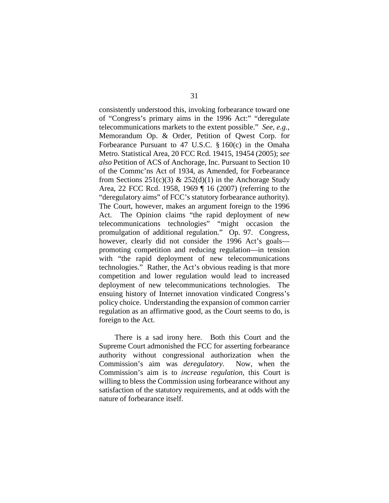consistently understood this, invoking forbearance toward one of "Congress's primary aims in the 1996 Act:" "deregulate telecommunications markets to the extent possible." *See, e.g.*, Memorandum Op. & Order, Petition of Qwest Corp. for Forbearance Pursuant to 47 U.S.C. § 160(c) in the Omaha Metro. Statistical Area, 20 FCC Rcd. 19415, 19454 (2005); *see also* Petition of ACS of Anchorage, Inc. Pursuant to Section 10 of the Commc'ns Act of 1934, as Amended, for Forbearance from Sections  $251(c)(3)$  &  $252(d)(1)$  in the Anchorage Study Area, 22 FCC Rcd. 1958, 1969 ¶ 16 (2007) (referring to the "deregulatory aims" of FCC's statutory forbearance authority). The Court, however, makes an argument foreign to the 1996 Act. The Opinion claims "the rapid deployment of new telecommunications technologies" "might occasion the promulgation of additional regulation." Op. 97. Congress, however, clearly did not consider the 1996 Act's goals promoting competition and reducing regulation—in tension with "the rapid deployment of new telecommunications technologies." Rather, the Act's obvious reading is that more competition and lower regulation would lead to increased deployment of new telecommunications technologies. The ensuing history of Internet innovation vindicated Congress's policy choice. Understanding the expansion of common carrier regulation as an affirmative good, as the Court seems to do, is foreign to the Act.

There is a sad irony here. Both this Court and the Supreme Court admonished the FCC for asserting forbearance authority without congressional authorization when the Commission's aim was *deregulatory*. Now, when the Commission's aim is to *increase regulation*, this Court is willing to bless the Commission using forbearance without any satisfaction of the statutory requirements, and at odds with the nature of forbearance itself.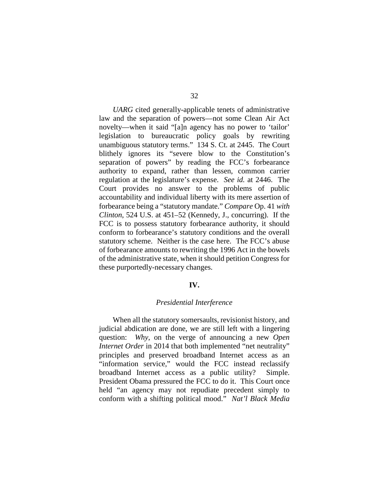*UARG* cited generally-applicable tenets of administrative law and the separation of powers—not some Clean Air Act novelty—when it said "[a]n agency has no power to 'tailor' legislation to bureaucratic policy goals by rewriting unambiguous statutory terms." 134 S. Ct. at 2445. The Court blithely ignores its "severe blow to the Constitution's separation of powers" by reading the FCC's forbearance authority to expand, rather than lessen, common carrier regulation at the legislature's expense. *See id.* at 2446. The Court provides no answer to the problems of public accountability and individual liberty with its mere assertion of forbearance being a "statutory mandate." *Compare* Op. 41 *with Clinton*, 524 U.S. at 451–52 (Kennedy, J., concurring). If the FCC is to possess statutory forbearance authority, it should conform to forbearance's statutory conditions and the overall statutory scheme. Neither is the case here. The FCC's abuse of forbearance amounts to rewriting the 1996 Act in the bowels of the administrative state, when it should petition Congress for these purportedly-necessary changes.

### **IV.**

#### *Presidential Interference*

When all the statutory somersaults, revisionist history, and judicial abdication are done, we are still left with a lingering question: *Why*, on the verge of announcing a new *Open Internet Order* in 2014 that both implemented "net neutrality" principles and preserved broadband Internet access as an "information service," would the FCC instead reclassify broadband Internet access as a public utility? Simple. President Obama pressured the FCC to do it. This Court once held "an agency may not repudiate precedent simply to conform with a shifting political mood." *Nat'l Black Media*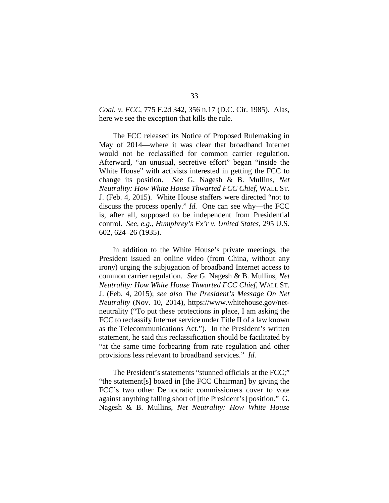*Coal. v. FCC*, 775 F.2d 342, 356 n.17 (D.C. Cir. 1985). Alas, here we see the exception that kills the rule.

The FCC released its Notice of Proposed Rulemaking in May of 2014—where it was clear that broadband Internet would not be reclassified for common carrier regulation. Afterward, "an unusual, secretive effort" began "inside the White House" with activists interested in getting the FCC to change its position. *See* G. Nagesh & B. Mullins, *Net Neutrality: How White House Thwarted FCC Chief*, WALL ST. J. (Feb. 4, 2015). White House staffers were directed "not to discuss the process openly." *Id.* One can see why—the FCC is, after all, supposed to be independent from Presidential control. *See, e.g.*, *Humphrey's Ex'r v. United States*, 295 U.S. 602, 624–26 (1935).

In addition to the White House's private meetings, the President issued an online video (from China, without any irony) urging the subjugation of broadband Internet access to common carrier regulation. *See* G. Nagesh & B. Mullins, *Net Neutrality: How White House Thwarted FCC Chief*, WALL ST. J. (Feb. 4, 2015); *see also The President's Message On Net Neutrality* (Nov. 10, 2014), https://www.whitehouse.gov/netneutrality ("To put these protections in place, I am asking the FCC to reclassify Internet service under Title II of a law known as the Telecommunications Act."). In the President's written statement, he said this reclassification should be facilitated by "at the same time forbearing from rate regulation and other provisions less relevant to broadband services." *Id.*

The President's statements "stunned officials at the FCC;" "the statement[s] boxed in [the FCC Chairman] by giving the FCC's two other Democratic commissioners cover to vote against anything falling short of [the President's] position." G. Nagesh & B. Mullins, *Net Neutrality: How White House*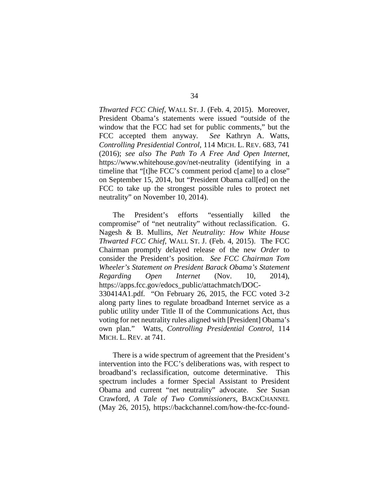*Thwarted FCC Chief*, WALL ST. J. (Feb. 4, 2015). Moreover, President Obama's statements were issued "outside of the window that the FCC had set for public comments," but the FCC accepted them anyway. *See* Kathryn A. Watts, *Controlling Presidential Control*, 114 MICH. L. REV. 683, 741 (2016); *see also The Path To A Free And Open Internet*, https://www.whitehouse.gov/net-neutrality (identifying in a timeline that "[t]he FCC's comment period c[ame] to a close" on September 15, 2014, but "President Obama call[ed] on the FCC to take up the strongest possible rules to protect net neutrality" on November 10, 2014).

The President's efforts "essentially killed the compromise" of "net neutrality" without reclassification. G. Nagesh & B. Mullins, *Net Neutrality: How White House Thwarted FCC Chief*, WALL ST. J. (Feb. 4, 2015). The FCC Chairman promptly delayed release of the new *Order* to consider the President's position. *See FCC Chairman Tom Wheeler's Statement on President Barack Obama's Statement Regarding Open Internet* (Nov. 10, 2014), https://apps.fcc.gov/edocs\_public/attachmatch/DOC-330414A1.pdf*.* "On February 26, 2015, the FCC voted 3-2 along party lines to regulate broadband Internet service as a public utility under Title II of the Communications Act, thus voting for net neutrality rules aligned with [President] Obama's own plan." Watts, *Controlling Presidential Control*, 114 MICH. L. REV. at 741.

There is a wide spectrum of agreement that the President's intervention into the FCC's deliberations was, with respect to broadband's reclassification, outcome determinative. This spectrum includes a former Special Assistant to President Obama and current "net neutrality" advocate. *See* Susan Crawford, *A Tale of Two Commissioners*, BACKCHANNEL (May 26, 2015), https://backchannel.com/how-the-fcc-found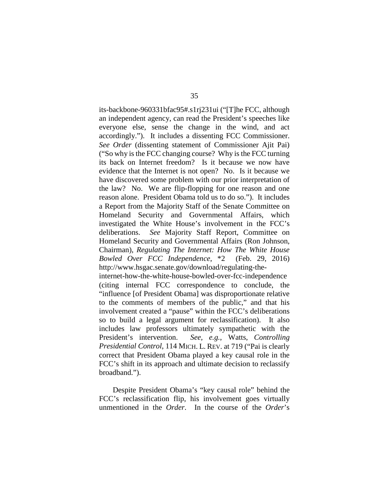its-backbone-960331bfac95#.s1rj231ui ("[T]he FCC, although an independent agency, can read the President's speeches like everyone else, sense the change in the wind, and act accordingly."). It includes a dissenting FCC Commissioner. *See Order* (dissenting statement of Commissioner Ajit Pai) ("So why is the FCC changing course? Why is the FCC turning its back on Internet freedom? Is it because we now have evidence that the Internet is not open? No. Is it because we have discovered some problem with our prior interpretation of the law? No. We are flip-flopping for one reason and one reason alone. President Obama told us to do so."). It includes a Report from the Majority Staff of the Senate Committee on Homeland Security and Governmental Affairs, which investigated the White House's involvement in the FCC's deliberations. *See* Majority Staff Report, Committee on Homeland Security and Governmental Affairs (Ron Johnson, Chairman), *Regulating The Internet: How The White House Bowled Over FCC Independence*, \*2 (Feb. 29, 2016) http://www.hsgac.senate.gov/download/regulating-the-

internet-how-the-white-house-bowled-over-fcc-independence (citing internal FCC correspondence to conclude, the "influence [of President Obama] was disproportionate relative to the comments of members of the public," and that his involvement created a "pause" within the FCC's deliberations so to build a legal argument for reclassification). It also includes law professors ultimately sympathetic with the President's intervention. *See, e.g.*, Watts, *Controlling Presidential Control*, 114 MICH. L. REV. at 719 ("Pai is clearly correct that President Obama played a key causal role in the FCC's shift in its approach and ultimate decision to reclassify broadband.").

Despite President Obama's "key causal role" behind the FCC's reclassification flip, his involvement goes virtually unmentioned in the *Order*. In the course of the *Order*'s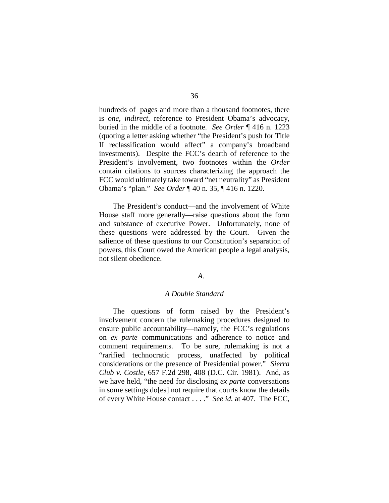hundreds of pages and more than a thousand footnotes, there is *one, indirect*, reference to President Obama's advocacy, buried in the middle of a footnote. *See Order* ¶ 416 n. 1223 (quoting a letter asking whether "the President's push for Title II reclassification would affect" a company's broadband investments). Despite the FCC's dearth of reference to the President's involvement, two footnotes within the *Order* contain citations to sources characterizing the approach the FCC would ultimately take toward "net neutrality" as President Obama's "plan." *See Order* ¶ 40 n. 35, ¶ 416 n. 1220.

The President's conduct—and the involvement of White House staff more generally—raise questions about the form and substance of executive Power. Unfortunately, none of these questions were addressed by the Court. Given the salience of these questions to our Constitution's separation of powers, this Court owed the American people a legal analysis, not silent obedience.

# *A.*

#### *A Double Standard*

The questions of form raised by the President's involvement concern the rulemaking procedures designed to ensure public accountability—namely, the FCC's regulations on *ex parte* communications and adherence to notice and comment requirements. To be sure, rulemaking is not a "rarified technocratic process, unaffected by political considerations or the presence of Presidential power." *Sierra Club v. Costle*, 657 F.2d 298, 408 (D.C. Cir. 1981). And, as we have held, "the need for disclosing *ex parte* conversations in some settings do[es] not require that courts know the details of every White House contact . . . ." *See id.* at 407. The FCC,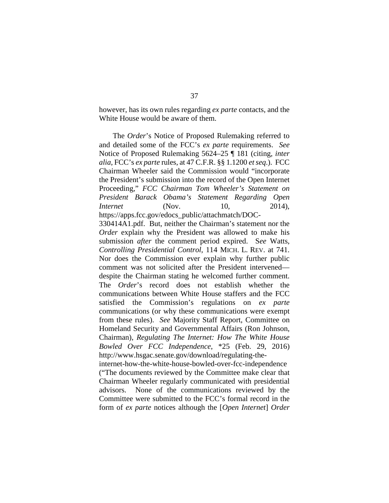however, has its own rules regarding *ex parte* contacts, and the White House would be aware of them.

The *Order*'s Notice of Proposed Rulemaking referred to and detailed some of the FCC's *ex parte* requirements. *See* Notice of Proposed Rulemaking 5624–25 ¶ 181 (citing, *inter alia*, FCC's *ex parte* rules, at 47 C.F.R. §§ 1.1200 *et seq*.). FCC Chairman Wheeler said the Commission would "incorporate the President's submission into the record of the Open Internet Proceeding," *FCC Chairman Tom Wheeler's Statement on President Barack Obama's Statement Regarding Open Internet* (Nov. 10, 2014), https://apps.fcc.gov/edocs\_public/attachmatch/DOC-

330414A1.pdf. But, neither the Chairman's statement nor the *Order* explain why the President was allowed to make his submission *after* the comment period expired. S*ee* Watts, *Controlling Presidential Control*, 114 MICH. L. REV. at 741. Nor does the Commission ever explain why further public comment was not solicited after the President intervened despite the Chairman stating he welcomed further comment. The *Order*'s record does not establish whether the communications between White House staffers and the FCC satisfied the Commission's regulations on *ex parte* communications (or why these communications were exempt from these rules). *See* Majority Staff Report, Committee on Homeland Security and Governmental Affairs (Ron Johnson, Chairman), *Regulating The Internet: How The White House Bowled Over FCC Independence*, \*25 (Feb. 29, 2016) http://www.hsgac.senate.gov/download/regulating-the-

internet-how-the-white-house-bowled-over-fcc-independence ("The documents reviewed by the Committee make clear that Chairman Wheeler regularly communicated with presidential advisors. None of the communications reviewed by the Committee were submitted to the FCC's formal record in the form of *ex parte* notices although the [*Open Internet*] *Order*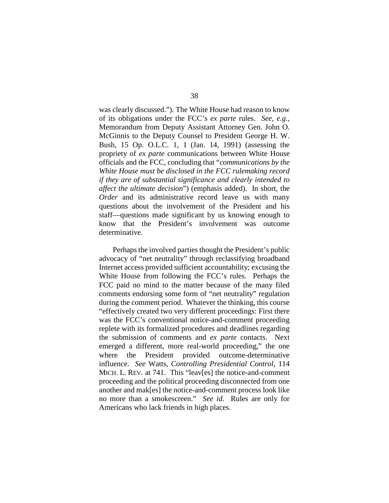was clearly discussed."). The White House had reason to know of its obligations under the FCC's *ex parte* rules. *See, e.g.*, Memorandum from Deputy Assistant Attorney Gen. John O. McGinnis to the Deputy Counsel to President George H. W. Bush, 15 Op. O.L.C. 1, 1 (Jan. 14, 1991) (assessing the propriety of *ex parte* communications between White House officials and the FCC, concluding that "*communications by the White House must be disclosed in the FCC rulemaking record if they are of substantial significance and clearly intended to affect the ultimate decision*") (emphasis added). In short, the *Order* and its administrative record leave us with many questions about the involvement of the President and his staff—questions made significant by us knowing enough to know that the President's involvement was outcome determinative.

Perhaps the involved parties thought the President's public advocacy of "net neutrality" through reclassifying broadband Internet access provided sufficient accountability; excusing the White House from following the FCC's rules. Perhaps the FCC paid no mind to the matter because of the many filed comments endorsing some form of "net neutrality" regulation during the comment period. Whatever the thinking, this course "effectively created two very different proceedings: First there was the FCC's conventional notice-and-comment proceeding replete with its formalized procedures and deadlines regarding the submission of comments and *ex parte* contacts. Next emerged a different, more real-world proceeding," the one where the President provided outcome-determinative influence. *See* Watts, *Controlling Presidential Control*, 114 MICH. L. REV. at 741. This "leav[es] the notice-and-comment proceeding and the political proceeding disconnected from one another and mak[es] the notice-and-comment process look like no more than a smokescreen." *See id.* Rules are only for Americans who lack friends in high places.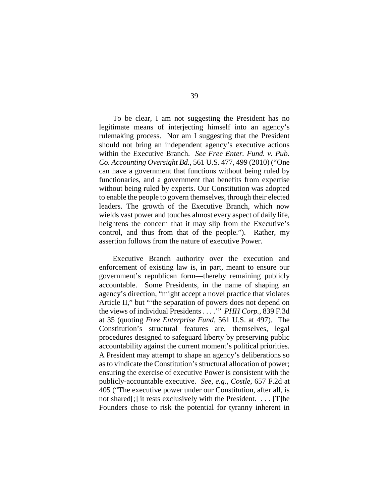To be clear, I am not suggesting the President has no legitimate means of interjecting himself into an agency's rulemaking process. Nor am I suggesting that the President should not bring an independent agency's executive actions within the Executive Branch. *See Free Enter. Fund. v. Pub. Co. Accounting Oversight Bd.*, 561 U.S. 477, 499 (2010) ("One can have a government that functions without being ruled by functionaries, and a government that benefits from expertise without being ruled by experts. Our Constitution was adopted to enable the people to govern themselves, through their elected leaders. The growth of the Executive Branch, which now wields vast power and touches almost every aspect of daily life, heightens the concern that it may slip from the Executive's control, and thus from that of the people."). Rather, my assertion follows from the nature of executive Power.

Executive Branch authority over the execution and enforcement of existing law is, in part, meant to ensure our government's republican form—thereby remaining publicly accountable. Some Presidents, in the name of shaping an agency's direction, "might accept a novel practice that violates Article II," but "'the separation of powers does not depend on the views of individual Presidents . . . .'" *PHH Corp.*, 839 F.3d at 35 (quoting *Free Enterprise Fund*, 561 U.S. at 497). The Constitution's structural features are, themselves, legal procedures designed to safeguard liberty by preserving public accountability against the current moment's political priorities. A President may attempt to shape an agency's deliberations so as to vindicate the Constitution's structural allocation of power; ensuring the exercise of executive Power is consistent with the publicly-accountable executive. *See, e.g.*, *Costle*, 657 F.2d at 405 ("The executive power under our Constitution, after all, is not shared[;] it rests exclusively with the President. . . . [T]he Founders chose to risk the potential for tyranny inherent in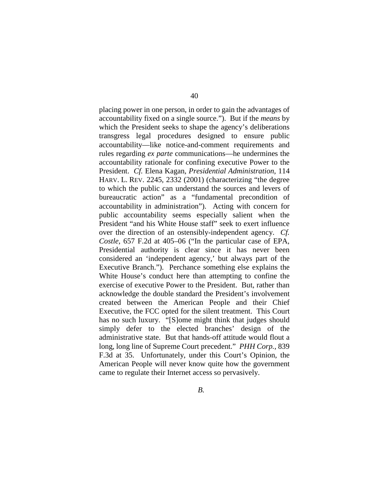placing power in one person, in order to gain the advantages of accountability fixed on a single source."). But if the *means* by which the President seeks to shape the agency's deliberations transgress legal procedures designed to ensure public accountability—like notice-and-comment requirements and rules regarding *ex parte* communications—he undermines the accountability rationale for confining executive Power to the President. *Cf.* Elena Kagan, *Presidential Administration*, 114 HARV. L. REV. 2245, 2332 (2001) (characterizing "the degree to which the public can understand the sources and levers of bureaucratic action" as a "fundamental precondition of accountability in administration"). Acting with concern for public accountability seems especially salient when the President "and his White House staff" seek to exert influence over the direction of an ostensibly-independent agency. *Cf. Costle*, 657 F.2d at 405–06 ("In the particular case of EPA, Presidential authority is clear since it has never been considered an 'independent agency,' but always part of the Executive Branch."). Perchance something else explains the White House's conduct here than attempting to confine the exercise of executive Power to the President. But, rather than acknowledge the double standard the President's involvement created between the American People and their Chief Executive, the FCC opted for the silent treatment. This Court has no such luxury. "[S]ome might think that judges should simply defer to the elected branches' design of the administrative state. But that hands-off attitude would flout a long, long line of Supreme Court precedent." *PHH Corp.*, 839 F.3d at 35. Unfortunately, under this Court's Opinion, the American People will never know quite how the government came to regulate their Internet access so pervasively.

*B.*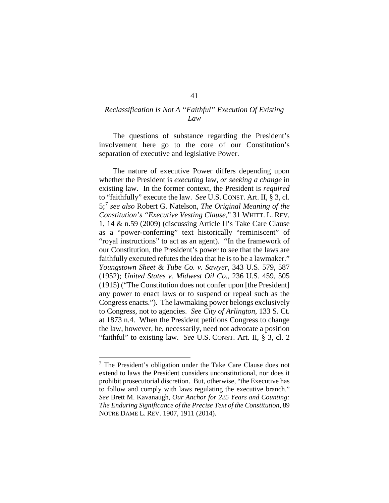# *Reclassification Is Not A "Faithful" Execution Of Existing Law*

The questions of substance regarding the President's involvement here go to the core of our Constitution's separation of executive and legislative Power.

The nature of executive Power differs depending upon whether the President is *executing* law, *or seeking a change* in existing law. In the former context, the President is *required* to "faithfully" execute the law. *See* U.S. CONST. Art. II, § 3, cl. 5;[7](#page-65-0) *see also* Robert G. Natelson, *The Original Meaning of the Constitution's "Executive Vesting Clause,*" 31 WHITT. L. REV. 1, 14 & n.59 (2009) (discussing Article II's Take Care Clause as a "power-conferring" text historically "reminiscent" of "royal instructions" to act as an agent). "In the framework of our Constitution, the President's power to see that the laws are faithfully executed refutes the idea that he is to be a lawmaker." *Youngstown Sheet & Tube Co. v. Sawyer*, 343 U.S. 579, 587 (1952); *United States v. Midwest Oil Co.*, 236 U.S. 459, 505 (1915) ("The Constitution does not confer upon [the President] any power to enact laws or to suspend or repeal such as the Congress enacts."). The lawmaking power belongs exclusively to Congress, not to agencies. *See City of Arlington*, 133 S. Ct. at 1873 n.4. When the President petitions Congress to change the law, however, he, necessarily, need not advocate a position "faithful" to existing law. *See* U.S. CONST. Art. II, § 3, cl. 2

<span id="page-65-0"></span> <sup>7</sup> The President's obligation under the Take Care Clause does not extend to laws the President considers unconstitutional, nor does it prohibit prosecutorial discretion. But, otherwise, "the Executive has to follow and comply with laws regulating the executive branch." *See* Brett M. Kavanaugh, *Our Anchor for 225 Years and Counting: The Enduring Significance of the Precise Text of the Constitution*, 89 NOTRE DAME L. REV. 1907, 1911 (2014).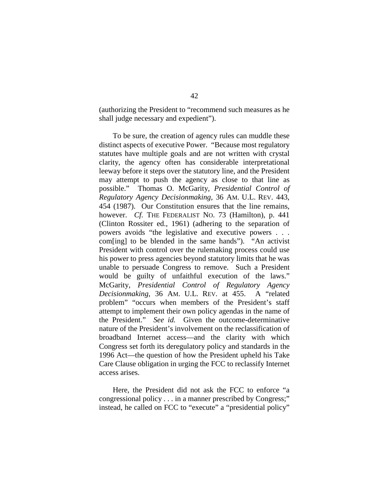(authorizing the President to "recommend such measures as he shall judge necessary and expedient").

To be sure, the creation of agency rules can muddle these distinct aspects of executive Power. "Because most regulatory statutes have multiple goals and are not written with crystal clarity, the agency often has considerable interpretational leeway before it steps over the statutory line, and the President may attempt to push the agency as close to that line as possible." Thomas O. McGarity, *Presidential Control of Regulatory Agency Decisionmaking*, 36 AM. U.L. REV. 443, 454 (1987). Our Constitution ensures that the line remains, however. *Cf.* THE FEDERALIST No. 73 (Hamilton), p. 441 (Clinton Rossiter ed., 1961) (adhering to the separation of powers avoids "the legislative and executive powers . . . com[ing] to be blended in the same hands"). "An activist President with control over the rulemaking process could use his power to press agencies beyond statutory limits that he was unable to persuade Congress to remove. Such a President would be guilty of unfaithful execution of the laws." McGarity*, Presidential Control of Regulatory Agency Decisionmaking*, 36 AM. U.L. REV. at 455. A "related problem" "occurs when members of the President's staff attempt to implement their own policy agendas in the name of the President." *See id.* Given the outcome-determinative nature of the President's involvement on the reclassification of broadband Internet access—and the clarity with which Congress set forth its deregulatory policy and standards in the 1996 Act—the question of how the President upheld his Take Care Clause obligation in urging the FCC to reclassify Internet access arises.

Here, the President did not ask the FCC to enforce "a congressional policy . . . in a manner prescribed by Congress;" instead, he called on FCC to "execute" a "presidential policy"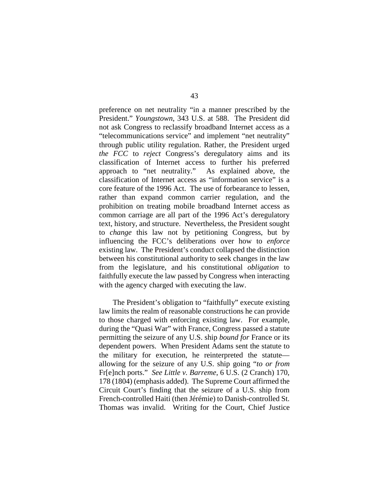preference on net neutrality "in a manner prescribed by the President." *Youngstown*, 343 U.S. at 588. The President did not ask Congress to reclassify broadband Internet access as a "telecommunications service" and implement "net neutrality" through public utility regulation. Rather, the President urged *the FCC* to *reject* Congress's deregulatory aims and its classification of Internet access to further his preferred approach to "net neutrality." As explained above, the classification of Internet access as "information service" is a core feature of the 1996 Act. The use of forbearance to lessen, rather than expand common carrier regulation, and the prohibition on treating mobile broadband Internet access as common carriage are all part of the 1996 Act's deregulatory text, history, and structure. Nevertheless, the President sought to *change* this law not by petitioning Congress, but by influencing the FCC's deliberations over how to *enforce* existing law. The President's conduct collapsed the distinction between his constitutional authority to seek changes in the law from the legislature, and his constitutional *obligation* to faithfully execute the law passed by Congress when interacting with the agency charged with executing the law.

The President's obligation to "faithfully" execute existing law limits the realm of reasonable constructions he can provide to those charged with enforcing existing law. For example, during the "Quasi War" with France, Congress passed a statute permitting the seizure of any U.S. ship *bound for* France or its dependent powers. When President Adams sent the statute to the military for execution, he reinterpreted the statute allowing for the seizure of any U.S. ship going "*to or from* Fr[e]nch ports." *See Little v. Barreme*, 6 U.S. (2 Cranch) 170, 178 (1804) (emphasis added). The Supreme Court affirmed the Circuit Court's finding that the seizure of a U.S. ship from French-controlled Haiti (then Jérémie) to Danish-controlled St. Thomas was invalid. Writing for the Court, Chief Justice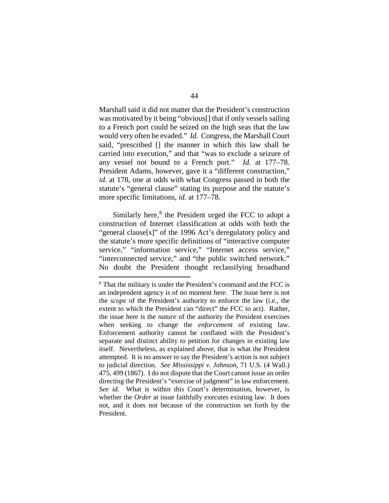Marshall said it did not matter that the President's construction was motivated by it being "obvious[] that if only vessels sailing to a French port could be seized on the high seas that the law would very often be evaded." *Id.* Congress, the Marshall Court said, "prescribed [] the manner in which this law shall be carried into execution," and that "was to exclude a seizure of any vessel not bound to a French port." *Id.* at 177–78. President Adams, however, gave it a "different construction," *id.* at 178, one at odds with what Congress passed in both the statute's "general clause" stating its purpose and the statute's more specific limitations, *id.* at 177–78.

Similarly here, $8$  the President urged the FCC to adopt a construction of Internet classification at odds with both the "general clause[s]" of the 1996 Act's deregulatory policy and the statute's more specific definitions of "interactive computer service," "information service," "Internet access service," "interconnected service," and "the public switched network." No doubt the President thought reclassifying broadband

<span id="page-68-0"></span> <sup>8</sup> That the military is under the President's command and the FCC is an independent agency is of no moment here. The issue here is not the *scope* of the President's authority to enforce the law (i.e., the extent to which the President can "direct" the FCC to act). Rather, the issue here is the *nature* of the authority the President exercises when seeking to change the *enforcement* of existing law. Enforcement authority cannot be conflated with the President's separate and distinct ability to petition for changes in existing law itself. Nevertheless, as explained above, that is what the President attempted. It is no answer to say the President's action is not subject to judicial direction. *See Mississippi v. Johnson*, 71 U.S. (4 Wall.) 475, 499 (1867). I do not dispute that the Court cannot issue an order directing the President's "exercise of judgment" in law enforcement. *See id.* What is within this Court's determination, however, is whether the *Order* at issue faithfully executes existing law. It does not, and it does not because of the construction set forth by the President.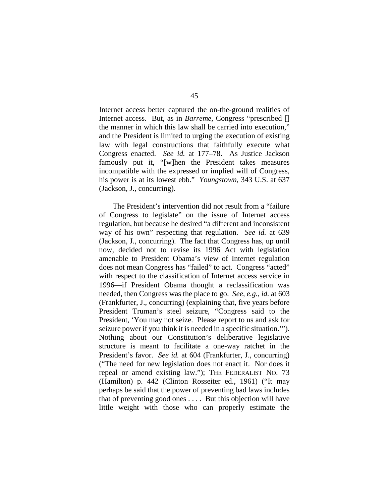Internet access better captured the on-the-ground realities of Internet access. But, as in *Barreme*, Congress "prescribed [] the manner in which this law shall be carried into execution," and the President is limited to urging the execution of existing law with legal constructions that faithfully execute what Congress enacted. *See id.* at 177–78. As Justice Jackson famously put it, "[w]hen the President takes measures incompatible with the expressed or implied will of Congress, his power is at its lowest ebb." *Youngstown*, 343 U.S. at 637 (Jackson, J., concurring).

The President's intervention did not result from a "failure of Congress to legislate" on the issue of Internet access regulation, but because he desired "a different and inconsistent way of his own" respecting that regulation. *See id.* at 639 (Jackson, J., concurring). The fact that Congress has, up until now, decided not to revise its 1996 Act with legislation amenable to President Obama's view of Internet regulation does not mean Congress has "failed" to act. Congress "acted" with respect to the classification of Internet access service in 1996—if President Obama thought a reclassification was needed, then Congress was the place to go. *See, e.g.*, *id.* at 603 (Frankfurter, J., concurring) (explaining that, five years before President Truman's steel seizure, "Congress said to the President, 'You may not seize. Please report to us and ask for seizure power if you think it is needed in a specific situation.'"). Nothing about our Constitution's deliberative legislative structure is meant to facilitate a one-way ratchet in the President's favor. *See id.* at 604 (Frankfurter, J., concurring) ("The need for new legislation does not enact it. Nor does it repeal or amend existing law."); THE FEDERALIST NO. 73 (Hamilton) p. 442 (Clinton Rosseiter ed., 1961) ("It may perhaps be said that the power of preventing bad laws includes that of preventing good ones . . . . But this objection will have little weight with those who can properly estimate the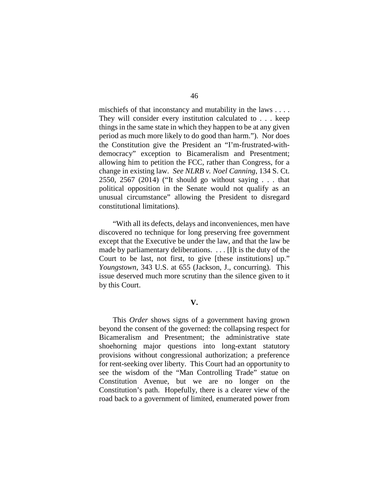mischiefs of that inconstancy and mutability in the laws . . . . They will consider every institution calculated to . . . keep things in the same state in which they happen to be at any given period as much more likely to do good than harm."). Nor does the Constitution give the President an "I'm-frustrated-withdemocracy" exception to Bicameralism and Presentment; allowing him to petition the FCC, rather than Congress, for a change in existing law. *See NLRB v. Noel Canning*, 134 S. Ct. 2550, 2567 (2014) ("It should go without saying . . . that political opposition in the Senate would not qualify as an unusual circumstance" allowing the President to disregard constitutional limitations).

"With all its defects, delays and inconveniences, men have discovered no technique for long preserving free government except that the Executive be under the law, and that the law be made by parliamentary deliberations. . . . [I]t is the duty of the Court to be last, not first, to give [these institutions] up." *Youngstown*, 343 U.S. at 655 (Jackson, J., concurring). This issue deserved much more scrutiny than the silence given to it by this Court.

#### **V.**

This *Order* shows signs of a government having grown beyond the consent of the governed: the collapsing respect for Bicameralism and Presentment; the administrative state shoehorning major questions into long-extant statutory provisions without congressional authorization; a preference for rent-seeking over liberty. This Court had an opportunity to see the wisdom of the "Man Controlling Trade" statue on Constitution Avenue, but we are no longer on the Constitution's path. Hopefully, there is a clearer view of the road back to a government of limited, enumerated power from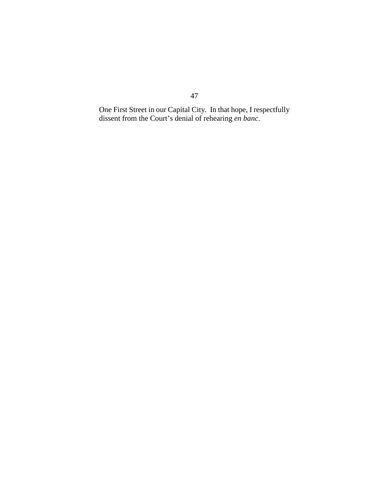One First Street in our Capital City. In that hope, I respectfully dissent from the Court's denial of rehearing *en banc*.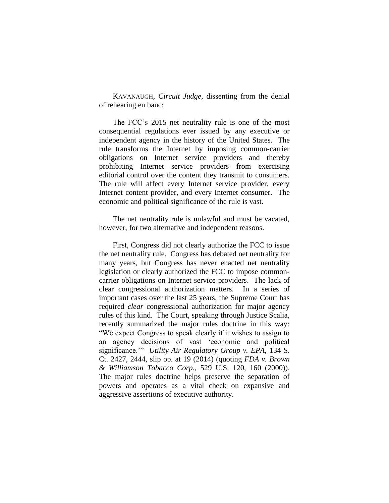KAVANAUGH, *Circuit Judge*, dissenting from the denial of rehearing en banc:

The FCC's 2015 net neutrality rule is one of the most consequential regulations ever issued by any executive or independent agency in the history of the United States. The rule transforms the Internet by imposing common-carrier obligations on Internet service providers and thereby prohibiting Internet service providers from exercising editorial control over the content they transmit to consumers. The rule will affect every Internet service provider, every Internet content provider, and every Internet consumer. The economic and political significance of the rule is vast.

The net neutrality rule is unlawful and must be vacated, however, for two alternative and independent reasons.

First, Congress did not clearly authorize the FCC to issue the net neutrality rule. Congress has debated net neutrality for many years, but Congress has never enacted net neutrality legislation or clearly authorized the FCC to impose commoncarrier obligations on Internet service providers. The lack of clear congressional authorization matters. In a series of important cases over the last 25 years, the Supreme Court has required *clear* congressional authorization for major agency rules of this kind. The Court, speaking through Justice Scalia, recently summarized the major rules doctrine in this way: "We expect Congress to speak clearly if it wishes to assign to an agency decisions of vast 'economic and political significance.'" *Utility Air Regulatory Group v. EPA*, 134 S. Ct. 2427, 2444, slip op. at 19 (2014) (quoting *FDA v. Brown & Williamson Tobacco Corp.*, 529 U.S. 120, 160 (2000)). The major rules doctrine helps preserve the separation of powers and operates as a vital check on expansive and aggressive assertions of executive authority.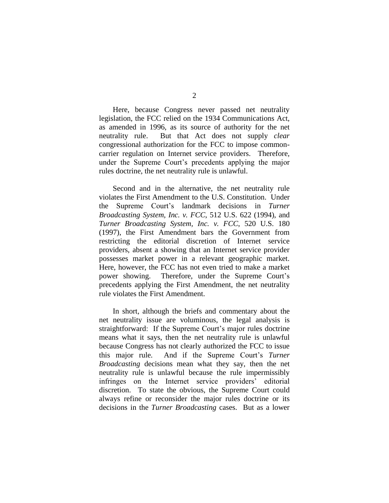Here, because Congress never passed net neutrality legislation, the FCC relied on the 1934 Communications Act, as amended in 1996, as its source of authority for the net neutrality rule. But that Act does not supply *clear* congressional authorization for the FCC to impose commoncarrier regulation on Internet service providers. Therefore, under the Supreme Court's precedents applying the major rules doctrine, the net neutrality rule is unlawful.

Second and in the alternative, the net neutrality rule violates the First Amendment to the U.S. Constitution. Under the Supreme Court's landmark decisions in *Turner Broadcasting System, Inc. v. FCC*, 512 U.S. 622 (1994), and *Turner Broadcasting System, Inc. v. FCC*, 520 U.S. 180 (1997), the First Amendment bars the Government from restricting the editorial discretion of Internet service providers, absent a showing that an Internet service provider possesses market power in a relevant geographic market. Here, however, the FCC has not even tried to make a market power showing. Therefore, under the Supreme Court's precedents applying the First Amendment, the net neutrality rule violates the First Amendment.

In short, although the briefs and commentary about the net neutrality issue are voluminous, the legal analysis is straightforward: If the Supreme Court's major rules doctrine means what it says, then the net neutrality rule is unlawful because Congress has not clearly authorized the FCC to issue this major rule. And if the Supreme Court's *Turner Broadcasting* decisions mean what they say, then the net neutrality rule is unlawful because the rule impermissibly infringes on the Internet service providers' editorial discretion. To state the obvious, the Supreme Court could always refine or reconsider the major rules doctrine or its decisions in the *Turner Broadcasting* cases. But as a lower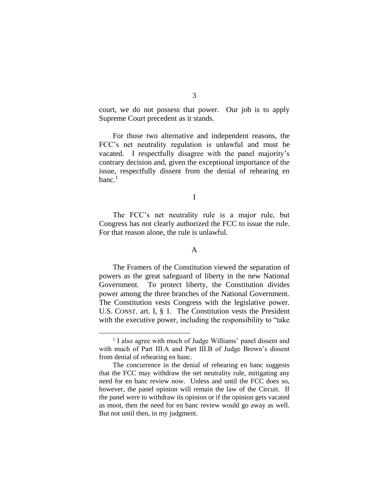court, we do not possess that power. Our job is to apply Supreme Court precedent as it stands.

For those two alternative and independent reasons, the FCC's net neutrality regulation is unlawful and must be vacated. I respectfully disagree with the panel majority's contrary decision and, given the exceptional importance of the issue, respectfully dissent from the denial of rehearing en banc. $<sup>1</sup>$ </sup>

I

The FCC's net neutrality rule is a major rule, but Congress has not clearly authorized the FCC to issue the rule. For that reason alone, the rule is unlawful.

#### A

The Framers of the Constitution viewed the separation of powers as the great safeguard of liberty in the new National Government. To protect liberty, the Constitution divides power among the three branches of the National Government. The Constitution vests Congress with the legislative power. U.S. CONST. art. I, § 1. The Constitution vests the President with the executive power, including the responsibility to "take

<sup>&</sup>lt;sup>1</sup> I also agree with much of Judge Williams' panel dissent and with much of Part III.A and Part III.B of Judge Brown's dissent from denial of rehearing en banc.

The concurrence in the denial of rehearing en banc suggests that the FCC may withdraw the net neutrality rule, mitigating any need for en banc review now. Unless and until the FCC does so, however, the panel opinion will remain the law of the Circuit. If the panel were to withdraw its opinion or if the opinion gets vacated as moot, then the need for en banc review would go away as well. But not until then, in my judgment.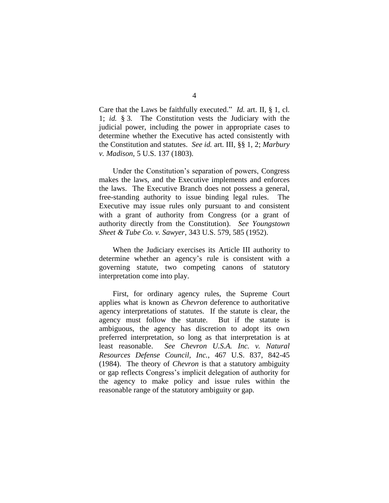Care that the Laws be faithfully executed." *Id.* art. II, § 1, cl. 1; *id.* § 3. The Constitution vests the Judiciary with the judicial power, including the power in appropriate cases to determine whether the Executive has acted consistently with the Constitution and statutes. *See id.* art. III, §§ 1, 2; *Marbury v. Madison*, 5 U.S. 137 (1803).

Under the Constitution's separation of powers, Congress makes the laws, and the Executive implements and enforces the laws. The Executive Branch does not possess a general, free-standing authority to issue binding legal rules. The Executive may issue rules only pursuant to and consistent with a grant of authority from Congress (or a grant of authority directly from the Constitution). *See Youngstown Sheet & Tube Co. v. Sawyer*, 343 U.S. 579, 585 (1952).

When the Judiciary exercises its Article III authority to determine whether an agency's rule is consistent with a governing statute, two competing canons of statutory interpretation come into play.

First, for ordinary agency rules, the Supreme Court applies what is known as *Chevron* deference to authoritative agency interpretations of statutes. If the statute is clear, the agency must follow the statute. But if the statute is ambiguous, the agency has discretion to adopt its own preferred interpretation, so long as that interpretation is at least reasonable. *See Chevron U.S.A. Inc. v. Natural Resources Defense Council, Inc.*, 467 U.S. 837, 842-45 (1984). The theory of *Chevron* is that a statutory ambiguity or gap reflects Congress's implicit delegation of authority for the agency to make policy and issue rules within the reasonable range of the statutory ambiguity or gap.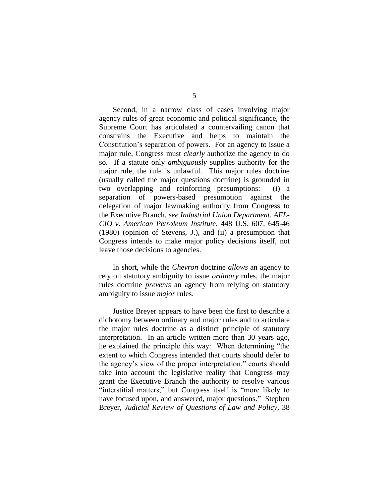Second, in a narrow class of cases involving major agency rules of great economic and political significance, the Supreme Court has articulated a countervailing canon that constrains the Executive and helps to maintain the Constitution's separation of powers. For an agency to issue a major rule, Congress must *clearly* authorize the agency to do so. If a statute only *ambiguously* supplies authority for the major rule, the rule is unlawful. This major rules doctrine (usually called the major questions doctrine) is grounded in two overlapping and reinforcing presumptions: (i) a separation of powers-based presumption against the delegation of major lawmaking authority from Congress to the Executive Branch, *see Industrial Union Department, AFL-CIO v. American Petroleum Institute*, 448 U.S. 607, 645-46 (1980) (opinion of Stevens, J.), and (ii) a presumption that Congress intends to make major policy decisions itself, not leave those decisions to agencies.

In short, while the *Chevron* doctrine *allows* an agency to rely on statutory ambiguity to issue *ordinary* rules, the major rules doctrine *prevents* an agency from relying on statutory ambiguity to issue *major* rules.

Justice Breyer appears to have been the first to describe a dichotomy between ordinary and major rules and to articulate the major rules doctrine as a distinct principle of statutory interpretation. In an article written more than 30 years ago, he explained the principle this way: When determining "the extent to which Congress intended that courts should defer to the agency's view of the proper interpretation," courts should take into account the legislative reality that Congress may grant the Executive Branch the authority to resolve various "interstitial matters," but Congress itself is "more likely to have focused upon, and answered, major questions." Stephen Breyer, *Judicial Review of Questions of Law and Policy*, 38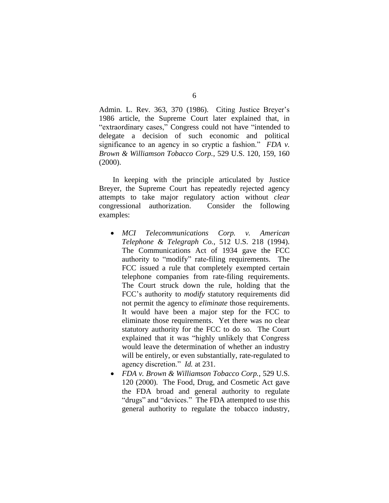Admin. L. Rev. 363, 370 (1986). Citing Justice Breyer's 1986 article, the Supreme Court later explained that, in "extraordinary cases," Congress could not have "intended to delegate a decision of such economic and political significance to an agency in so cryptic a fashion." *FDA v. Brown & Williamson Tobacco Corp.*, 529 U.S. 120, 159, 160 (2000).

In keeping with the principle articulated by Justice Breyer, the Supreme Court has repeatedly rejected agency attempts to take major regulatory action without *clear* congressional authorization. Consider the following examples:

- *MCI Telecommunications Corp. v. American Telephone & Telegraph Co.*, 512 U.S. 218 (1994). The Communications Act of 1934 gave the FCC authority to "modify" rate-filing requirements. The FCC issued a rule that completely exempted certain telephone companies from rate-filing requirements. The Court struck down the rule, holding that the FCC's authority to *modify* statutory requirements did not permit the agency to *eliminate* those requirements. It would have been a major step for the FCC to eliminate those requirements. Yet there was no clear statutory authority for the FCC to do so. The Court explained that it was "highly unlikely that Congress would leave the determination of whether an industry will be entirely, or even substantially, rate-regulated to agency discretion." *Id.* at 231.
- *FDA v. Brown & Williamson Tobacco Corp.*, 529 U.S. 120 (2000). The Food, Drug, and Cosmetic Act gave the FDA broad and general authority to regulate "drugs" and "devices." The FDA attempted to use this general authority to regulate the tobacco industry,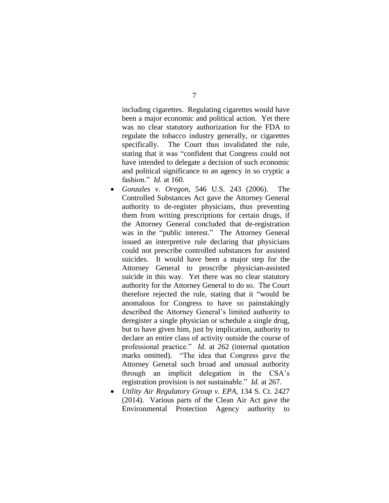including cigarettes. Regulating cigarettes would have been a major economic and political action. Yet there was no clear statutory authorization for the FDA to regulate the tobacco industry generally, or cigarettes specifically. The Court thus invalidated the rule, stating that it was "confident that Congress could not have intended to delegate a decision of such economic and political significance to an agency in so cryptic a fashion." *Id.* at 160.

- *Gonzales v. Oregon*, 546 U.S. 243 (2006). The Controlled Substances Act gave the Attorney General authority to de-register physicians, thus preventing them from writing prescriptions for certain drugs, if the Attorney General concluded that de-registration was in the "public interest." The Attorney General issued an interpretive rule declaring that physicians could not prescribe controlled substances for assisted suicides. It would have been a major step for the Attorney General to proscribe physician-assisted suicide in this way. Yet there was no clear statutory authority for the Attorney General to do so. The Court therefore rejected the rule, stating that it "would be anomalous for Congress to have so painstakingly described the Attorney General's limited authority to deregister a single physician or schedule a single drug, but to have given him, just by implication, authority to declare an entire class of activity outside the course of professional practice." *Id.* at 262 (internal quotation marks omitted). "The idea that Congress gave the Attorney General such broad and unusual authority through an implicit delegation in the CSA's registration provision is not sustainable." *Id.* at 267.
- *Utility Air Regulatory Group v. EPA*, 134 S. Ct. 2427 (2014). Various parts of the Clean Air Act gave the Environmental Protection Agency authority to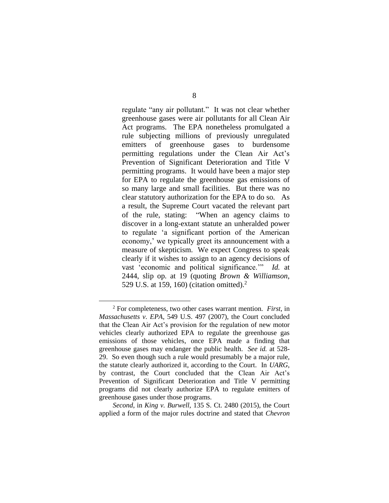regulate "any air pollutant." It was not clear whether greenhouse gases were air pollutants for all Clean Air Act programs. The EPA nonetheless promulgated a rule subjecting millions of previously unregulated emitters of greenhouse gases to burdensome permitting regulations under the Clean Air Act's Prevention of Significant Deterioration and Title V permitting programs. It would have been a major step for EPA to regulate the greenhouse gas emissions of so many large and small facilities. But there was no clear statutory authorization for the EPA to do so. As a result, the Supreme Court vacated the relevant part of the rule, stating: "When an agency claims to discover in a long-extant statute an unheralded power to regulate 'a significant portion of the American economy,' we typically greet its announcement with a measure of skepticism. We expect Congress to speak clearly if it wishes to assign to an agency decisions of vast 'economic and political significance.'" *Id.* at 2444, slip op. at 19 (quoting *Brown & Williamson*, 529 U.S. at 159, 160) (citation omitted). $<sup>2</sup>$ </sup>

 $\overline{a}$ 

*Second*, in *King v. Burwell*, 135 S. Ct. 2480 (2015), the Court applied a form of the major rules doctrine and stated that *Chevron*

<sup>2</sup> For completeness, two other cases warrant mention. *First*, in *Massachusetts v. EPA*, 549 U.S. 497 (2007), the Court concluded that the Clean Air Act's provision for the regulation of new motor vehicles clearly authorized EPA to regulate the greenhouse gas emissions of those vehicles, once EPA made a finding that greenhouse gases may endanger the public health. *See id.* at 528- 29. So even though such a rule would presumably be a major rule, the statute clearly authorized it, according to the Court. In *UARG*, by contrast, the Court concluded that the Clean Air Act's Prevention of Significant Deterioration and Title V permitting programs did not clearly authorize EPA to regulate emitters of greenhouse gases under those programs.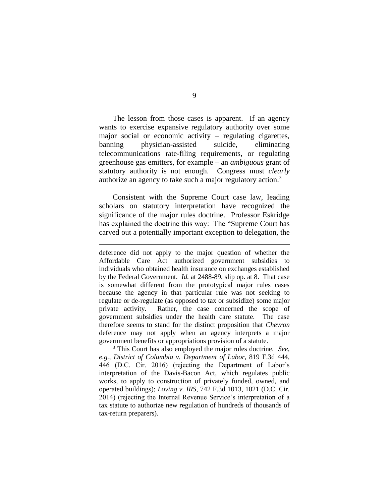The lesson from those cases is apparent. If an agency wants to exercise expansive regulatory authority over some major social or economic activity – regulating cigarettes, banning physician-assisted suicide, eliminating telecommunications rate-filing requirements, or regulating greenhouse gas emitters, for example – an *ambiguous* grant of statutory authority is not enough. Congress must *clearly* authorize an agency to take such a major regulatory action.<sup>3</sup>

Consistent with the Supreme Court case law, leading scholars on statutory interpretation have recognized the significance of the major rules doctrine. Professor Eskridge has explained the doctrine this way: The "Supreme Court has carved out a potentially important exception to delegation, the

 $\overline{a}$ 

<sup>3</sup> This Court has also employed the major rules doctrine. *See, e.g.*, *District of Columbia v. Department of Labor*, 819 F.3d 444, 446 (D.C. Cir. 2016) (rejecting the Department of Labor's interpretation of the Davis-Bacon Act, which regulates public works, to apply to construction of privately funded, owned, and operated buildings); *Loving v. IRS*, 742 F.3d 1013, 1021 (D.C. Cir. 2014) (rejecting the Internal Revenue Service's interpretation of a tax statute to authorize new regulation of hundreds of thousands of tax-return preparers).

deference did not apply to the major question of whether the Affordable Care Act authorized government subsidies to individuals who obtained health insurance on exchanges established by the Federal Government. *Id.* at 2488-89, slip op. at 8. That case is somewhat different from the prototypical major rules cases because the agency in that particular rule was not seeking to regulate or de-regulate (as opposed to tax or subsidize) some major private activity. Rather, the case concerned the scope of government subsidies under the health care statute. The case therefore seems to stand for the distinct proposition that *Chevron* deference may not apply when an agency interprets a major government benefits or appropriations provision of a statute.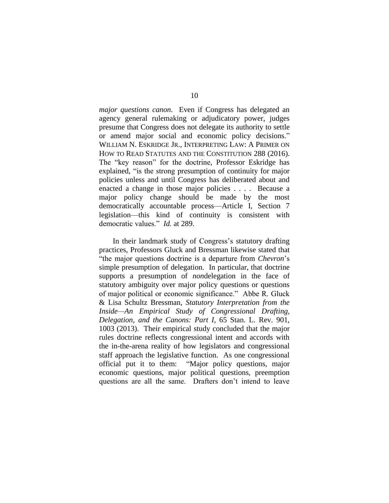*major questions canon*. Even if Congress has delegated an agency general rulemaking or adjudicatory power, judges presume that Congress does not delegate its authority to settle or amend major social and economic policy decisions." WILLIAM N. ESKRIDGE JR., INTERPRETING LAW: A PRIMER ON HOW TO READ STATUTES AND THE CONSTITUTION 288 (2016). The "key reason" for the doctrine, Professor Eskridge has explained, "is the strong presumption of continuity for major policies unless and until Congress has deliberated about and enacted a change in those major policies . . . . Because a major policy change should be made by the most democratically accountable process—Article I, Section 7 legislation—this kind of continuity is consistent with democratic values." *Id.* at 289.

In their landmark study of Congress's statutory drafting practices, Professors Gluck and Bressman likewise stated that "the major questions doctrine is a departure from *Chevron*'s simple presumption of delegation. In particular, that doctrine supports a presumption of *non*delegation in the face of statutory ambiguity over major policy questions or questions of major political or economic significance." Abbe R. Gluck & Lisa Schultz Bressman, *Statutory Interpretation from the Inside—An Empirical Study of Congressional Drafting, Delegation, and the Canons: Part I*, 65 Stan. L. Rev. 901, 1003 (2013). Their empirical study concluded that the major rules doctrine reflects congressional intent and accords with the in-the-arena reality of how legislators and congressional staff approach the legislative function. As one congressional official put it to them: "Major policy questions, major economic questions, major political questions, preemption questions are all the same. Drafters don't intend to leave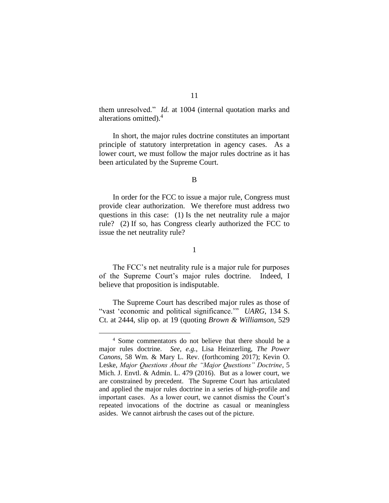them unresolved." *Id.* at 1004 (internal quotation marks and alterations omitted).<sup>4</sup>

In short, the major rules doctrine constitutes an important principle of statutory interpretation in agency cases. As a lower court, we must follow the major rules doctrine as it has been articulated by the Supreme Court.

#### B

In order for the FCC to issue a major rule, Congress must provide clear authorization. We therefore must address two questions in this case: (1) Is the net neutrality rule a major rule? (2) If so, has Congress clearly authorized the FCC to issue the net neutrality rule?

#### 1

The FCC's net neutrality rule is a major rule for purposes of the Supreme Court's major rules doctrine. Indeed, I believe that proposition is indisputable.

The Supreme Court has described major rules as those of "vast 'economic and political significance.'" *UARG*, 134 S. Ct. at 2444, slip op. at 19 (quoting *Brown & Williamson*, 529

<sup>4</sup> Some commentators do not believe that there should be a major rules doctrine. *See, e.g.*, Lisa Heinzerling, *The Power Canons*, 58 Wm. & Mary L. Rev. (forthcoming 2017); Kevin O. Leske, *Major Questions About the "Major Questions" Doctrine*, 5 Mich. J. Envtl. & Admin. L. 479 (2016). But as a lower court, we are constrained by precedent. The Supreme Court has articulated and applied the major rules doctrine in a series of high-profile and important cases. As a lower court, we cannot dismiss the Court's repeated invocations of the doctrine as casual or meaningless asides. We cannot airbrush the cases out of the picture.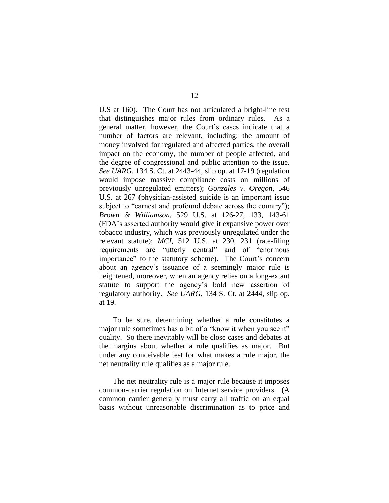U.S at 160). The Court has not articulated a bright-line test that distinguishes major rules from ordinary rules. As a general matter, however, the Court's cases indicate that a number of factors are relevant, including: the amount of money involved for regulated and affected parties, the overall impact on the economy, the number of people affected, and the degree of congressional and public attention to the issue. *See UARG*, 134 S. Ct. at 2443-44, slip op. at 17-19 (regulation would impose massive compliance costs on millions of previously unregulated emitters); *Gonzales v. Oregon*, 546 U.S. at 267 (physician-assisted suicide is an important issue subject to "earnest and profound debate across the country"); *Brown & Williamson*, 529 U.S. at 126-27, 133, 143-61 (FDA's asserted authority would give it expansive power over tobacco industry, which was previously unregulated under the relevant statute); *MCI*, 512 U.S. at 230, 231 (rate-filing requirements are "utterly central" and of "enormous importance" to the statutory scheme). The Court's concern about an agency's issuance of a seemingly major rule is heightened, moreover, when an agency relies on a long-extant statute to support the agency's bold new assertion of regulatory authority. *See UARG*, 134 S. Ct. at 2444, slip op. at 19.

To be sure, determining whether a rule constitutes a major rule sometimes has a bit of a "know it when you see it" quality. So there inevitably will be close cases and debates at the margins about whether a rule qualifies as major. But under any conceivable test for what makes a rule major, the net neutrality rule qualifies as a major rule.

The net neutrality rule is a major rule because it imposes common-carrier regulation on Internet service providers. (A common carrier generally must carry all traffic on an equal basis without unreasonable discrimination as to price and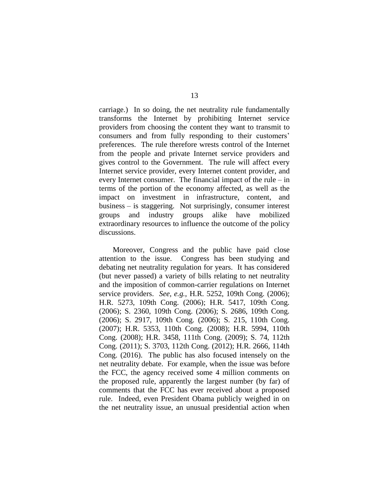carriage.) In so doing, the net neutrality rule fundamentally transforms the Internet by prohibiting Internet service providers from choosing the content they want to transmit to consumers and from fully responding to their customers' preferences. The rule therefore wrests control of the Internet from the people and private Internet service providers and gives control to the Government. The rule will affect every Internet service provider, every Internet content provider, and every Internet consumer. The financial impact of the rule – in terms of the portion of the economy affected, as well as the impact on investment in infrastructure, content, and business – is staggering. Not surprisingly, consumer interest groups and industry groups alike have mobilized extraordinary resources to influence the outcome of the policy discussions.

Moreover, Congress and the public have paid close attention to the issue. Congress has been studying and debating net neutrality regulation for years. It has considered (but never passed) a variety of bills relating to net neutrality and the imposition of common-carrier regulations on Internet service providers. *See, e.g.*, H.R. 5252, 109th Cong. (2006); H.R. 5273, 109th Cong. (2006); H.R. 5417, 109th Cong. (2006); S. 2360, 109th Cong. (2006); S. 2686, 109th Cong. (2006); S. 2917, 109th Cong. (2006); S. 215, 110th Cong. (2007); H.R. 5353, 110th Cong. (2008); H.R. 5994, 110th Cong. (2008); H.R. 3458, 111th Cong. (2009); S. 74, 112th Cong. (2011); S. 3703, 112th Cong. (2012); H.R. 2666, 114th Cong. (2016). The public has also focused intensely on the net neutrality debate. For example, when the issue was before the FCC, the agency received some 4 million comments on the proposed rule, apparently the largest number (by far) of comments that the FCC has ever received about a proposed rule. Indeed, even President Obama publicly weighed in on the net neutrality issue, an unusual presidential action when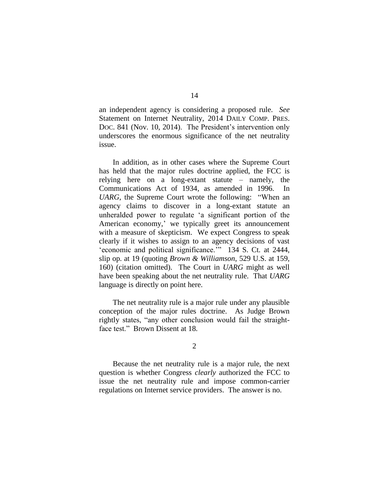an independent agency is considering a proposed rule. *See* Statement on Internet Neutrality, 2014 DAILY COMP. PRES. Doc. 841 (Nov. 10, 2014). The President's intervention only underscores the enormous significance of the net neutrality issue.

In addition, as in other cases where the Supreme Court has held that the major rules doctrine applied, the FCC is relying here on a long-extant statute – namely, the Communications Act of 1934, as amended in 1996. In *UARG*, the Supreme Court wrote the following: "When an agency claims to discover in a long-extant statute an unheralded power to regulate 'a significant portion of the American economy,' we typically greet its announcement with a measure of skepticism. We expect Congress to speak clearly if it wishes to assign to an agency decisions of vast 'economic and political significance.'" 134 S. Ct. at 2444, slip op. at 19 (quoting *Brown & Williamson*, 529 U.S. at 159, 160) (citation omitted). The Court in *UARG* might as well have been speaking about the net neutrality rule. That *UARG* language is directly on point here.

The net neutrality rule is a major rule under any plausible conception of the major rules doctrine. As Judge Brown rightly states, "any other conclusion would fail the straightface test." Brown Dissent at 18.

2

Because the net neutrality rule is a major rule, the next question is whether Congress *clearly* authorized the FCC to issue the net neutrality rule and impose common-carrier regulations on Internet service providers. The answer is no.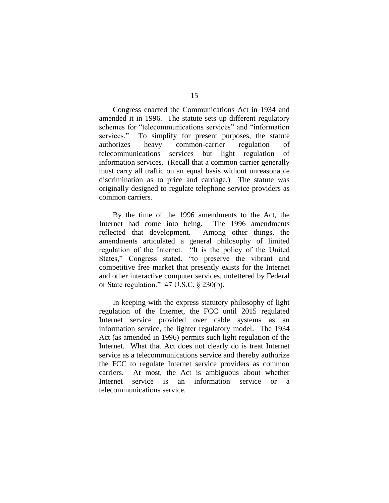Congress enacted the Communications Act in 1934 and amended it in 1996. The statute sets up different regulatory schemes for "telecommunications services" and "information services." To simplify for present purposes, the statute authorizes heavy common-carrier regulation of telecommunications services but light regulation of information services. (Recall that a common carrier generally must carry all traffic on an equal basis without unreasonable discrimination as to price and carriage.) The statute was originally designed to regulate telephone service providers as common carriers.

By the time of the 1996 amendments to the Act, the Internet had come into being. The 1996 amendments reflected that development. Among other things, the amendments articulated a general philosophy of limited regulation of the Internet. "It is the policy of the United States," Congress stated, "to preserve the vibrant and competitive free market that presently exists for the Internet and other interactive computer services, unfettered by Federal or State regulation." 47 U.S.C. § 230(b).

In keeping with the express statutory philosophy of light regulation of the Internet, the FCC until 2015 regulated Internet service provided over cable systems as an information service, the lighter regulatory model. The 1934 Act (as amended in 1996) permits such light regulation of the Internet. What that Act does not clearly do is treat Internet service as a telecommunications service and thereby authorize the FCC to regulate Internet service providers as common carriers. At most, the Act is ambiguous about whether Internet service is an information service or a telecommunications service.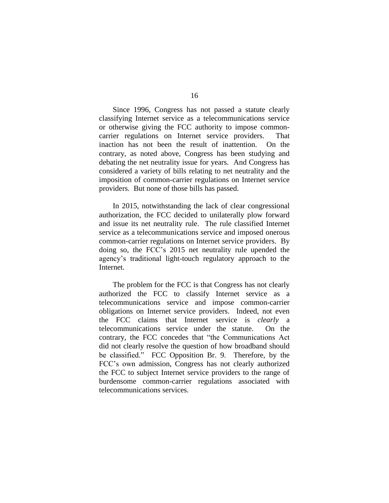Since 1996, Congress has not passed a statute clearly classifying Internet service as a telecommunications service or otherwise giving the FCC authority to impose commoncarrier regulations on Internet service providers. That inaction has not been the result of inattention. On the contrary, as noted above, Congress has been studying and debating the net neutrality issue for years. And Congress has considered a variety of bills relating to net neutrality and the imposition of common-carrier regulations on Internet service providers. But none of those bills has passed.

In 2015, notwithstanding the lack of clear congressional authorization, the FCC decided to unilaterally plow forward and issue its net neutrality rule. The rule classified Internet service as a telecommunications service and imposed onerous common-carrier regulations on Internet service providers. By doing so, the FCC's 2015 net neutrality rule upended the agency's traditional light-touch regulatory approach to the Internet.

The problem for the FCC is that Congress has not clearly authorized the FCC to classify Internet service as a telecommunications service and impose common-carrier obligations on Internet service providers. Indeed, not even the FCC claims that Internet service is *clearly* a telecommunications service under the statute. On the contrary, the FCC concedes that "the Communications Act did not clearly resolve the question of how broadband should be classified." FCC Opposition Br. 9. Therefore, by the FCC's own admission, Congress has not clearly authorized the FCC to subject Internet service providers to the range of burdensome common-carrier regulations associated with telecommunications services.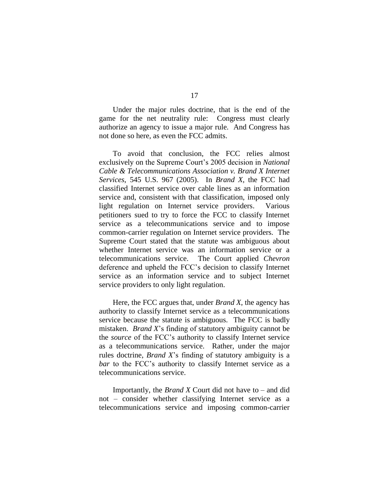Under the major rules doctrine, that is the end of the game for the net neutrality rule: Congress must clearly authorize an agency to issue a major rule. And Congress has not done so here, as even the FCC admits.

To avoid that conclusion, the FCC relies almost exclusively on the Supreme Court's 2005 decision in *National Cable & Telecommunications Association v. Brand X Internet Services*, 545 U.S. 967 (2005). In *Brand X*, the FCC had classified Internet service over cable lines as an information service and, consistent with that classification, imposed only light regulation on Internet service providers. Various petitioners sued to try to force the FCC to classify Internet service as a telecommunications service and to impose common-carrier regulation on Internet service providers. The Supreme Court stated that the statute was ambiguous about whether Internet service was an information service or a telecommunications service. The Court applied *Chevron* deference and upheld the FCC's decision to classify Internet service as an information service and to subject Internet service providers to only light regulation.

Here, the FCC argues that, under *Brand X*, the agency has authority to classify Internet service as a telecommunications service because the statute is ambiguous. The FCC is badly mistaken. *Brand X*'s finding of statutory ambiguity cannot be the *source* of the FCC's authority to classify Internet service as a telecommunications service. Rather, under the major rules doctrine, *Brand X*'s finding of statutory ambiguity is a *bar* to the FCC's authority to classify Internet service as a telecommunications service.

Importantly, the *Brand X* Court did not have to – and did not – consider whether classifying Internet service as a telecommunications service and imposing common-carrier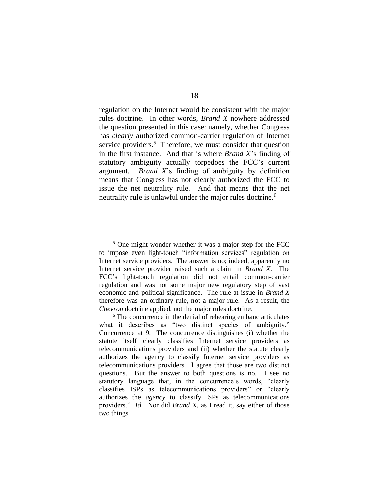regulation on the Internet would be consistent with the major rules doctrine. In other words, *Brand X* nowhere addressed the question presented in this case: namely, whether Congress has *clearly* authorized common-carrier regulation of Internet service providers.<sup>5</sup> Therefore, we must consider that question in the first instance. And that is where *Brand X*'s finding of statutory ambiguity actually torpedoes the FCC's current argument. *Brand X*'s finding of ambiguity by definition means that Congress has not clearly authorized the FCC to issue the net neutrality rule. And that means that the net neutrality rule is unlawful under the major rules doctrine.<sup>6</sup>

<sup>5</sup> One might wonder whether it was a major step for the FCC to impose even light-touch "information services" regulation on Internet service providers. The answer is no; indeed, apparently no Internet service provider raised such a claim in *Brand X*. The FCC's light-touch regulation did not entail common-carrier regulation and was not some major new regulatory step of vast economic and political significance. The rule at issue in *Brand X* therefore was an ordinary rule, not a major rule. As a result, the *Chevron* doctrine applied, not the major rules doctrine.

<sup>6</sup> The concurrence in the denial of rehearing en banc articulates what it describes as "two distinct species of ambiguity." Concurrence at 9. The concurrence distinguishes (i) whether the statute itself clearly classifies Internet service providers as telecommunications providers and (ii) whether the statute clearly authorizes the agency to classify Internet service providers as telecommunications providers. I agree that those are two distinct questions. But the answer to both questions is no. I see no statutory language that, in the concurrence's words, "clearly classifies ISPs as telecommunications providers" or "clearly authorizes the *agency* to classify ISPs as telecommunications providers." *Id.* Nor did *Brand X*, as I read it, say either of those two things.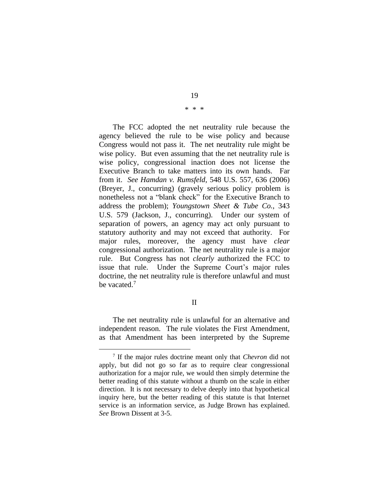The FCC adopted the net neutrality rule because the agency believed the rule to be wise policy and because Congress would not pass it. The net neutrality rule might be wise policy. But even assuming that the net neutrality rule is wise policy, congressional inaction does not license the Executive Branch to take matters into its own hands. Far from it. *See Hamdan v. Rumsfeld*, 548 U.S. 557, 636 (2006) (Breyer, J., concurring) (gravely serious policy problem is nonetheless not a "blank check" for the Executive Branch to address the problem); *Youngstown Sheet & Tube Co.*, 343 U.S. 579 (Jackson, J., concurring). Under our system of separation of powers, an agency may act only pursuant to statutory authority and may not exceed that authority. For major rules, moreover, the agency must have *clear* congressional authorization. The net neutrality rule is a major rule. But Congress has not *clearly* authorized the FCC to issue that rule. Under the Supreme Court's major rules doctrine, the net neutrality rule is therefore unlawful and must be vacated.<sup>7</sup>

# II

The net neutrality rule is unlawful for an alternative and independent reason. The rule violates the First Amendment, as that Amendment has been interpreted by the Supreme

 $\overline{a}$ 

# \* \* \*

<sup>7</sup> If the major rules doctrine meant only that *Chevron* did not apply, but did not go so far as to require clear congressional authorization for a major rule, we would then simply determine the better reading of this statute without a thumb on the scale in either direction. It is not necessary to delve deeply into that hypothetical inquiry here, but the better reading of this statute is that Internet service is an information service, as Judge Brown has explained. *See* Brown Dissent at 3-5.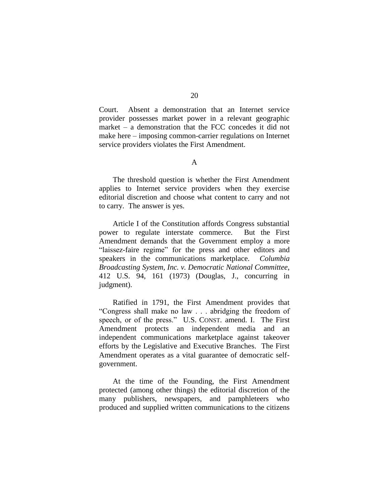Court. Absent a demonstration that an Internet service provider possesses market power in a relevant geographic market – a demonstration that the FCC concedes it did not make here – imposing common-carrier regulations on Internet service providers violates the First Amendment.

# A

The threshold question is whether the First Amendment applies to Internet service providers when they exercise editorial discretion and choose what content to carry and not to carry. The answer is yes.

Article I of the Constitution affords Congress substantial power to regulate interstate commerce. But the First Amendment demands that the Government employ a more "laissez-faire regime" for the press and other editors and speakers in the communications marketplace. *Columbia Broadcasting System, Inc. v. Democratic National Committee*, 412 U.S. 94, 161 (1973) (Douglas, J., concurring in judgment).

Ratified in 1791, the First Amendment provides that "Congress shall make no law . . . abridging the freedom of speech, or of the press." U.S. CONST. amend. I. The First Amendment protects an independent media and an independent communications marketplace against takeover efforts by the Legislative and Executive Branches. The First Amendment operates as a vital guarantee of democratic selfgovernment.

At the time of the Founding, the First Amendment protected (among other things) the editorial discretion of the many publishers, newspapers, and pamphleteers who produced and supplied written communications to the citizens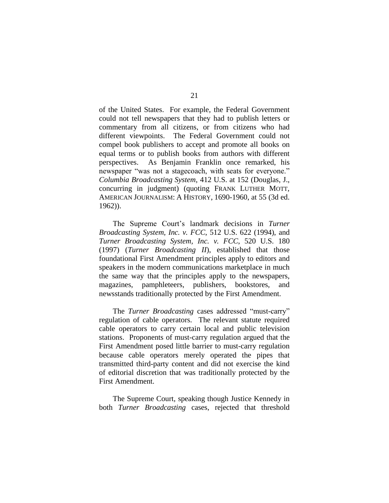of the United States. For example, the Federal Government could not tell newspapers that they had to publish letters or commentary from all citizens, or from citizens who had different viewpoints. The Federal Government could not compel book publishers to accept and promote all books on equal terms or to publish books from authors with different perspectives. As Benjamin Franklin once remarked, his newspaper "was not a stagecoach, with seats for everyone." *Columbia Broadcasting System*, 412 U.S. at 152 (Douglas, J., concurring in judgment) (quoting FRANK LUTHER MOTT, AMERICAN JOURNALISM: A HISTORY, 1690-1960, at 55 (3d ed. 1962)).

The Supreme Court's landmark decisions in *Turner Broadcasting System, Inc. v. FCC*, 512 U.S. 622 (1994), and *Turner Broadcasting System, Inc. v. FCC*, 520 U.S. 180 (1997) (*Turner Broadcasting II*), established that those foundational First Amendment principles apply to editors and speakers in the modern communications marketplace in much the same way that the principles apply to the newspapers, magazines, pamphleteers, publishers, bookstores, and newsstands traditionally protected by the First Amendment.

The *Turner Broadcasting* cases addressed "must-carry" regulation of cable operators. The relevant statute required cable operators to carry certain local and public television stations. Proponents of must-carry regulation argued that the First Amendment posed little barrier to must-carry regulation because cable operators merely operated the pipes that transmitted third-party content and did not exercise the kind of editorial discretion that was traditionally protected by the First Amendment.

The Supreme Court, speaking though Justice Kennedy in both *Turner Broadcasting* cases, rejected that threshold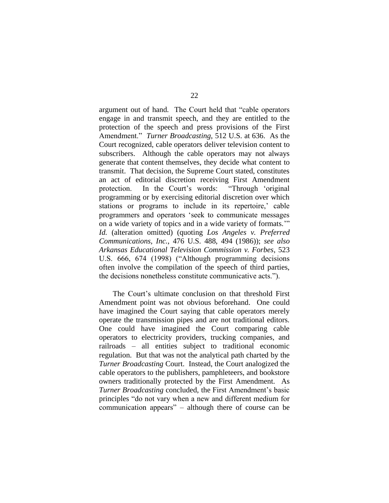argument out of hand. The Court held that "cable operators engage in and transmit speech, and they are entitled to the protection of the speech and press provisions of the First Amendment." *Turner Broadcasting*, 512 U.S. at 636. As the Court recognized, cable operators deliver television content to subscribers. Although the cable operators may not always generate that content themselves, they decide what content to transmit. That decision, the Supreme Court stated, constitutes an act of editorial discretion receiving First Amendment protection. In the Court's words: "Through 'original programming or by exercising editorial discretion over which stations or programs to include in its repertoire,' cable programmers and operators 'seek to communicate messages on a wide variety of topics and in a wide variety of formats.'" *Id.* (alteration omitted) (quoting *Los Angeles v. Preferred Communications, Inc.*, 476 U.S. 488, 494 (1986)); *see also Arkansas Educational Television Commission v. Forbes*, 523 U.S. 666, 674 (1998) ("Although programming decisions often involve the compilation of the speech of third parties, the decisions nonetheless constitute communicative acts.").

The Court's ultimate conclusion on that threshold First Amendment point was not obvious beforehand. One could have imagined the Court saying that cable operators merely operate the transmission pipes and are not traditional editors. One could have imagined the Court comparing cable operators to electricity providers, trucking companies, and railroads – all entities subject to traditional economic regulation. But that was not the analytical path charted by the *Turner Broadcasting* Court. Instead, the Court analogized the cable operators to the publishers, pamphleteers, and bookstore owners traditionally protected by the First Amendment. As *Turner Broadcasting* concluded, the First Amendment's basic principles "do not vary when a new and different medium for communication appears" – although there of course can be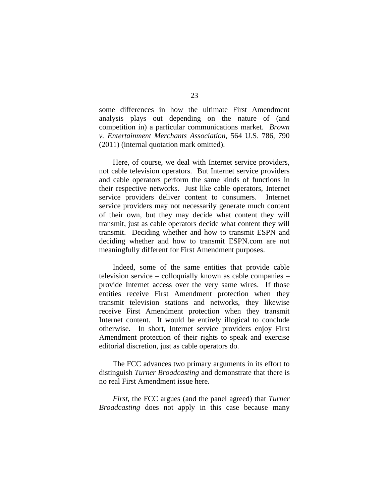some differences in how the ultimate First Amendment analysis plays out depending on the nature of (and competition in) a particular communications market. *Brown v. Entertainment Merchants Association*, 564 U.S. 786, 790 (2011) (internal quotation mark omitted).

Here, of course, we deal with Internet service providers, not cable television operators. But Internet service providers and cable operators perform the same kinds of functions in their respective networks. Just like cable operators, Internet service providers deliver content to consumers. Internet service providers may not necessarily generate much content of their own, but they may decide what content they will transmit, just as cable operators decide what content they will transmit. Deciding whether and how to transmit ESPN and deciding whether and how to transmit ESPN.com are not meaningfully different for First Amendment purposes.

Indeed, some of the same entities that provide cable television service – colloquially known as cable companies – provide Internet access over the very same wires. If those entities receive First Amendment protection when they transmit television stations and networks, they likewise receive First Amendment protection when they transmit Internet content. It would be entirely illogical to conclude otherwise. In short, Internet service providers enjoy First Amendment protection of their rights to speak and exercise editorial discretion, just as cable operators do.

The FCC advances two primary arguments in its effort to distinguish *Turner Broadcasting* and demonstrate that there is no real First Amendment issue here.

*First*, the FCC argues (and the panel agreed) that *Turner Broadcasting* does not apply in this case because many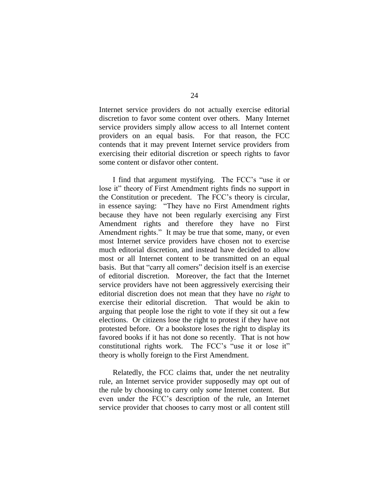Internet service providers do not actually exercise editorial discretion to favor some content over others. Many Internet service providers simply allow access to all Internet content providers on an equal basis. For that reason, the FCC contends that it may prevent Internet service providers from exercising their editorial discretion or speech rights to favor some content or disfavor other content.

I find that argument mystifying. The FCC's "use it or lose it" theory of First Amendment rights finds no support in the Constitution or precedent. The FCC's theory is circular, in essence saying: "They have no First Amendment rights because they have not been regularly exercising any First Amendment rights and therefore they have no First Amendment rights." It may be true that some, many, or even most Internet service providers have chosen not to exercise much editorial discretion, and instead have decided to allow most or all Internet content to be transmitted on an equal basis. But that "carry all comers" decision itself is an exercise of editorial discretion. Moreover, the fact that the Internet service providers have not been aggressively exercising their editorial discretion does not mean that they have no *right* to exercise their editorial discretion. That would be akin to arguing that people lose the right to vote if they sit out a few elections. Or citizens lose the right to protest if they have not protested before. Or a bookstore loses the right to display its favored books if it has not done so recently. That is not how constitutional rights work. The FCC's "use it or lose it" theory is wholly foreign to the First Amendment.

Relatedly, the FCC claims that, under the net neutrality rule, an Internet service provider supposedly may opt out of the rule by choosing to carry only *some* Internet content. But even under the FCC's description of the rule, an Internet service provider that chooses to carry most or all content still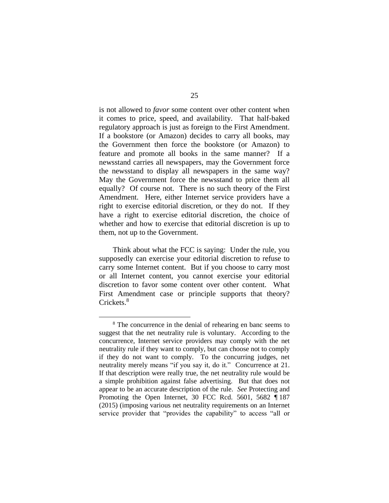is not allowed to *favor* some content over other content when it comes to price, speed, and availability. That half-baked regulatory approach is just as foreign to the First Amendment. If a bookstore (or Amazon) decides to carry all books, may the Government then force the bookstore (or Amazon) to feature and promote all books in the same manner? If a newsstand carries all newspapers, may the Government force the newsstand to display all newspapers in the same way? May the Government force the newsstand to price them all equally? Of course not. There is no such theory of the First Amendment. Here, either Internet service providers have a right to exercise editorial discretion, or they do not. If they have a right to exercise editorial discretion, the choice of whether and how to exercise that editorial discretion is up to them, not up to the Government.

Think about what the FCC is saying: Under the rule, you supposedly can exercise your editorial discretion to refuse to carry some Internet content. But if you choose to carry most or all Internet content, you cannot exercise your editorial discretion to favor some content over other content. What First Amendment case or principle supports that theory? Crickets.<sup>8</sup>

<sup>&</sup>lt;sup>8</sup> The concurrence in the denial of rehearing en banc seems to suggest that the net neutrality rule is voluntary. According to the concurrence, Internet service providers may comply with the net neutrality rule if they want to comply, but can choose not to comply if they do not want to comply. To the concurring judges, net neutrality merely means "if you say it, do it." Concurrence at 21. If that description were really true, the net neutrality rule would be a simple prohibition against false advertising. But that does not appear to be an accurate description of the rule. *See* Protecting and Promoting the Open Internet, 30 FCC Rcd. 5601, 5682 ¶ 187 (2015) (imposing various net neutrality requirements on an Internet service provider that "provides the capability" to access "all or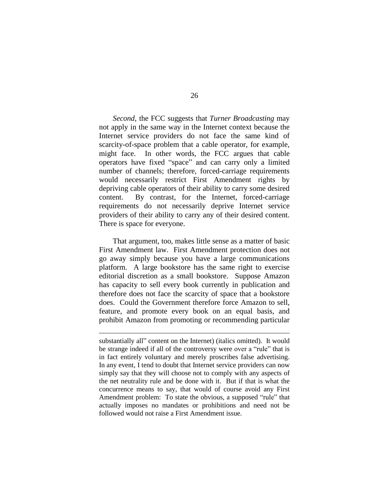*Second*, the FCC suggests that *Turner Broadcasting* may not apply in the same way in the Internet context because the Internet service providers do not face the same kind of scarcity-of-space problem that a cable operator, for example, might face. In other words, the FCC argues that cable operators have fixed "space" and can carry only a limited number of channels; therefore, forced-carriage requirements would necessarily restrict First Amendment rights by depriving cable operators of their ability to carry some desired content. By contrast, for the Internet, forced-carriage requirements do not necessarily deprive Internet service providers of their ability to carry any of their desired content. There is space for everyone.

That argument, too, makes little sense as a matter of basic First Amendment law. First Amendment protection does not go away simply because you have a large communications platform. A large bookstore has the same right to exercise editorial discretion as a small bookstore. Suppose Amazon has capacity to sell every book currently in publication and therefore does not face the scarcity of space that a bookstore does. Could the Government therefore force Amazon to sell, feature, and promote every book on an equal basis, and prohibit Amazon from promoting or recommending particular

substantially all" content on the Internet) (italics omitted). It would be strange indeed if all of the controversy were over a "rule" that is in fact entirely voluntary and merely proscribes false advertising. In any event, I tend to doubt that Internet service providers can now simply say that they will choose not to comply with any aspects of the net neutrality rule and be done with it. But if that is what the concurrence means to say, that would of course avoid any First Amendment problem: To state the obvious, a supposed "rule" that actually imposes no mandates or prohibitions and need not be followed would not raise a First Amendment issue.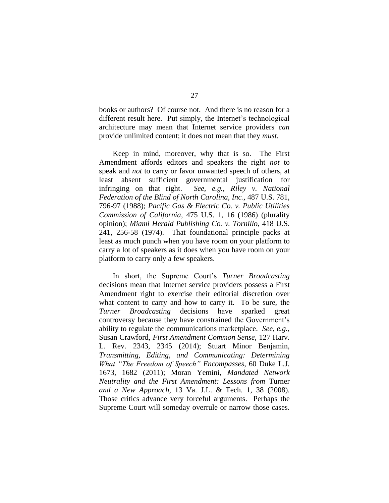books or authors? Of course not. And there is no reason for a different result here. Put simply, the Internet's technological architecture may mean that Internet service providers *can* provide unlimited content; it does not mean that they *must*.

Keep in mind, moreover, why that is so. The First Amendment affords editors and speakers the right *not* to speak and *not* to carry or favor unwanted speech of others, at least absent sufficient governmental justification for infringing on that right. *See, e.g.*, *Riley v. National Federation of the Blind of North Carolina, Inc.*, 487 U.S. 781, 796-97 (1988); *Pacific Gas & Electric Co. v. Public Utilities Commission of California*, 475 U.S. 1, 16 (1986) (plurality opinion); *Miami Herald Publishing Co. v. Tornillo*, 418 U.S. 241, 256-58 (1974). That foundational principle packs at least as much punch when you have room on your platform to carry a lot of speakers as it does when you have room on your platform to carry only a few speakers.

In short, the Supreme Court's *Turner Broadcasting* decisions mean that Internet service providers possess a First Amendment right to exercise their editorial discretion over what content to carry and how to carry it. To be sure, the *Turner Broadcasting* decisions have sparked great controversy because they have constrained the Government's ability to regulate the communications marketplace. *See, e.g.*, Susan Crawford, *First Amendment Common Sense*, 127 Harv. L. Rev. 2343, 2345 (2014); Stuart Minor Benjamin, *Transmitting, Editing, and Communicating: Determining What "The Freedom of Speech" Encompasses*, 60 Duke L.J. 1673, 1682 (2011); Moran Yemini, *Mandated Network Neutrality and the First Amendment: Lessons from* Turner *and a New Approach*, 13 Va. J.L. & Tech. 1, 38 (2008). Those critics advance very forceful arguments. Perhaps the Supreme Court will someday overrule or narrow those cases.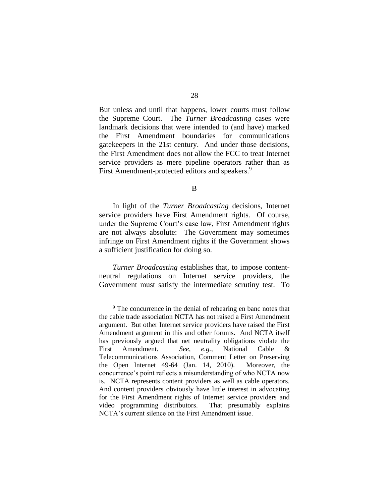But unless and until that happens, lower courts must follow the Supreme Court. The *Turner Broadcasting* cases were landmark decisions that were intended to (and have) marked the First Amendment boundaries for communications gatekeepers in the 21st century. And under those decisions, the First Amendment does not allow the FCC to treat Internet service providers as mere pipeline operators rather than as First Amendment-protected editors and speakers.<sup>9</sup>

B

In light of the *Turner Broadcasting* decisions, Internet service providers have First Amendment rights. Of course, under the Supreme Court's case law, First Amendment rights are not always absolute: The Government may sometimes infringe on First Amendment rights if the Government shows a sufficient justification for doing so.

*Turner Broadcasting* establishes that, to impose contentneutral regulations on Internet service providers, the Government must satisfy the intermediate scrutiny test. To

<sup>&</sup>lt;sup>9</sup> The concurrence in the denial of rehearing en banc notes that the cable trade association NCTA has not raised a First Amendment argument. But other Internet service providers have raised the First Amendment argument in this and other forums. And NCTA itself has previously argued that net neutrality obligations violate the First Amendment. *See, e.g.*, National Cable & Telecommunications Association, Comment Letter on Preserving the Open Internet 49-64 (Jan. 14, 2010). Moreover, the concurrence's point reflects a misunderstanding of who NCTA now is. NCTA represents content providers as well as cable operators. And content providers obviously have little interest in advocating for the First Amendment rights of Internet service providers and video programming distributors. That presumably explains NCTA's current silence on the First Amendment issue.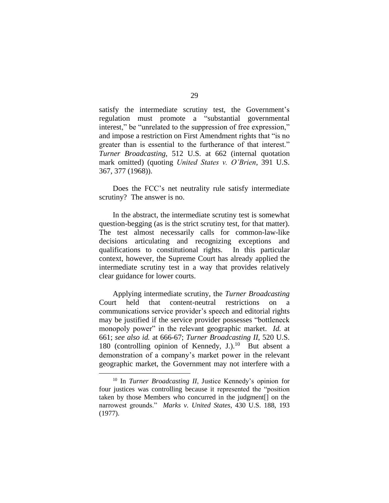satisfy the intermediate scrutiny test, the Government's regulation must promote a "substantial governmental interest," be "unrelated to the suppression of free expression," and impose a restriction on First Amendment rights that "is no greater than is essential to the furtherance of that interest." *Turner Broadcasting*, 512 U.S. at 662 (internal quotation mark omitted) (quoting *United States v. O'Brien*, 391 U.S. 367, 377 (1968)).

Does the FCC's net neutrality rule satisfy intermediate scrutiny? The answer is no.

In the abstract, the intermediate scrutiny test is somewhat question-begging (as is the strict scrutiny test, for that matter). The test almost necessarily calls for common-law-like decisions articulating and recognizing exceptions and qualifications to constitutional rights. In this particular context, however, the Supreme Court has already applied the intermediate scrutiny test in a way that provides relatively clear guidance for lower courts.

Applying intermediate scrutiny, the *Turner Broadcasting* Court held that content-neutral restrictions on a communications service provider's speech and editorial rights may be justified if the service provider possesses "bottleneck monopoly power" in the relevant geographic market. *Id.* at 661; *see also id.* at 666-67; *Turner Broadcasting II*, 520 U.S. 180 (controlling opinion of Kennedy, J.). 10 But absent a demonstration of a company's market power in the relevant geographic market, the Government may not interfere with a

<sup>10</sup> In *Turner Broadcasting II*, Justice Kennedy's opinion for four justices was controlling because it represented the "position taken by those Members who concurred in the judgment[] on the narrowest grounds." *Marks v. United States*, 430 U.S. 188, 193 (1977).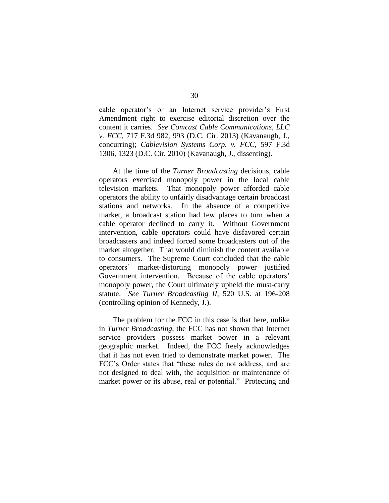cable operator's or an Internet service provider's First Amendment right to exercise editorial discretion over the content it carries. *See Comcast Cable Communications, LLC v. FCC*, 717 F.3d 982, 993 (D.C. Cir. 2013) (Kavanaugh, J., concurring); *Cablevision Systems Corp. v. FCC*, 597 F.3d 1306, 1323 (D.C. Cir. 2010) (Kavanaugh, J., dissenting).

At the time of the *Turner Broadcasting* decisions, cable operators exercised monopoly power in the local cable television markets. That monopoly power afforded cable operators the ability to unfairly disadvantage certain broadcast stations and networks. In the absence of a competitive market, a broadcast station had few places to turn when a cable operator declined to carry it. Without Government intervention, cable operators could have disfavored certain broadcasters and indeed forced some broadcasters out of the market altogether. That would diminish the content available to consumers. The Supreme Court concluded that the cable operators' market-distorting monopoly power justified Government intervention. Because of the cable operators' monopoly power, the Court ultimately upheld the must-carry statute. *See Turner Broadcasting II*, 520 U.S. at 196-208 (controlling opinion of Kennedy, J.).

The problem for the FCC in this case is that here, unlike in *Turner Broadcasting*, the FCC has not shown that Internet service providers possess market power in a relevant geographic market. Indeed, the FCC freely acknowledges that it has not even tried to demonstrate market power. The FCC's Order states that "these rules do not address, and are not designed to deal with, the acquisition or maintenance of market power or its abuse, real or potential." Protecting and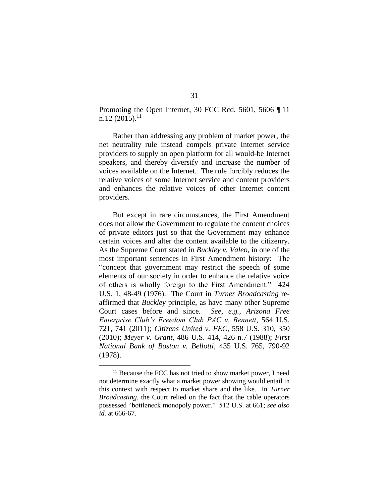Promoting the Open Internet, 30 FCC Rcd. 5601, 5606 ¶ 11  $n.12$  (2015).<sup>11</sup>

Rather than addressing any problem of market power, the net neutrality rule instead compels private Internet service providers to supply an open platform for all would-be Internet speakers, and thereby diversify and increase the number of voices available on the Internet. The rule forcibly reduces the relative voices of some Internet service and content providers and enhances the relative voices of other Internet content providers.

But except in rare circumstances, the First Amendment does not allow the Government to regulate the content choices of private editors just so that the Government may enhance certain voices and alter the content available to the citizenry. As the Supreme Court stated in *Buckley v. Valeo*, in one of the most important sentences in First Amendment history: The "concept that government may restrict the speech of some elements of our society in order to enhance the relative voice of others is wholly foreign to the First Amendment." 424 U.S. 1, 48-49 (1976). The Court in *Turner Broadcasting* reaffirmed that *Buckley* principle, as have many other Supreme Court cases before and since. *See, e.g.*, *Arizona Free Enterprise Club's Freedom Club PAC v. Bennett*, 564 U.S. 721, 741 (2011); *Citizens United v. FEC*, 558 U.S. 310, 350 (2010); *Meyer v. Grant*, 486 U.S. 414, 426 n.7 (1988); *First National Bank of Boston v. Bellotti*, 435 U.S. 765, 790-92 (1978).

<sup>&</sup>lt;sup>11</sup> Because the FCC has not tried to show market power, I need not determine exactly what a market power showing would entail in this context with respect to market share and the like. In *Turner Broadcasting*, the Court relied on the fact that the cable operators possessed "bottleneck monopoly power." 512 U.S. at 661; *see also id.* at 666-67.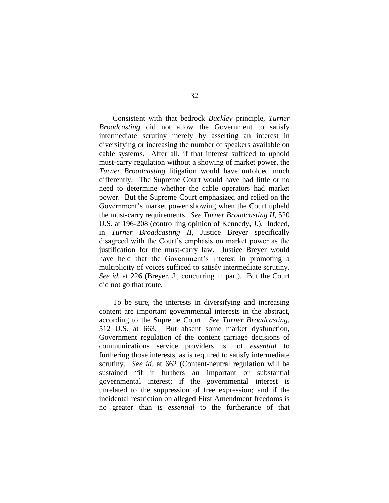Consistent with that bedrock *Buckley* principle, *Turner Broadcasting* did not allow the Government to satisfy intermediate scrutiny merely by asserting an interest in diversifying or increasing the number of speakers available on cable systems. After all, if that interest sufficed to uphold must-carry regulation without a showing of market power, the *Turner Broadcasting* litigation would have unfolded much differently. The Supreme Court would have had little or no need to determine whether the cable operators had market power. But the Supreme Court emphasized and relied on the Government's market power showing when the Court upheld the must-carry requirements. *See Turner Broadcasting II*, 520 U.S. at 196-208 (controlling opinion of Kennedy, J.). Indeed, in *Turner Broadcasting II*, Justice Breyer specifically disagreed with the Court's emphasis on market power as the justification for the must-carry law. Justice Breyer would have held that the Government's interest in promoting a multiplicity of voices sufficed to satisfy intermediate scrutiny. *See id.* at 226 (Breyer, J., concurring in part). But the Court did not go that route.

To be sure, the interests in diversifying and increasing content are important governmental interests in the abstract, according to the Supreme Court. *See Turner Broadcasting*, 512 U.S. at 663. But absent some market dysfunction, Government regulation of the content carriage decisions of communications service providers is not *essential* to furthering those interests, as is required to satisfy intermediate scrutiny. *See id.* at 662 (Content-neutral regulation will be sustained "if it furthers an important or substantial governmental interest; if the governmental interest is unrelated to the suppression of free expression; and if the incidental restriction on alleged First Amendment freedoms is no greater than is *essential* to the furtherance of that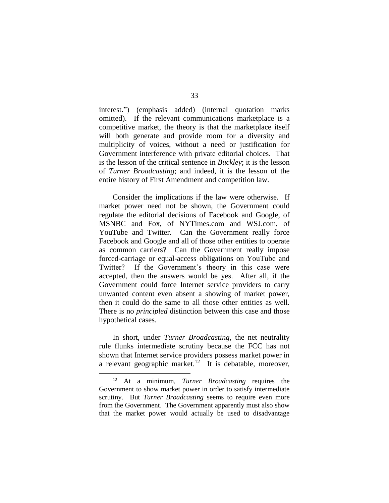interest.") (emphasis added) (internal quotation marks omitted). If the relevant communications marketplace is a competitive market, the theory is that the marketplace itself will both generate and provide room for a diversity and multiplicity of voices, without a need or justification for Government interference with private editorial choices. That is the lesson of the critical sentence in *Buckley*; it is the lesson of *Turner Broadcasting*; and indeed, it is the lesson of the entire history of First Amendment and competition law.

Consider the implications if the law were otherwise. If market power need not be shown, the Government could regulate the editorial decisions of Facebook and Google, of MSNBC and Fox, of NYTimes.com and WSJ.com, of YouTube and Twitter. Can the Government really force Facebook and Google and all of those other entities to operate as common carriers? Can the Government really impose forced-carriage or equal-access obligations on YouTube and Twitter? If the Government's theory in this case were accepted, then the answers would be yes. After all, if the Government could force Internet service providers to carry unwanted content even absent a showing of market power, then it could do the same to all those other entities as well. There is no *principled* distinction between this case and those hypothetical cases.

In short, under *Turner Broadcasting*, the net neutrality rule flunks intermediate scrutiny because the FCC has not shown that Internet service providers possess market power in a relevant geographic market.<sup>12</sup> It is debatable, moreover,

<sup>12</sup> At a minimum, *Turner Broadcasting* requires the Government to show market power in order to satisfy intermediate scrutiny. But *Turner Broadcasting* seems to require even more from the Government. The Government apparently must also show that the market power would actually be used to disadvantage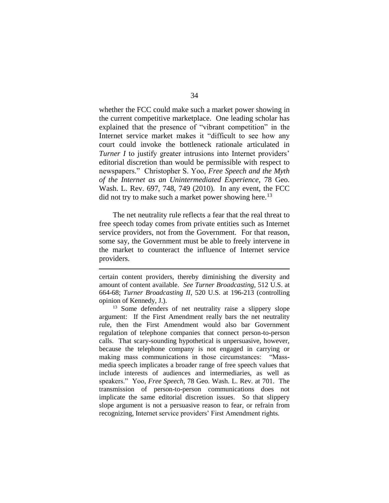whether the FCC could make such a market power showing in the current competitive marketplace. One leading scholar has explained that the presence of "vibrant competition" in the Internet service market makes it "difficult to see how any court could invoke the bottleneck rationale articulated in *Turner I* to justify greater intrusions into Internet providers' editorial discretion than would be permissible with respect to newspapers." Christopher S. Yoo, *Free Speech and the Myth of the Internet as an Unintermediated Experience*, 78 Geo. Wash. L. Rev. 697, 748, 749 (2010). In any event, the FCC did not try to make such a market power showing here.<sup>13</sup>

The net neutrality rule reflects a fear that the real threat to free speech today comes from private entities such as Internet service providers, not from the Government. For that reason, some say, the Government must be able to freely intervene in the market to counteract the influence of Internet service providers.

certain content providers, thereby diminishing the diversity and amount of content available. *See Turner Broadcasting*, 512 U.S. at 664-68; *Turner Broadcasting II*, 520 U.S. at 196-213 (controlling opinion of Kennedy, J.).

<sup>13</sup> Some defenders of net neutrality raise a slippery slope argument: If the First Amendment really bars the net neutrality rule, then the First Amendment would also bar Government regulation of telephone companies that connect person-to-person calls. That scary-sounding hypothetical is unpersuasive, however, because the telephone company is not engaged in carrying or making mass communications in those circumstances: "Massmedia speech implicates a broader range of free speech values that include interests of audiences and intermediaries, as well as speakers." Yoo, *Free Speech*, 78 Geo. Wash. L. Rev. at 701. The transmission of person-to-person communications does not implicate the same editorial discretion issues. So that slippery slope argument is not a persuasive reason to fear, or refrain from recognizing, Internet service providers' First Amendment rights.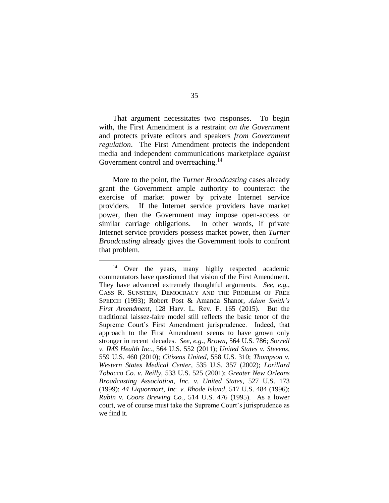That argument necessitates two responses. To begin with, the First Amendment is a restraint *on the Government* and protects private editors and speakers *from Government regulation*. The First Amendment protects the independent media and independent communications marketplace *against* Government control and overreaching.<sup>14</sup>

More to the point, the *Turner Broadcasting* cases already grant the Government ample authority to counteract the exercise of market power by private Internet service providers. If the Internet service providers have market power, then the Government may impose open-access or similar carriage obligations. In other words, if private Internet service providers possess market power, then *Turner Broadcasting* already gives the Government tools to confront that problem.

<sup>&</sup>lt;sup>14</sup> Over the years, many highly respected academic commentators have questioned that vision of the First Amendment. They have advanced extremely thoughtful arguments. *See, e.g.*, CASS R. SUNSTEIN, DEMOCRACY AND THE PROBLEM OF FREE SPEECH (1993); Robert Post & Amanda Shanor, *Adam Smith's First Amendment*, 128 Harv. L. Rev. F. 165 (2015). But the traditional laissez-faire model still reflects the basic tenor of the Supreme Court's First Amendment jurisprudence. Indeed, that approach to the First Amendment seems to have grown only stronger in recent decades. *See, e.g.*, *Brown*, 564 U.S. 786; *Sorrell v. IMS Health Inc.*, 564 U.S. 552 (2011); *United States v. Stevens*, 559 U.S. 460 (2010); *Citizens United*, 558 U.S. 310; *Thompson v. Western States Medical Center*, 535 U.S. 357 (2002); *Lorillard Tobacco Co. v. Reilly*, 533 U.S. 525 (2001); *Greater New Orleans Broadcasting Association, Inc. v. United States*, 527 U.S. 173 (1999); *44 Liquormart, Inc. v. Rhode Island*, 517 U.S. 484 (1996); *Rubin v. Coors Brewing Co.*, 514 U.S. 476 (1995). As a lower court, we of course must take the Supreme Court's jurisprudence as we find it.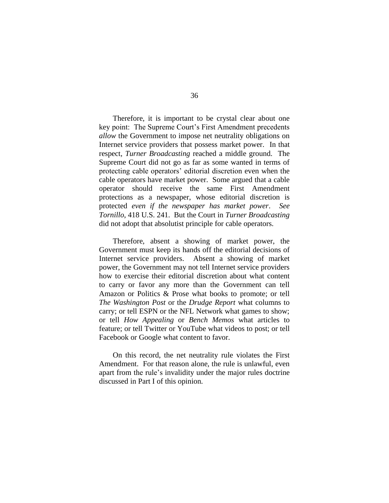Therefore, it is important to be crystal clear about one key point: The Supreme Court's First Amendment precedents *allow* the Government to impose net neutrality obligations on Internet service providers that possess market power. In that respect, *Turner Broadcasting* reached a middle ground. The Supreme Court did not go as far as some wanted in terms of protecting cable operators' editorial discretion even when the cable operators have market power. Some argued that a cable operator should receive the same First Amendment protections as a newspaper, whose editorial discretion is protected *even if the newspaper has market power*. *See Tornillo*, 418 U.S. 241. But the Court in *Turner Broadcasting* did not adopt that absolutist principle for cable operators.

Therefore, absent a showing of market power, the Government must keep its hands off the editorial decisions of Internet service providers. Absent a showing of market power, the Government may not tell Internet service providers how to exercise their editorial discretion about what content to carry or favor any more than the Government can tell Amazon or Politics & Prose what books to promote; or tell *The Washington Post* or the *Drudge Report* what columns to carry; or tell ESPN or the NFL Network what games to show; or tell *How Appealing* or *Bench Memos* what articles to feature; or tell Twitter or YouTube what videos to post; or tell Facebook or Google what content to favor.

On this record, the net neutrality rule violates the First Amendment. For that reason alone, the rule is unlawful, even apart from the rule's invalidity under the major rules doctrine discussed in Part I of this opinion.